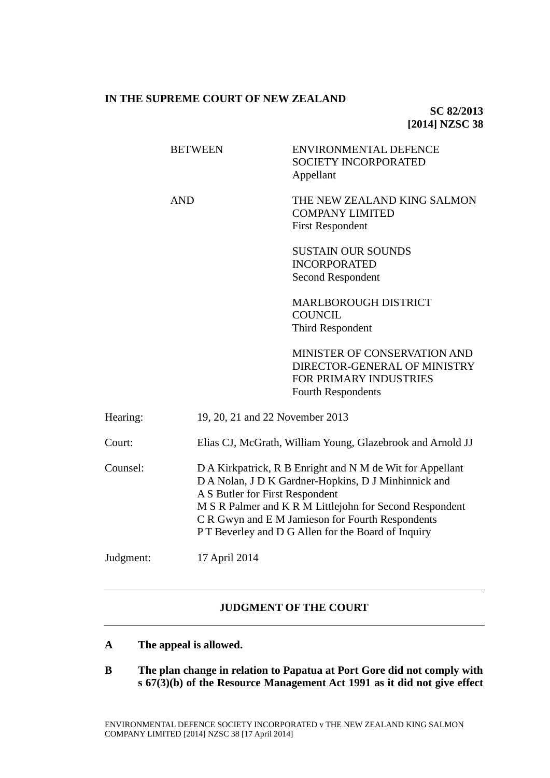# **IN THE SUPREME COURT OF NEW ZEALAND**

**SC 82/2013 [2014] NZSC 38**

|           | <b>BETWEEN</b>                  | <b>ENVIRONMENTAL DEFENCE</b><br><b>SOCIETY INCORPORATED</b><br>Appellant                                                                                                                                                                                                                                                  |  |
|-----------|---------------------------------|---------------------------------------------------------------------------------------------------------------------------------------------------------------------------------------------------------------------------------------------------------------------------------------------------------------------------|--|
|           | <b>AND</b>                      | THE NEW ZEALAND KING SALMON<br><b>COMPANY LIMITED</b><br><b>First Respondent</b>                                                                                                                                                                                                                                          |  |
|           |                                 | <b>SUSTAIN OUR SOUNDS</b><br><b>INCORPORATED</b><br>Second Respondent                                                                                                                                                                                                                                                     |  |
|           |                                 | <b>MARLBOROUGH DISTRICT</b><br><b>COUNCIL</b><br>Third Respondent                                                                                                                                                                                                                                                         |  |
|           |                                 | MINISTER OF CONSERVATION AND<br>DIRECTOR-GENERAL OF MINISTRY<br>FOR PRIMARY INDUSTRIES<br><b>Fourth Respondents</b>                                                                                                                                                                                                       |  |
| Hearing:  | 19, 20, 21 and 22 November 2013 |                                                                                                                                                                                                                                                                                                                           |  |
| Court:    |                                 | Elias CJ, McGrath, William Young, Glazebrook and Arnold JJ                                                                                                                                                                                                                                                                |  |
| Counsel:  |                                 | D A Kirkpatrick, R B Enright and N M de Wit for Appellant<br>D A Nolan, J D K Gardner-Hopkins, D J Minhinnick and<br>A S Butler for First Respondent<br>M S R Palmer and K R M Littlejohn for Second Respondent<br>C R Gwyn and E M Jamieson for Fourth Respondents<br>PT Beverley and D G Allen for the Board of Inquiry |  |
| Judgment: | 17 April 2014                   |                                                                                                                                                                                                                                                                                                                           |  |
|           |                                 |                                                                                                                                                                                                                                                                                                                           |  |

# **JUDGMENT OF THE COURT**

- **A The appeal is allowed.**
- **B The plan change in relation to Papatua at Port Gore did not comply with s 67(3)(b) of the Resource Management Act 1991 as it did not give effect**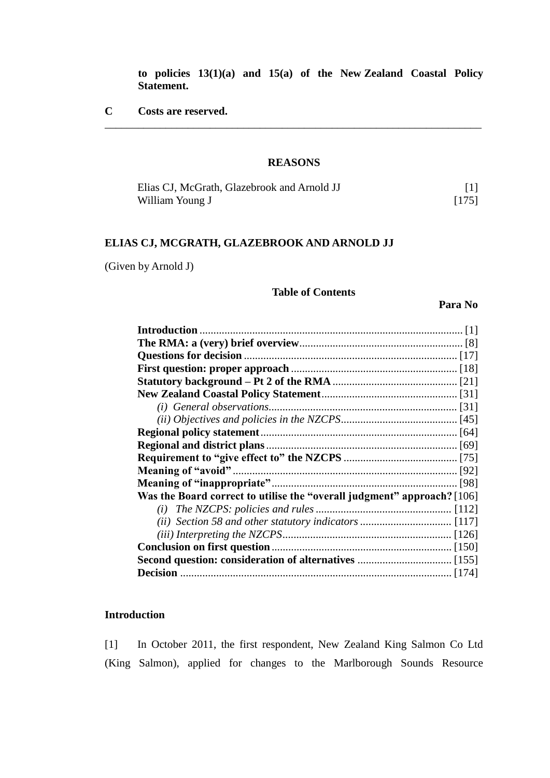**to policies 13(1)(a) and 15(a) of the New Zealand Coastal Policy Statement.** 

**C Costs are reserved.**

# **REASONS**

\_\_\_\_\_\_\_\_\_\_\_\_\_\_\_\_\_\_\_\_\_\_\_\_\_\_\_\_\_\_\_\_\_\_\_\_\_\_\_\_\_\_\_\_\_\_\_\_\_\_\_\_\_\_\_\_\_\_\_\_\_\_\_\_\_\_\_\_

| Elias CJ, McGrath, Glazebrook and Arnold JJ |       |
|---------------------------------------------|-------|
| William Young J                             | [175] |

# **ELIAS CJ, MCGRATH, GLAZEBROOK AND ARNOLD JJ**

(Given by Arnold J)

# **Table of Contents**

**Para No**

| Was the Board correct to utilise the "overall judgment" approach? [106] |  |  |
|-------------------------------------------------------------------------|--|--|
|                                                                         |  |  |
|                                                                         |  |  |
|                                                                         |  |  |
|                                                                         |  |  |
|                                                                         |  |  |
|                                                                         |  |  |

# **Introduction**

<span id="page-1-0"></span>[1] In October 2011, the first respondent, New Zealand King Salmon Co Ltd (King Salmon), applied for changes to the Marlborough Sounds Resource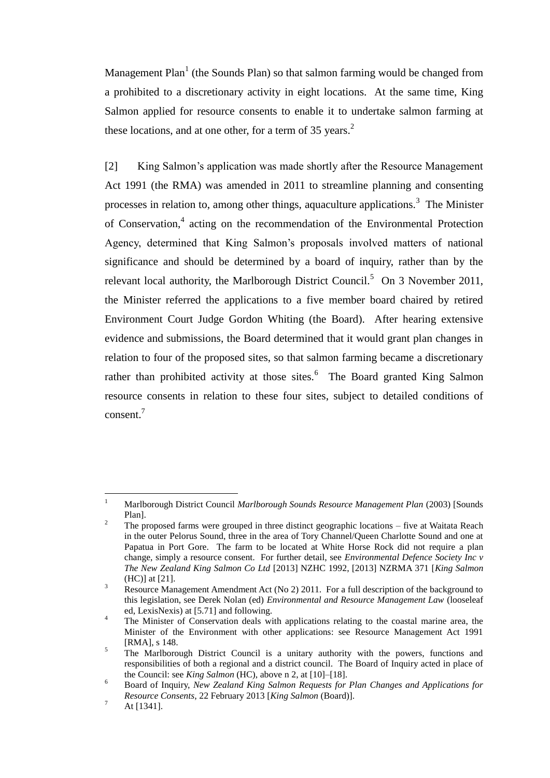<span id="page-2-3"></span>Management Plan<sup>1</sup> (the Sounds Plan) so that salmon farming would be changed from a prohibited to a discretionary activity in eight locations. At the same time, King Salmon applied for resource consents to enable it to undertake salmon farming at these locations, and at one other, for a term of 35 years. $<sup>2</sup>$ </sup>

<span id="page-2-2"></span><span id="page-2-0"></span>[2] King Salmon's application was made shortly after the Resource Management Act 1991 (the RMA) was amended in 2011 to streamline planning and consenting processes in relation to, among other things, aquaculture applications.<sup>3</sup> The Minister of Conservation,<sup>4</sup> acting on the recommendation of the Environmental Protection Agency, determined that King Salmon's proposals involved matters of national significance and should be determined by a board of inquiry, rather than by the relevant local authority, the Marlborough District Council.<sup>5</sup> On 3 November 2011, the Minister referred the applications to a five member board chaired by retired Environment Court Judge Gordon Whiting (the Board). After hearing extensive evidence and submissions, the Board determined that it would grant plan changes in relation to four of the proposed sites, so that salmon farming became a discretionary rather than prohibited activity at those sites.<sup>6</sup> The Board granted King Salmon resource consents in relation to these four sites, subject to detailed conditions of consent.<sup>7</sup>

<span id="page-2-1"></span> $\overline{1}$ <sup>1</sup> Marlborough District Council *Marlborough Sounds Resource Management Plan* (2003) [Sounds Plan].

<sup>&</sup>lt;sup>2</sup> The proposed farms were grouped in three distinct geographic locations – five at Waitata Reach in the outer Pelorus Sound, three in the area of Tory Channel/Queen Charlotte Sound and one at Papatua in Port Gore. The farm to be located at White Horse Rock did not require a plan change, simply a resource consent. For further detail, see *Environmental Defence Society Inc v The New Zealand King Salmon Co Ltd* [2013] NZHC 1992, [2013] NZRMA 371 [*King Salmon* (HC)] at [21].

<sup>&</sup>lt;sup>3</sup> Resource Management Amendment Act (No 2) 2011. For a full description of the background to this legislation, see Derek Nolan (ed) *Environmental and Resource Management Law* (looseleaf ed, LexisNexis) at [5.71] and following.

<sup>&</sup>lt;sup>4</sup> The Minister of Conservation deals with applications relating to the coastal marine area, the Minister of the Environment with other applications: see Resource Management Act 1991 [RMA], s 148.

<sup>&</sup>lt;sup>5</sup> The Marlborough District Council is a unitary authority with the powers, functions and responsibilities of both a regional and a district council. The Board of Inquiry acted in place of the Council: see *King Salmon* (HC), above [n 2,](#page-2-0) at [10]–[18].

<sup>6</sup> Board of Inquiry, *New Zealand King Salmon Requests for Plan Changes and Applications for Resource Consents*, 22 February 2013 [*King Salmon* (Board)].

 $^7$  At [1341].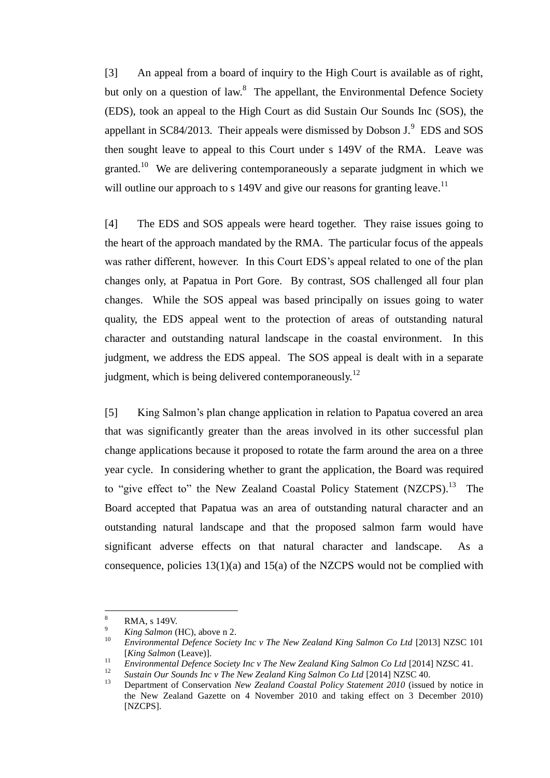[3] An appeal from a board of inquiry to the High Court is available as of right, but only on a question of law.<sup>8</sup> The appellant, the Environmental Defence Society (EDS), took an appeal to the High Court as did Sustain Our Sounds Inc (SOS), the appellant in SC84/2013. Their appeals were dismissed by Dobson  $J^9$ . EDS and SOS then sought leave to appeal to this Court under s 149V of the RMA. Leave was granted.<sup>10</sup> We are delivering contemporaneously a separate judgment in which we will outline our approach to s 149V and give our reasons for granting leave.<sup>11</sup>

<span id="page-3-1"></span><span id="page-3-0"></span>[4] The EDS and SOS appeals were heard together. They raise issues going to the heart of the approach mandated by the RMA. The particular focus of the appeals was rather different, however. In this Court EDS's appeal related to one of the plan changes only, at Papatua in Port Gore. By contrast, SOS challenged all four plan changes. While the SOS appeal was based principally on issues going to water quality, the EDS appeal went to the protection of areas of outstanding natural character and outstanding natural landscape in the coastal environment. In this judgment, we address the EDS appeal. The SOS appeal is dealt with in a separate judgment, which is being delivered contemporaneously.<sup>12</sup>

<span id="page-3-2"></span>[5] King Salmon's plan change application in relation to Papatua covered an area that was significantly greater than the areas involved in its other successful plan change applications because it proposed to rotate the farm around the area on a three year cycle. In considering whether to grant the application, the Board was required to "give effect to" the New Zealand Coastal Policy Statement (NZCPS).<sup>13</sup> The Board accepted that Papatua was an area of outstanding natural character and an outstanding natural landscape and that the proposed salmon farm would have significant adverse effects on that natural character and landscape. As a consequence, policies  $13(1)(a)$  and  $15(a)$  of the NZCPS would not be complied with

 $\overline{a}$ 

 $\frac{8}{9}$  RMA, s 149V.

<sup>&</sup>lt;sup>9</sup> *King Salmon* (HC), above [n 2.](#page-2-0)<br><sup>10</sup> *Eurinamental Defense Social* 

<sup>10</sup> *Environmental Defence Society Inc v The New Zealand King Salmon Co Ltd* [2013] NZSC 101 [*King Salmon* (Leave)].

<sup>&</sup>lt;sup>11</sup> *Environmental Defence Society Inc v The New Zealand King Salmon Co Ltd* [2014] NZSC 41.

<sup>&</sup>lt;sup>12</sup> *Sustain Our Sounds Inc v The New Zealand King Salmon Co Ltd* [2014] NZSC 40.<br><sup>13</sup> Department of Consequention New Zealand Constal Beliau Statement 2010 (issues

<sup>13</sup> Department of Conservation *New Zealand Coastal Policy Statement 2010* (issued by notice in the New Zealand Gazette on 4 November 2010 and taking effect on 3 December 2010) [NZCPS].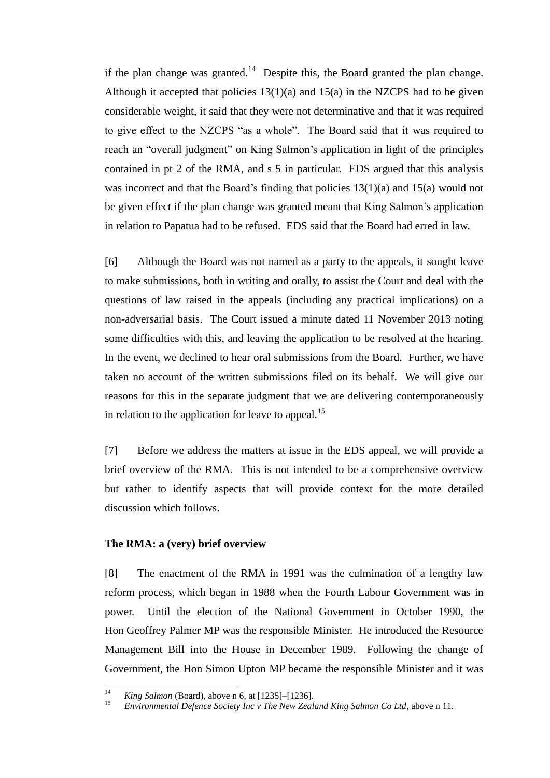if the plan change was granted.<sup>14</sup> Despite this, the Board granted the plan change. Although it accepted that policies  $13(1)(a)$  and  $15(a)$  in the NZCPS had to be given considerable weight, it said that they were not determinative and that it was required to give effect to the NZCPS "as a whole". The Board said that it was required to reach an "overall judgment" on King Salmon's application in light of the principles contained in pt 2 of the RMA, and s 5 in particular. EDS argued that this analysis was incorrect and that the Board's finding that policies 13(1)(a) and 15(a) would not be given effect if the plan change was granted meant that King Salmon's application in relation to Papatua had to be refused. EDS said that the Board had erred in law.

[6] Although the Board was not named as a party to the appeals, it sought leave to make submissions, both in writing and orally, to assist the Court and deal with the questions of law raised in the appeals (including any practical implications) on a non-adversarial basis. The Court issued a minute dated 11 November 2013 noting some difficulties with this, and leaving the application to be resolved at the hearing. In the event, we declined to hear oral submissions from the Board. Further, we have taken no account of the written submissions filed on its behalf. We will give our reasons for this in the separate judgment that we are delivering contemporaneously in relation to the application for leave to appeal.<sup>15</sup>

[7] Before we address the matters at issue in the EDS appeal, we will provide a brief overview of the RMA. This is not intended to be a comprehensive overview but rather to identify aspects that will provide context for the more detailed discussion which follows.

#### **The RMA: a (very) brief overview**

<span id="page-4-0"></span>[8] The enactment of the RMA in 1991 was the culmination of a lengthy law reform process, which began in 1988 when the Fourth Labour Government was in power. Until the election of the National Government in October 1990, the Hon Geoffrey Palmer MP was the responsible Minister. He introduced the Resource Management Bill into the House in December 1989. Following the change of Government, the Hon Simon Upton MP became the responsible Minister and it was

 $14$ <sup>14</sup> *King Salmon* (Board), above n [6,](#page-2-1) at [1235]–[1236].

<sup>15</sup> *Environmental Defence Society Inc v The New Zealand King Salmon Co Ltd*, above n [11.](#page-3-0)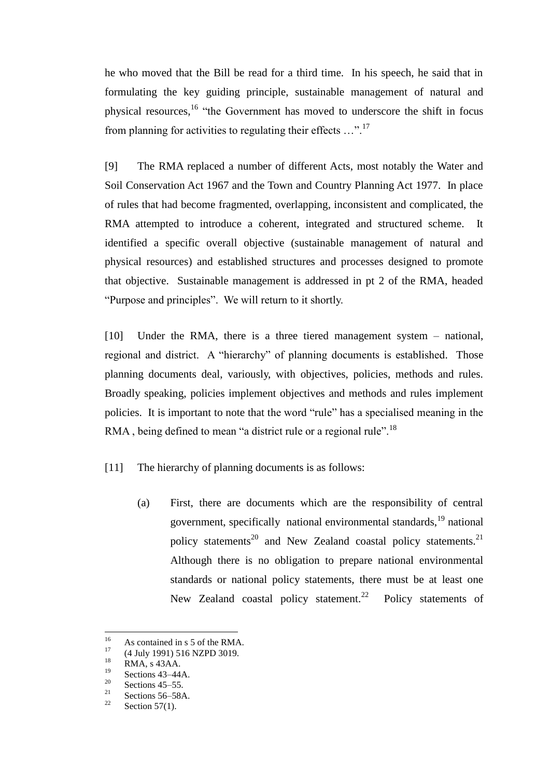he who moved that the Bill be read for a third time. In his speech, he said that in formulating the key guiding principle, sustainable management of natural and physical resources,<sup>16</sup> "the Government has moved to underscore the shift in focus from planning for activities to regulating their effects ...".<sup>17</sup>

[9] The RMA replaced a number of different Acts, most notably the Water and Soil Conservation Act 1967 and the Town and Country Planning Act 1977. In place of rules that had become fragmented, overlapping, inconsistent and complicated, the RMA attempted to introduce a coherent, integrated and structured scheme. It identified a specific overall objective (sustainable management of natural and physical resources) and established structures and processes designed to promote that objective. Sustainable management is addressed in pt 2 of the RMA, headed "Purpose and principles". We will return to it shortly.

[10] Under the RMA, there is a three tiered management system – national, regional and district. A "hierarchy" of planning documents is established. Those planning documents deal, variously, with objectives, policies, methods and rules. Broadly speaking, policies implement objectives and methods and rules implement policies. It is important to note that the word "rule" has a specialised meaning in the RMA, being defined to mean "a district rule or a regional rule".<sup>18</sup>

[11] The hierarchy of planning documents is as follows:

(a) First, there are documents which are the responsibility of central government, specifically national environmental standards,  $^{19}$  national policy statements<sup>20</sup> and New Zealand coastal policy statements.<sup>21</sup> Although there is no obligation to prepare national environmental standards or national policy statements, there must be at least one New Zealand coastal policy statement.<sup>22</sup> Policy statements of

<sup>16</sup> <sup>16</sup> As contained in s 5 of the RMA.<br><sup>17</sup> (4 July 1001) 516 NZDD 2010.

 $^{17}$  (4 July 1991) 516 NZPD 3019.

 $18$  RMA, s 43AA.

 $rac{19}{20}$  Sections 43–44A.

<sup>&</sup>lt;sup>20</sup> Sections 45–55.

 $\frac{21}{22}$  Sections 56–58A.

Section  $57(1)$ .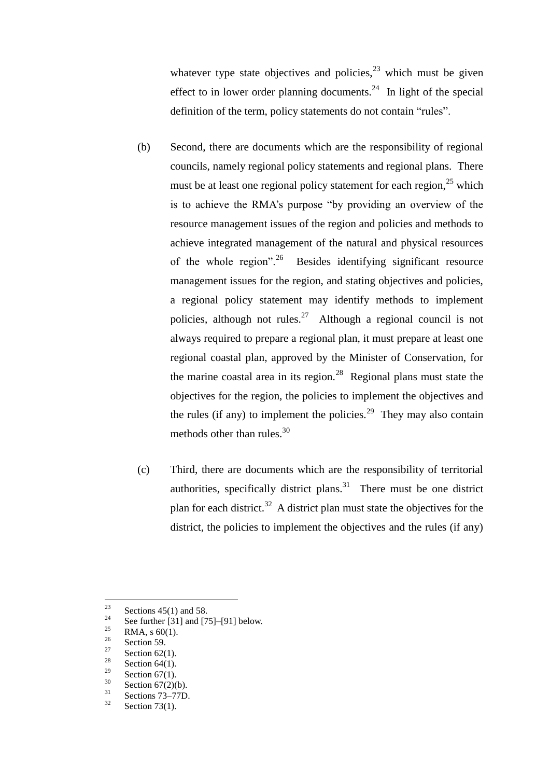whatever type state objectives and policies,  $2<sup>3</sup>$  which must be given effect to in lower order planning documents.<sup>24</sup> In light of the special definition of the term, policy statements do not contain "rules".

- (b) Second, there are documents which are the responsibility of regional councils, namely regional policy statements and regional plans. There must be at least one regional policy statement for each region, $^{25}$  which is to achieve the RMA's purpose "by providing an overview of the resource management issues of the region and policies and methods to achieve integrated management of the natural and physical resources of the whole region".<sup>26</sup> Besides identifying significant resource management issues for the region, and stating objectives and policies, a regional policy statement may identify methods to implement policies, although not rules.<sup>27</sup> Although a regional council is not always required to prepare a regional plan, it must prepare at least one regional coastal plan, approved by the Minister of Conservation, for the marine coastal area in its region.<sup>28</sup> Regional plans must state the objectives for the region, the policies to implement the objectives and the rules (if any) to implement the policies.<sup>29</sup> They may also contain methods other than rules.<sup>30</sup>
- (c) Third, there are documents which are the responsibility of territorial authorities, specifically district plans.<sup>31</sup> There must be one district plan for each district.<sup>32</sup> A district plan must state the objectives for the district, the policies to implement the objectives and the rules (if any)

<sup>23</sup>  $\frac{23}{24}$  Sections 45(1) and 58.

<sup>&</sup>lt;sup>24</sup> See further [\[31\]](#page-17-0) and [\[75\]](#page-36-0)[–\[91\]](#page-42-1) below.

 $\frac{25}{26}$  RMA, s 60(1).

 $\frac{26}{27}$  Section 59.

<sup>&</sup>lt;sup>27</sup> Section 62(1).

<sup>&</sup>lt;sup>28</sup> Section 64(1).

<sup>&</sup>lt;sup>29</sup> Section 67(1).

 $rac{30}{31}$  Section 67(2)(b).

 $rac{31}{32}$  Sections 73–77D.

Section  $73(1)$ .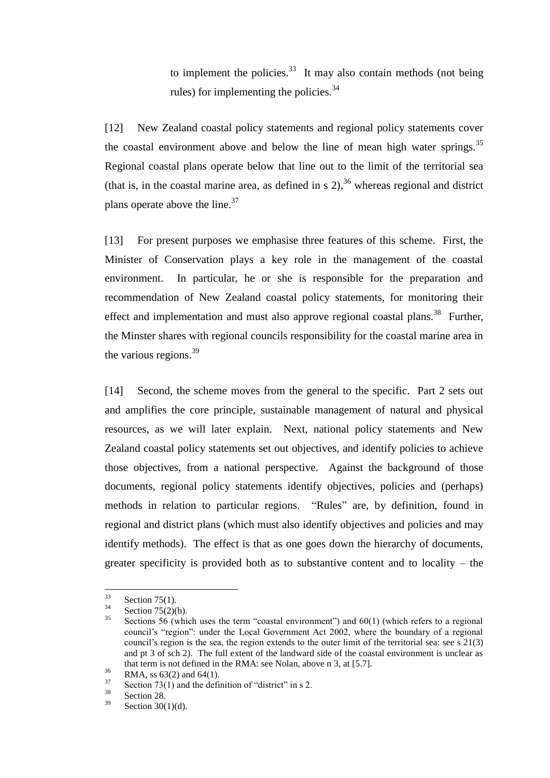to implement the policies. $33$  It may also contain methods (not being rules) for implementing the policies. $34$ 

[12] New Zealand coastal policy statements and regional policy statements cover the coastal environment above and below the line of mean high water springs.<sup>35</sup> Regional coastal plans operate below that line out to the limit of the territorial sea (that is, in the coastal marine area, as defined in s  $2$ ),  $36$  whereas regional and district plans operate above the line.<sup>37</sup>

[13] For present purposes we emphasise three features of this scheme. First, the Minister of Conservation plays a key role in the management of the coastal environment. In particular, he or she is responsible for the preparation and recommendation of New Zealand coastal policy statements, for monitoring their effect and implementation and must also approve regional coastal plans.<sup>38</sup> Further, the Minster shares with regional councils responsibility for the coastal marine area in the various regions. $39$ 

[14] Second, the scheme moves from the general to the specific. Part 2 sets out and amplifies the core principle, sustainable management of natural and physical resources, as we will later explain. Next, national policy statements and New Zealand coastal policy statements set out objectives, and identify policies to achieve those objectives, from a national perspective. Against the background of those documents, regional policy statements identify objectives, policies and (perhaps) methods in relation to particular regions. "Rules" are, by definition, found in regional and district plans (which must also identify objectives and policies and may identify methods). The effect is that as one goes down the hierarchy of documents, greater specificity is provided both as to substantive content and to locality – the

<sup>33</sup>  $\frac{33}{34}$  Section 75(1).

 $\frac{34}{35}$  Section 75(2)(b).

Sections 56 (which uses the term "coastal environment") and  $60(1)$  (which refers to a regional council's "region": under the Local Government Act 2002, where the boundary of a regional council's region is the sea, the region extends to the outer limit of the territorial sea: see s 21(3) and pt 3 of sch 2). The full extent of the landward side of the coastal environment is unclear as that term is not defined in the RMA: see Nolan, above n [3,](#page-2-2) at [5.7].

 $^{36}$  RMA, ss 63(2) and 64(1).

 $^{37}$  Section 73(1) and the definition of "district" in s 2.

 $rac{38}{39}$  Section 28.

Section  $30(1)(d)$ .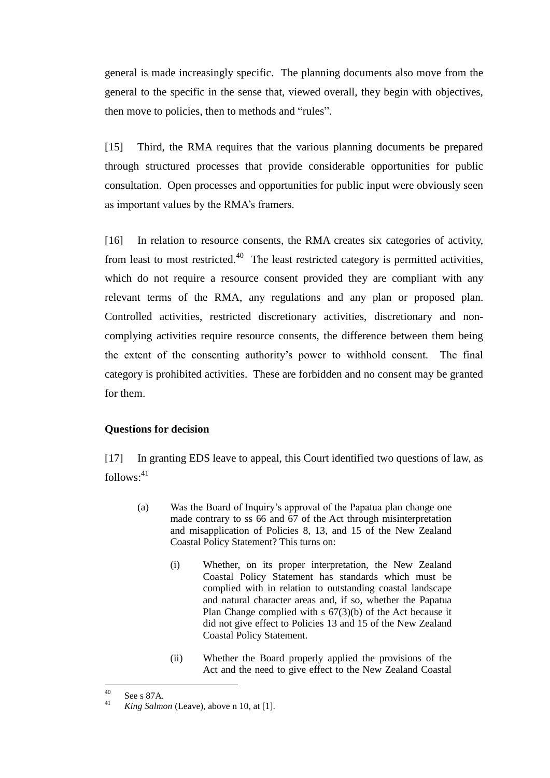general is made increasingly specific. The planning documents also move from the general to the specific in the sense that, viewed overall, they begin with objectives, then move to policies, then to methods and "rules".

[15] Third, the RMA requires that the various planning documents be prepared through structured processes that provide considerable opportunities for public consultation. Open processes and opportunities for public input were obviously seen as important values by the RMA's framers.

[16] In relation to resource consents, the RMA creates six categories of activity, from least to most restricted. $40$  The least restricted category is permitted activities, which do not require a resource consent provided they are compliant with any relevant terms of the RMA, any regulations and any plan or proposed plan. Controlled activities, restricted discretionary activities, discretionary and noncomplying activities require resource consents, the difference between them being the extent of the consenting authority's power to withhold consent. The final category is prohibited activities. These are forbidden and no consent may be granted for them.

# **Questions for decision**

<span id="page-8-0"></span>[17] In granting EDS leave to appeal, this Court identified two questions of law, as follows:<sup>41</sup>

- (a) Was the Board of Inquiry's approval of the Papatua plan change one made contrary to ss 66 and 67 of the Act through misinterpretation and misapplication of Policies 8, 13, and 15 of the New Zealand Coastal Policy Statement? This turns on:
	- (i) Whether, on its proper interpretation, the New Zealand Coastal Policy Statement has standards which must be complied with in relation to outstanding coastal landscape and natural character areas and, if so, whether the Papatua Plan Change complied with s 67(3)(b) of the Act because it did not give effect to Policies 13 and 15 of the New Zealand Coastal Policy Statement.
	- (ii) Whether the Board properly applied the provisions of the Act and the need to give effect to the New Zealand Coastal

 $40$ <sup>40</sup> See s 87A.<br><sup>41</sup> *King Salm* 

<sup>41</sup> *King Salmon* (Leave), above n [10,](#page-3-1) at [1].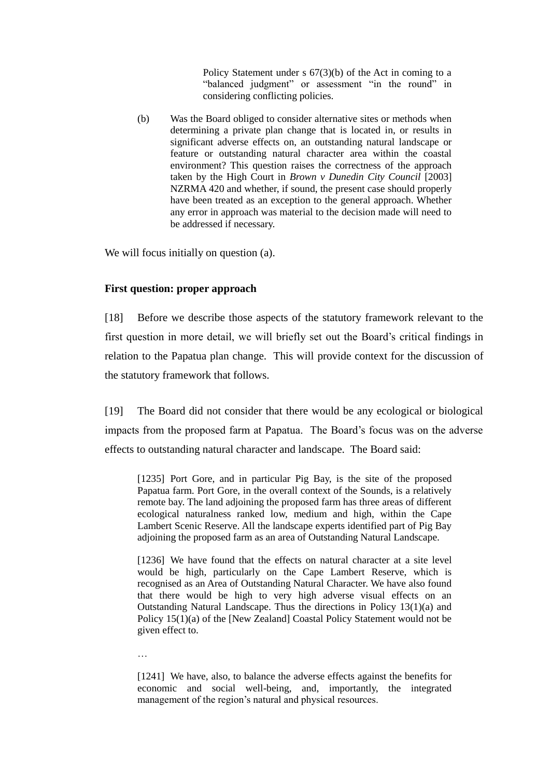Policy Statement under s 67(3)(b) of the Act in coming to a "balanced judgment" or assessment "in the round" in considering conflicting policies.

(b) Was the Board obliged to consider alternative sites or methods when determining a private plan change that is located in, or results in significant adverse effects on, an outstanding natural landscape or feature or outstanding natural character area within the coastal environment? This question raises the correctness of the approach taken by the High Court in *Brown v Dunedin City Council* [2003] NZRMA 420 and whether, if sound, the present case should properly have been treated as an exception to the general approach. Whether any error in approach was material to the decision made will need to be addressed if necessary.

We will focus initially on question (a).

# **First question: proper approach**

…

<span id="page-9-0"></span>[18] Before we describe those aspects of the statutory framework relevant to the first question in more detail, we will briefly set out the Board's critical findings in relation to the Papatua plan change. This will provide context for the discussion of the statutory framework that follows.

[19] The Board did not consider that there would be any ecological or biological impacts from the proposed farm at Papatua. The Board's focus was on the adverse effects to outstanding natural character and landscape. The Board said:

[1235] Port Gore, and in particular Pig Bay, is the site of the proposed Papatua farm. Port Gore, in the overall context of the Sounds, is a relatively remote bay. The land adjoining the proposed farm has three areas of different ecological naturalness ranked low, medium and high, within the Cape Lambert Scenic Reserve. All the landscape experts identified part of Pig Bay adjoining the proposed farm as an area of Outstanding Natural Landscape.

[1236] We have found that the effects on natural character at a site level would be high, particularly on the Cape Lambert Reserve, which is recognised as an Area of Outstanding Natural Character. We have also found that there would be high to very high adverse visual effects on an Outstanding Natural Landscape. Thus the directions in Policy 13(1)(a) and Policy 15(1)(a) of the [New Zealand] Coastal Policy Statement would not be given effect to.

<sup>[1241]</sup> We have, also, to balance the adverse effects against the benefits for economic and social well-being, and, importantly, the integrated management of the region's natural and physical resources.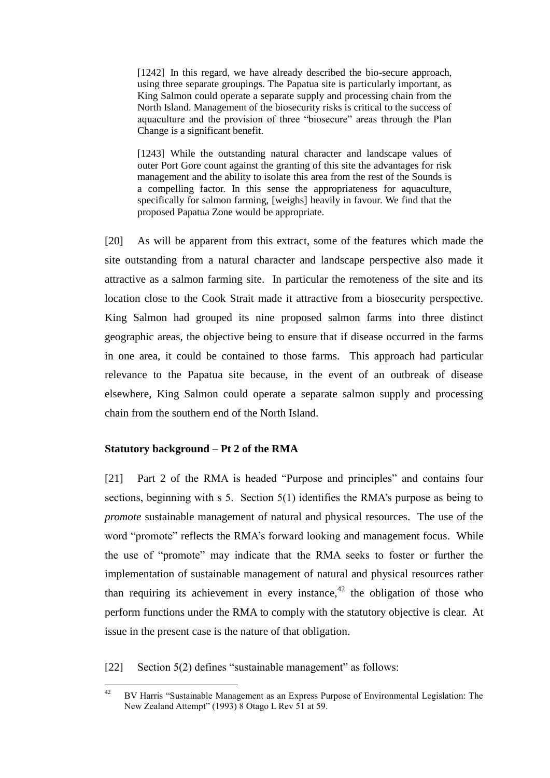[1242] In this regard, we have already described the bio-secure approach, using three separate groupings. The Papatua site is particularly important, as King Salmon could operate a separate supply and processing chain from the North Island. Management of the biosecurity risks is critical to the success of aquaculture and the provision of three "biosecure" areas through the Plan Change is a significant benefit.

[1243] While the outstanding natural character and landscape values of outer Port Gore count against the granting of this site the advantages for risk management and the ability to isolate this area from the rest of the Sounds is a compelling factor. In this sense the appropriateness for aquaculture, specifically for salmon farming, [weighs] heavily in favour. We find that the proposed Papatua Zone would be appropriate.

[20] As will be apparent from this extract, some of the features which made the site outstanding from a natural character and landscape perspective also made it attractive as a salmon farming site. In particular the remoteness of the site and its location close to the Cook Strait made it attractive from a biosecurity perspective. King Salmon had grouped its nine proposed salmon farms into three distinct geographic areas, the objective being to ensure that if disease occurred in the farms in one area, it could be contained to those farms. This approach had particular relevance to the Papatua site because, in the event of an outbreak of disease elsewhere, King Salmon could operate a separate salmon supply and processing chain from the southern end of the North Island.

# **Statutory background – Pt 2 of the RMA**

<span id="page-10-0"></span>[21] Part 2 of the RMA is headed "Purpose and principles" and contains four sections, beginning with s 5. Section 5(1) identifies the RMA's purpose as being to *promote* sustainable management of natural and physical resources. The use of the word "promote" reflects the RMA's forward looking and management focus. While the use of "promote" may indicate that the RMA seeks to foster or further the implementation of sustainable management of natural and physical resources rather than requiring its achievement in every instance, $42$  the obligation of those who perform functions under the RMA to comply with the statutory objective is clear. At issue in the present case is the nature of that obligation.

<span id="page-10-1"></span>[22] Section 5(2) defines "sustainable management" as follows:

 $42$ <sup>42</sup> BV Harris "Sustainable Management as an Express Purpose of Environmental Legislation: The New Zealand Attempt" (1993) 8 Otago L Rev 51 at 59.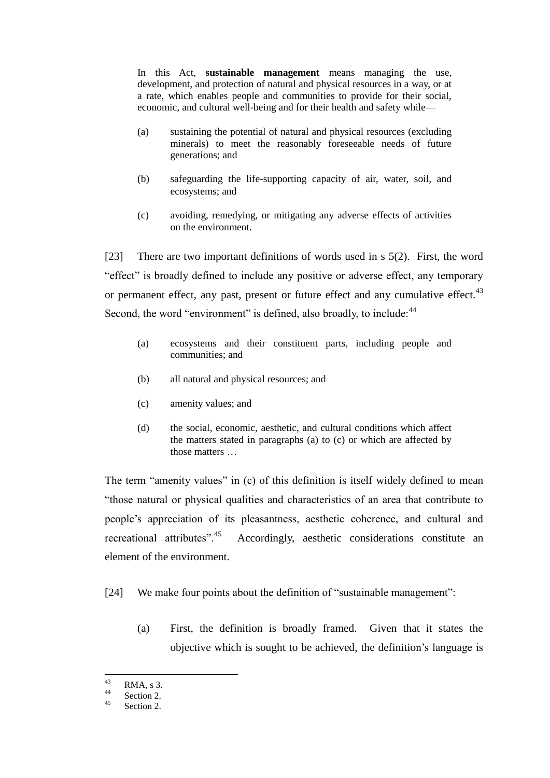In this Act, **sustainable management** means managing the use, development, and protection of natural and physical resources in a way, or at a rate, which enables people and communities to provide for their social, economic, and cultural well-being and for their health and safety while—

- (a) sustaining the potential of natural and physical resources (excluding minerals) to meet the reasonably foreseeable needs of future generations; and
- (b) safeguarding the life-supporting capacity of air, water, soil, and ecosystems; and
- (c) avoiding, remedying, or mitigating any adverse effects of activities on the environment.

[23] There are two important definitions of words used in s 5(2). First, the word "effect" is broadly defined to include any positive or adverse effect, any temporary or permanent effect, any past, present or future effect and any cumulative effect.<sup>43</sup> Second, the word "environment" is defined, also broadly, to include: <sup>44</sup>

- (a) ecosystems and their constituent parts, including people and communities; and
- (b) all natural and physical resources; and
- (c) amenity values; and
- (d) the social, economic, aesthetic, and cultural conditions which affect the matters stated in paragraphs (a) to (c) or which are affected by those matters

The term "amenity values" in (c) of this definition is itself widely defined to mean "those natural or physical qualities and characteristics of an area that contribute to people's appreciation of its pleasantness, aesthetic coherence, and cultural and recreational attributes".<sup>45</sup> Accordingly, aesthetic considerations constitute an element of the environment.

- [24] We make four points about the definition of "sustainable management":
	- (a) First, the definition is broadly framed. Given that it states the objective which is sought to be achieved, the definition's language is

<sup>43</sup>  $^{43}_{44}$  RMA, s 3.

 $rac{44}{45}$  Section 2.

Section 2.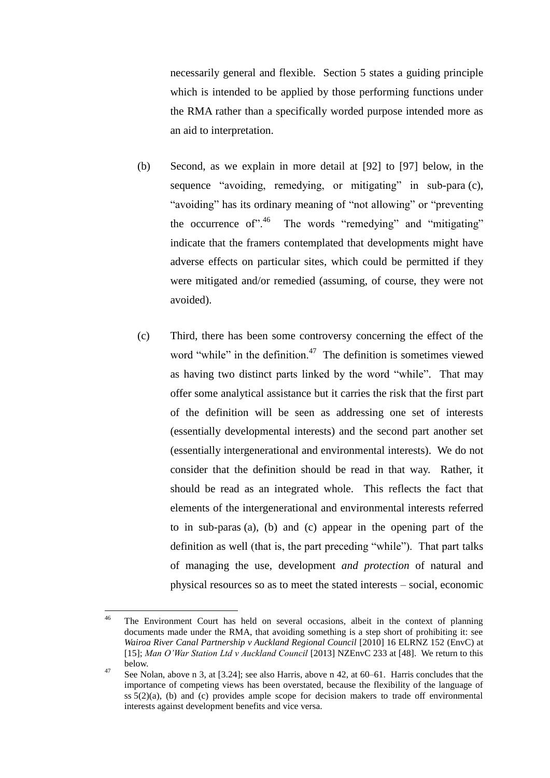necessarily general and flexible. Section 5 states a guiding principle which is intended to be applied by those performing functions under the RMA rather than a specifically worded purpose intended more as an aid to interpretation.

- <span id="page-12-0"></span>(b) Second, as we explain in more detail at [\[92\]](#page-42-0) to [\[97\]](#page-45-1) below, in the sequence "avoiding, remedying, or mitigating" in sub-para (c), "avoiding" has its ordinary meaning of "not allowing" or "preventing the occurrence of".<sup>46</sup> The words "remedying" and "mitigating" indicate that the framers contemplated that developments might have adverse effects on particular sites, which could be permitted if they were mitigated and/or remedied (assuming, of course, they were not avoided).
- (c) Third, there has been some controversy concerning the effect of the word "while" in the definition. $47$  The definition is sometimes viewed as having two distinct parts linked by the word "while". That may offer some analytical assistance but it carries the risk that the first part of the definition will be seen as addressing one set of interests (essentially developmental interests) and the second part another set (essentially intergenerational and environmental interests). We do not consider that the definition should be read in that way. Rather, it should be read as an integrated whole. This reflects the fact that elements of the intergenerational and environmental interests referred to in sub-paras (a), (b) and (c) appear in the opening part of the definition as well (that is, the part preceding "while"). That part talks of managing the use, development *and protection* of natural and physical resources so as to meet the stated interests – social, economic

 $\overline{a}$ 

<sup>&</sup>lt;sup>46</sup> The Environment Court has held on several occasions, albeit in the context of planning documents made under the RMA, that avoiding something is a step short of prohibiting it: see *Wairoa River Canal Partnership v Auckland Regional Council* [2010] 16 ELRNZ 152 (EnvC) at [15]; *Man O'War Station Ltd v Auckland Council* [2013] NZEnvC 233 at [48]. We return to this below.

<sup>&</sup>lt;sup>47</sup> See Nolan, above n [3,](#page-2-2) at [3.24]; see also Harris, above n [42,](#page-10-1) at 60–61. Harris concludes that the importance of competing views has been overstated, because the flexibility of the language of ss 5(2)(a), (b) and (c) provides ample scope for decision makers to trade off environmental interests against development benefits and vice versa.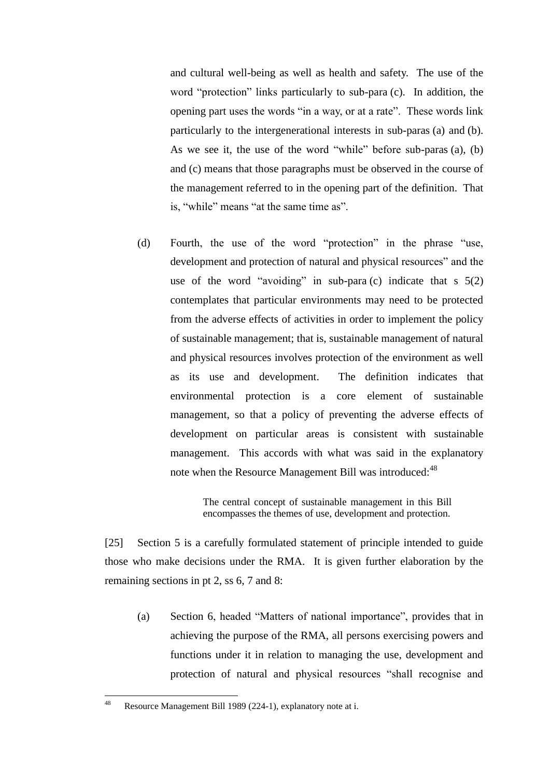and cultural well-being as well as health and safety. The use of the word "protection" links particularly to sub-para (c). In addition, the opening part uses the words "in a way, or at a rate". These words link particularly to the intergenerational interests in sub-paras (a) and (b). As we see it, the use of the word "while" before sub-paras (a), (b) and (c) means that those paragraphs must be observed in the course of the management referred to in the opening part of the definition. That is, "while" means "at the same time as".

(d) Fourth, the use of the word "protection" in the phrase "use, development and protection of natural and physical resources" and the use of the word "avoiding" in sub-para (c) indicate that  $s$  5(2) contemplates that particular environments may need to be protected from the adverse effects of activities in order to implement the policy of sustainable management; that is, sustainable management of natural and physical resources involves protection of the environment as well as its use and development. The definition indicates that environmental protection is a core element of sustainable management, so that a policy of preventing the adverse effects of development on particular areas is consistent with sustainable management. This accords with what was said in the explanatory note when the Resource Management Bill was introduced:<sup>48</sup>

> The central concept of sustainable management in this Bill encompasses the themes of use, development and protection.

[25] Section 5 is a carefully formulated statement of principle intended to guide those who make decisions under the RMA. It is given further elaboration by the remaining sections in pt 2, ss 6, 7 and 8:

(a) Section 6, headed "Matters of national importance", provides that in achieving the purpose of the RMA, all persons exercising powers and functions under it in relation to managing the use, development and protection of natural and physical resources "shall recognise and

<sup>48</sup> Resource Management Bill 1989 (224-1), explanatory note at i.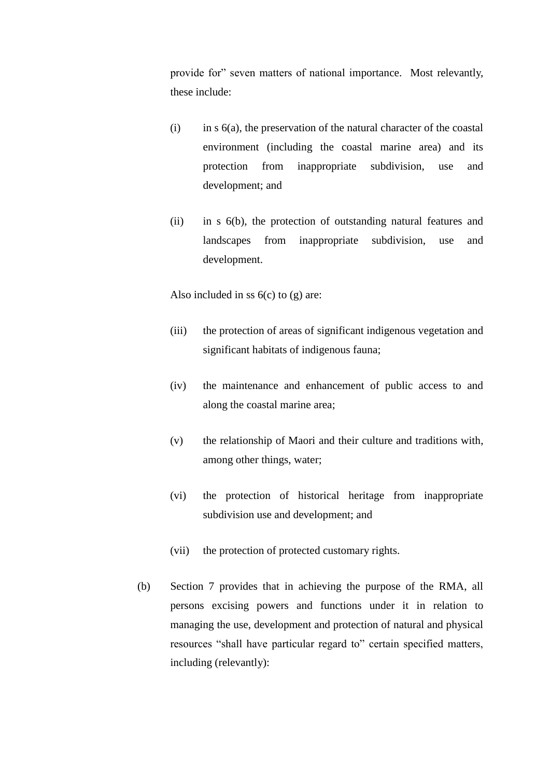provide for" seven matters of national importance. Most relevantly, these include:

- $(i)$  in s  $6(a)$ , the preservation of the natural character of the coastal environment (including the coastal marine area) and its protection from inappropriate subdivision, use and development; and
- (ii) in s 6(b), the protection of outstanding natural features and landscapes from inappropriate subdivision, use and development.

Also included in ss  $6(c)$  to  $(g)$  are:

- (iii) the protection of areas of significant indigenous vegetation and significant habitats of indigenous fauna;
- (iv) the maintenance and enhancement of public access to and along the coastal marine area;
- (v) the relationship of Maori and their culture and traditions with, among other things, water;
- (vi) the protection of historical heritage from inappropriate subdivision use and development; and
- (vii) the protection of protected customary rights.
- (b) Section 7 provides that in achieving the purpose of the RMA, all persons excising powers and functions under it in relation to managing the use, development and protection of natural and physical resources "shall have particular regard to" certain specified matters, including (relevantly):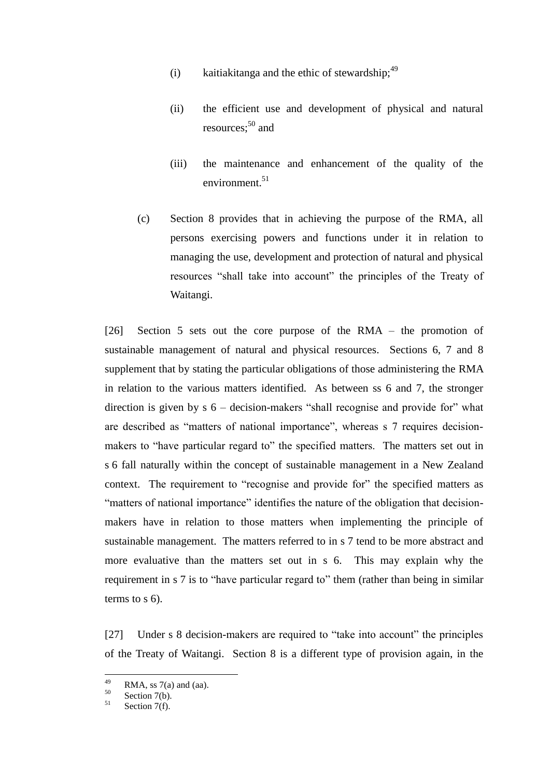- (i) kaitiakitanga and the ethic of stewardship;  $49$
- (ii) the efficient use and development of physical and natural resources: $50$  and
- (iii) the maintenance and enhancement of the quality of the environment. $51$
- (c) Section 8 provides that in achieving the purpose of the RMA, all persons exercising powers and functions under it in relation to managing the use, development and protection of natural and physical resources "shall take into account" the principles of the Treaty of Waitangi.

[26] Section 5 sets out the core purpose of the RMA – the promotion of sustainable management of natural and physical resources. Sections 6, 7 and 8 supplement that by stating the particular obligations of those administering the RMA in relation to the various matters identified. As between ss 6 and 7, the stronger direction is given by s 6 – decision-makers "shall recognise and provide for" what are described as "matters of national importance", whereas s 7 requires decisionmakers to "have particular regard to" the specified matters. The matters set out in s 6 fall naturally within the concept of sustainable management in a New Zealand context. The requirement to "recognise and provide for" the specified matters as "matters of national importance" identifies the nature of the obligation that decisionmakers have in relation to those matters when implementing the principle of sustainable management. The matters referred to in s 7 tend to be more abstract and more evaluative than the matters set out in s 6. This may explain why the requirement in s 7 is to "have particular regard to" them (rather than being in similar terms to s 6).

[27] Under s 8 decision-makers are required to "take into account" the principles of the Treaty of Waitangi. Section 8 is a different type of provision again, in the

<sup>49</sup>  $^{49}$  RMA, ss 7(a) and (aa).

 $^{50}$  Section 7(b).

Section 7(f).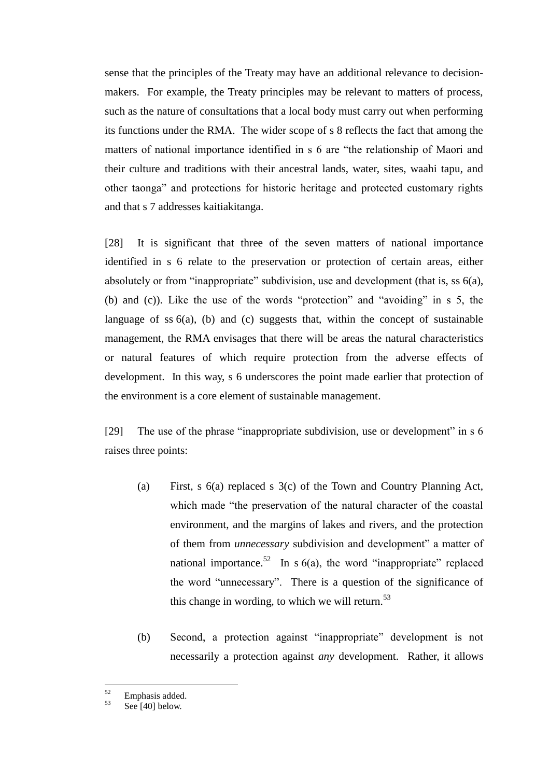sense that the principles of the Treaty may have an additional relevance to decisionmakers. For example, the Treaty principles may be relevant to matters of process, such as the nature of consultations that a local body must carry out when performing its functions under the RMA. The wider scope of s 8 reflects the fact that among the matters of national importance identified in s 6 are "the relationship of Maori and their culture and traditions with their ancestral lands, water, sites, waahi tapu, and other taonga" and protections for historic heritage and protected customary rights and that s 7 addresses kaitiakitanga.

[28] It is significant that three of the seven matters of national importance identified in s 6 relate to the preservation or protection of certain areas, either absolutely or from "inappropriate" subdivision, use and development (that is, ss 6(a), (b) and (c)). Like the use of the words "protection" and "avoiding" in s 5, the language of ss  $6(a)$ , (b) and (c) suggests that, within the concept of sustainable management, the RMA envisages that there will be areas the natural characteristics or natural features of which require protection from the adverse effects of development. In this way, s 6 underscores the point made earlier that protection of the environment is a core element of sustainable management.

[29] The use of the phrase "inappropriate subdivision, use or development" in s 6 raises three points:

- (a) First, s 6(a) replaced s 3(c) of the Town and Country Planning Act, which made "the preservation of the natural character of the coastal environment, and the margins of lakes and rivers, and the protection of them from *unnecessary* subdivision and development" a matter of national importance.<sup>52</sup> In s  $6(a)$ , the word "inappropriate" replaced the word "unnecessary". There is a question of the significance of this change in wording, to which we will return. $53$
- (b) Second, a protection against "inappropriate" development is not necessarily a protection against *any* development. Rather, it allows

 $52$  $rac{52}{53}$  Emphasis added.

Se[e \[40\]](#page-21-0) below.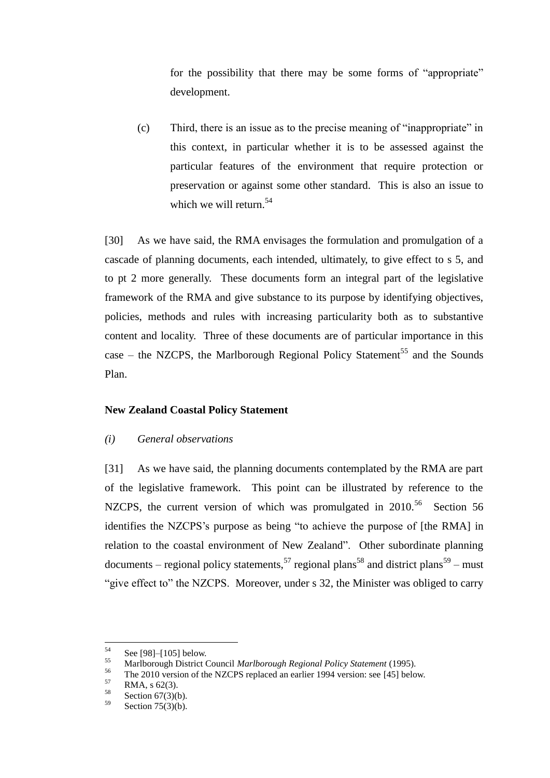for the possibility that there may be some forms of "appropriate" development.

(c) Third, there is an issue as to the precise meaning of "inappropriate" in this context, in particular whether it is to be assessed against the particular features of the environment that require protection or preservation or against some other standard. This is also an issue to which we will return. 54

[30] As we have said, the RMA envisages the formulation and promulgation of a cascade of planning documents, each intended, ultimately, to give effect to s 5, and to pt 2 more generally. These documents form an integral part of the legislative framework of the RMA and give substance to its purpose by identifying objectives, policies, methods and rules with increasing particularity both as to substantive content and locality. Three of these documents are of particular importance in this case – the NZCPS, the Marlborough Regional Policy Statement<sup>55</sup> and the Sounds Plan.

### **New Zealand Coastal Policy Statement**

### *(i) General observations*

<span id="page-17-0"></span>[31] As we have said, the planning documents contemplated by the RMA are part of the legislative framework. This point can be illustrated by reference to the NZCPS, the current version of which was promulgated in  $2010$ .<sup>56</sup> Section 56 identifies the NZCPS's purpose as being "to achieve the purpose of [the RMA] in relation to the coastal environment of New Zealand". Other subordinate planning documents – regional policy statements,  $57$  regional plans  $58$  and district plans  $59$  – must "give effect to" the NZCPS. Moreover, under s 32, the Minister was obliged to carry

<sup>54</sup>  $55$  Se[e \[98\]](#page-45-0)[–\[105\]](#page-48-1) below.

<sup>55</sup> Marlborough District Council *Marlborough Regional Policy Statement* (1995).

<sup>&</sup>lt;sup>56</sup> The 2010 version of the NZCPS replaced an earlier 1994 version: see [\[45\]](#page-23-0) below.<br> $57 \text{ PMA} \leq 52(2)$ 

 $\frac{57}{58}$  RMA, s 62(3).

 $\frac{58}{59}$  Section 67(3)(b).

Section  $75(3)(b)$ .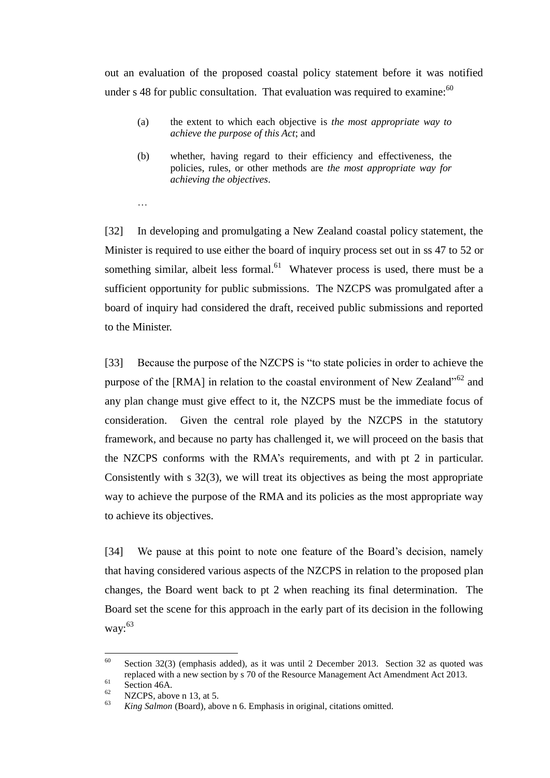out an evaluation of the proposed coastal policy statement before it was notified under s 48 for public consultation. That evaluation was required to examine: $60$ 

- <span id="page-18-0"></span>(a) the extent to which each objective is *the most appropriate way to achieve the purpose of this Act*; and
- (b) whether, having regard to their efficiency and effectiveness, the policies, rules, or other methods are *the most appropriate way for achieving the objectives*.

[32] In developing and promulgating a New Zealand coastal policy statement, the Minister is required to use either the board of inquiry process set out in ss 47 to 52 or something similar, albeit less formal.<sup>61</sup> Whatever process is used, there must be a sufficient opportunity for public submissions. The NZCPS was promulgated after a board of inquiry had considered the draft, received public submissions and reported to the Minister.

[33] Because the purpose of the NZCPS is "to state policies in order to achieve the purpose of the [RMA] in relation to the coastal environment of New Zealand<sup>"62</sup> and any plan change must give effect to it, the NZCPS must be the immediate focus of consideration. Given the central role played by the NZCPS in the statutory framework, and because no party has challenged it, we will proceed on the basis that the NZCPS conforms with the RMA's requirements, and with pt 2 in particular. Consistently with s 32(3), we will treat its objectives as being the most appropriate way to achieve the purpose of the RMA and its policies as the most appropriate way to achieve its objectives.

[34] We pause at this point to note one feature of the Board's decision, namely that having considered various aspects of the NZCPS in relation to the proposed plan changes, the Board went back to pt 2 when reaching its final determination. The Board set the scene for this approach in the early part of its decision in the following way: $63$ 

…

<sup>60</sup> <sup>60</sup> Section 32(3) (emphasis added), as it was until 2 December 2013. Section 32 as quoted was replaced with a new section by s 70 of the Resource Management Act Amendment Act 2013.

 $^{61}$  Section 46A.

 $\frac{62}{63}$  NZCPS, above [n 13,](#page-3-2) at 5.

<sup>63</sup> *King Salmon* (Board), above n [6.](#page-2-1) Emphasis in original, citations omitted.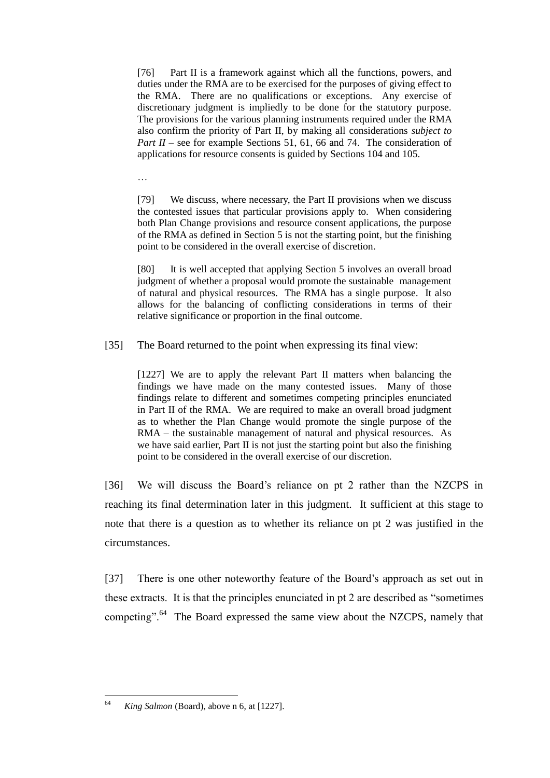[76] Part II is a framework against which all the functions, powers, and duties under the RMA are to be exercised for the purposes of giving effect to the RMA. There are no qualifications or exceptions. Any exercise of discretionary judgment is impliedly to be done for the statutory purpose. The provisions for the various planning instruments required under the RMA also confirm the priority of Part II, by making all considerations *subject to Part II* – see for example Sections 51, 61, 66 and 74. The consideration of applications for resource consents is guided by Sections 104 and 105.

…

[79] We discuss, where necessary, the Part II provisions when we discuss the contested issues that particular provisions apply to. When considering both Plan Change provisions and resource consent applications, the purpose of the RMA as defined in Section 5 is not the starting point, but the finishing point to be considered in the overall exercise of discretion.

[80] It is well accepted that applying Section 5 involves an overall broad judgment of whether a proposal would promote the sustainable management of natural and physical resources. The RMA has a single purpose. It also allows for the balancing of conflicting considerations in terms of their relative significance or proportion in the final outcome.

[35] The Board returned to the point when expressing its final view:

[1227] We are to apply the relevant Part II matters when balancing the findings we have made on the many contested issues. Many of those findings relate to different and sometimes competing principles enunciated in Part II of the RMA. We are required to make an overall broad judgment as to whether the Plan Change would promote the single purpose of the RMA – the sustainable management of natural and physical resources. As we have said earlier, Part II is not just the starting point but also the finishing point to be considered in the overall exercise of our discretion.

[36] We will discuss the Board's reliance on pt 2 rather than the NZCPS in reaching its final determination later in this judgment. It sufficient at this stage to note that there is a question as to whether its reliance on pt 2 was justified in the circumstances.

[37] There is one other noteworthy feature of the Board's approach as set out in these extracts. It is that the principles enunciated in pt 2 are described as "sometimes competing".<sup>64</sup> The Board expressed the same view about the NZCPS, namely that

<sup>64</sup> King Salmon (Board), above n [6,](#page-2-1) at [1227].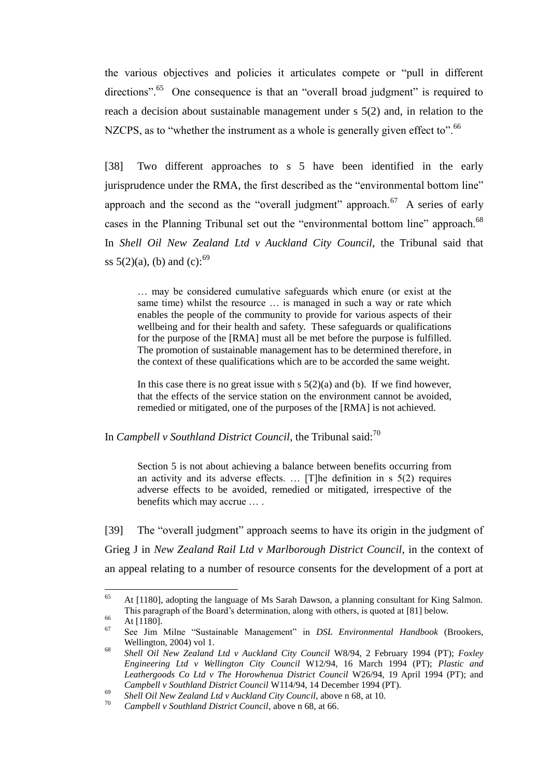the various objectives and policies it articulates compete or "pull in different directions".<sup>65</sup> One consequence is that an "overall broad judgment" is required to reach a decision about sustainable management under s 5(2) and, in relation to the NZCPS, as to "whether the instrument as a whole is generally given effect to".<sup>66</sup>

[38] Two different approaches to s 5 have been identified in the early jurisprudence under the RMA, the first described as the "environmental bottom line" approach and the second as the "overall judgment" approach. $67$  A series of early cases in the Planning Tribunal set out the "environmental bottom line" approach.<sup>68</sup> In *Shell Oil New Zealand Ltd v Auckland City Council*, the Tribunal said that ss  $5(2)(a)$ , (b) and (c):<sup>69</sup>

<span id="page-20-0"></span>… may be considered cumulative safeguards which enure (or exist at the same time) whilst the resource … is managed in such a way or rate which enables the people of the community to provide for various aspects of their wellbeing and for their health and safety. These safeguards or qualifications for the purpose of the [RMA] must all be met before the purpose is fulfilled. The promotion of sustainable management has to be determined therefore, in the context of these qualifications which are to be accorded the same weight.

In this case there is no great issue with  $s \frac{5(2)}{a}$  and (b). If we find however, that the effects of the service station on the environment cannot be avoided, remedied or mitigated, one of the purposes of the [RMA] is not achieved.

In *Campbell v Southland District Council*, the Tribunal said:<sup>70</sup>

Section 5 is not about achieving a balance between benefits occurring from an activity and its adverse effects. … [T]he definition in s 5(2) requires adverse effects to be avoided, remedied or mitigated, irrespective of the benefits which may accrue … .

[39] The "overall judgment" approach seems to have its origin in the judgment of Grieg J in *New Zealand Rail Ltd v Marlborough District Council*, in the context of an appeal relating to a number of resource consents for the development of a port at

<sup>65</sup> <sup>65</sup> At [1180], adopting the language of Ms Sarah Dawson, a planning consultant for King Salmon. This paragraph of the Board's determination, along with others, is quoted at [\[81\]](#page-38-0) below.

 $\frac{66}{67}$  At [1180].

<sup>67</sup> See Jim Milne "Sustainable Management" in *DSL Environmental Handbook* (Brookers, Wellington, 2004) vol 1.

<sup>68</sup> *Shell Oil New Zealand Ltd v Auckland City Council* W8/94, 2 February 1994 (PT); *Foxley Engineering Ltd v Wellington City Council* W12/94, 16 March 1994 (PT); *Plastic and Leathergoods Co Ltd v The Horowhenua District Council* W26/94, 19 April 1994 (PT); and *Campbell v Southland District Council* W114/94, 14 December 1994 (PT).

<sup>69</sup> *Shell Oil New Zealand Ltd v Auckland City Council*, above [n 68,](#page-20-0) at 10.

<sup>70</sup> *Campbell v Southland District Council*, above [n 68,](#page-20-0) at 66.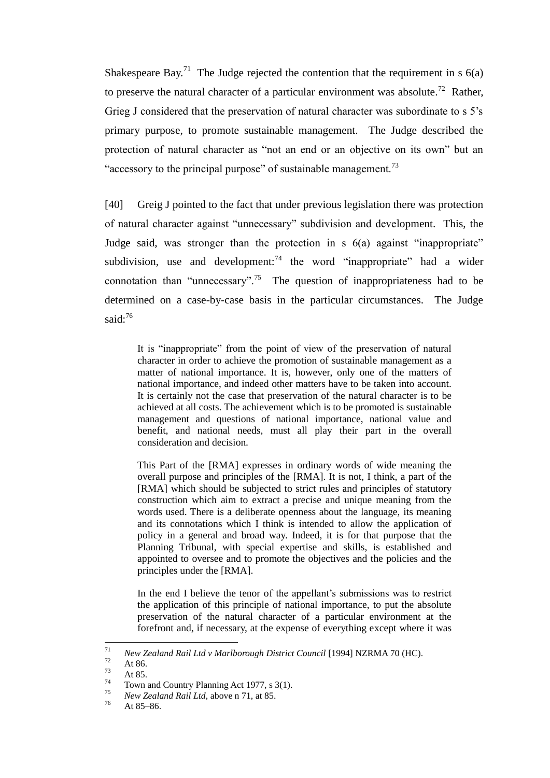<span id="page-21-1"></span>Shakespeare Bay.<sup>71</sup> The Judge rejected the contention that the requirement in s  $6(a)$ to preserve the natural character of a particular environment was absolute.<sup>72</sup> Rather, Grieg J considered that the preservation of natural character was subordinate to s 5's primary purpose, to promote sustainable management. The Judge described the protection of natural character as "not an end or an objective on its own" but an "accessory to the principal purpose" of sustainable management.<sup>73</sup>

<span id="page-21-0"></span>[40] Greig J pointed to the fact that under previous legislation there was protection of natural character against "unnecessary" subdivision and development. This, the Judge said, was stronger than the protection in s 6(a) against "inappropriate" subdivision, use and development:<sup>74</sup> the word "inappropriate" had a wider connotation than "unnecessary".<sup>75</sup> The question of inappropriateness had to be determined on a case-by-case basis in the particular circumstances. The Judge said:<sup>76</sup>

It is "inappropriate" from the point of view of the preservation of natural character in order to achieve the promotion of sustainable management as a matter of national importance. It is, however, only one of the matters of national importance, and indeed other matters have to be taken into account. It is certainly not the case that preservation of the natural character is to be achieved at all costs. The achievement which is to be promoted is sustainable management and questions of national importance, national value and benefit, and national needs, must all play their part in the overall consideration and decision.

This Part of the [RMA] expresses in ordinary words of wide meaning the overall purpose and principles of the [RMA]. It is not, I think, a part of the [RMA] which should be subjected to strict rules and principles of statutory construction which aim to extract a precise and unique meaning from the words used. There is a deliberate openness about the language, its meaning and its connotations which I think is intended to allow the application of policy in a general and broad way. Indeed, it is for that purpose that the Planning Tribunal, with special expertise and skills, is established and appointed to oversee and to promote the objectives and the policies and the principles under the [RMA].

In the end I believe the tenor of the appellant's submissions was to restrict the application of this principle of national importance, to put the absolute preservation of the natural character of a particular environment at the forefront and, if necessary, at the expense of everything except where it was

<sup>71</sup> <sup>71</sup> *New Zealand Rail Ltd v Marlborough District Council* [1994] NZRMA 70 (HC).

 $\frac{72}{73}$  At 86.

 $\frac{73}{74}$  At 85.

 $^{74}$  Town and Country Planning Act 1977, s 3(1).

<sup>&</sup>lt;sup>75</sup> *New Zealand Rail Ltd*, above [n 71,](#page-21-1) at 85.

At 85–86.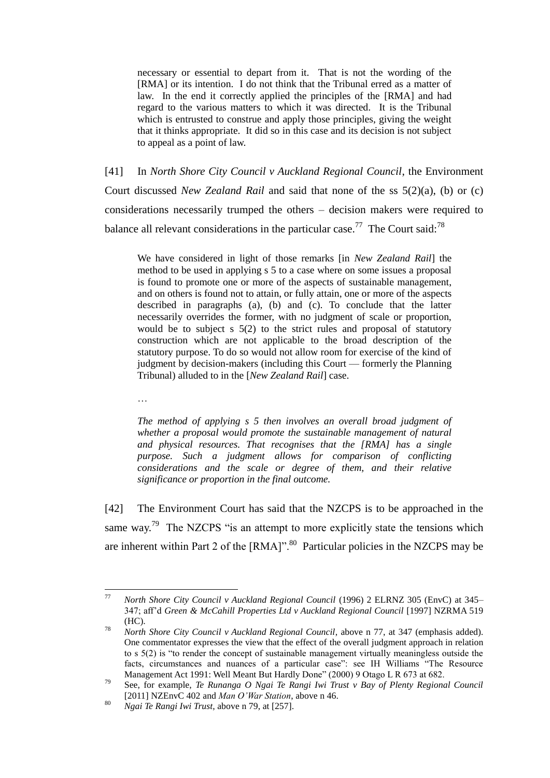necessary or essential to depart from it. That is not the wording of the [RMA] or its intention. I do not think that the Tribunal erred as a matter of law. In the end it correctly applied the principles of the [RMA] and had regard to the various matters to which it was directed. It is the Tribunal which is entrusted to construe and apply those principles, giving the weight that it thinks appropriate. It did so in this case and its decision is not subject to appeal as a point of law.

[41] In *North Shore City Council v Auckland Regional Council*, the Environment Court discussed *New Zealand Rail* and said that none of the ss 5(2)(a), (b) or (c) considerations necessarily trumped the others – decision makers were required to balance all relevant considerations in the particular case.<sup>77</sup> The Court said:<sup>78</sup>

<span id="page-22-0"></span>We have considered in light of those remarks [in *New Zealand Rail*] the method to be used in applying s 5 to a case where on some issues a proposal is found to promote one or more of the aspects of sustainable management, and on others is found not to attain, or fully attain, one or more of the aspects described in paragraphs (a), (b) and (c). To conclude that the latter necessarily overrides the former, with no judgment of scale or proportion, would be to subject s 5(2) to the strict rules and proposal of statutory construction which are not applicable to the broad description of the statutory purpose. To do so would not allow room for exercise of the kind of judgment by decision-makers (including this Court — formerly the Planning Tribunal) alluded to in the [*New Zealand Rail*] case.

…

*The method of applying s 5 then involves an overall broad judgment of whether a proposal would promote the sustainable management of natural and physical resources. That recognises that the [RMA] has a single purpose. Such a judgment allows for comparison of conflicting considerations and the scale or degree of them, and their relative significance or proportion in the final outcome.* 

<span id="page-22-1"></span>[42] The Environment Court has said that the NZCPS is to be approached in the same way.<sup>79</sup> The NZCPS "is an attempt to more explicitly state the tensions which are inherent within Part 2 of the  $[RMA]$ ".<sup>80</sup> Particular policies in the NZCPS may be

<sup>77</sup> <sup>77</sup> *North Shore City Council v Auckland Regional Council* (1996) 2 ELRNZ 305 (EnvC) at 345– 347; aff'd *Green & McCahill Properties Ltd v Auckland Regional Council* [1997] NZRMA 519 (HC).

<sup>78</sup> *North Shore City Council v Auckland Regional Council*, above n [77,](#page-22-0) at 347 (emphasis added). One commentator expresses the view that the effect of the overall judgment approach in relation to s 5(2) is "to render the concept of sustainable management virtually meaningless outside the facts, circumstances and nuances of a particular case": see IH Williams "The Resource Management Act 1991: Well Meant But Hardly Done" (2000) 9 Otago L R 673 at 682.

<sup>79</sup> See, for example, *Te Runanga O Ngai Te Rangi Iwi Trust v Bay of Plenty Regional Council* [2011] NZEnvC 402 and *Man O'War Station*, above n [46.](#page-12-0)

<sup>80</sup> *Ngai Te Rangi Iwi Trust*, above n [79,](#page-22-1) at [257].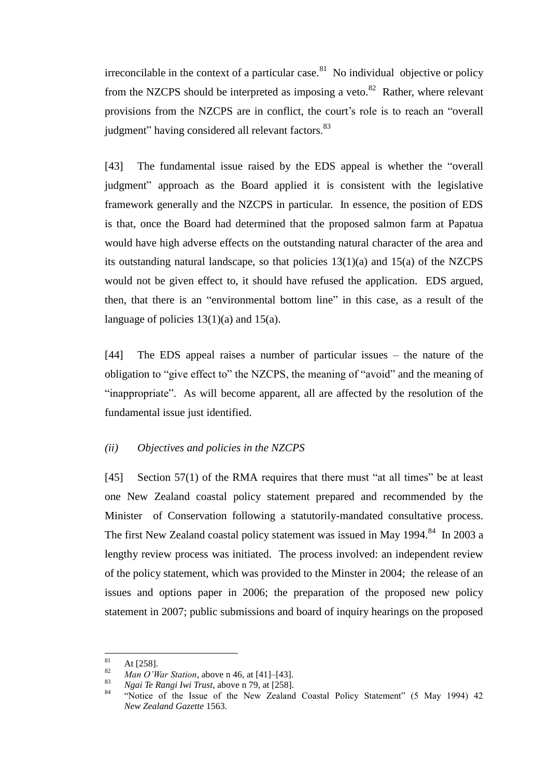irreconcilable in the context of a particular case.<sup>81</sup> No individual objective or policy from the NZCPS should be interpreted as imposing a veto.<sup>82</sup> Rather, where relevant provisions from the NZCPS are in conflict, the court's role is to reach an "overall judgment" having considered all relevant factors.<sup>83</sup>

[43] The fundamental issue raised by the EDS appeal is whether the "overall" judgment" approach as the Board applied it is consistent with the legislative framework generally and the NZCPS in particular. In essence, the position of EDS is that, once the Board had determined that the proposed salmon farm at Papatua would have high adverse effects on the outstanding natural character of the area and its outstanding natural landscape, so that policies  $13(1)(a)$  and  $15(a)$  of the NZCPS would not be given effect to, it should have refused the application. EDS argued, then, that there is an "environmental bottom line" in this case, as a result of the language of policies  $13(1)(a)$  and  $15(a)$ .

[44] The EDS appeal raises a number of particular issues – the nature of the obligation to "give effect to" the NZCPS, the meaning of "avoid" and the meaning of "inappropriate". As will become apparent, all are affected by the resolution of the fundamental issue just identified.

### *(ii) Objectives and policies in the NZCPS*

<span id="page-23-0"></span>[45] Section 57(1) of the RMA requires that there must "at all times" be at least one New Zealand coastal policy statement prepared and recommended by the Minister of Conservation following a statutorily-mandated consultative process. The first New Zealand coastal policy statement was issued in May 1994.<sup>84</sup> In 2003 a lengthy review process was initiated. The process involved: an independent review of the policy statement, which was provided to the Minster in 2004; the release of an issues and options paper in 2006; the preparation of the proposed new policy statement in 2007; public submissions and board of inquiry hearings on the proposed

<sup>81</sup>  $\frac{81}{82}$  At [258].

<sup>&</sup>lt;sup>82</sup> *Man O'War Station*, above n [46,](#page-12-0) at [41]–[43].<br><sup>83</sup> *Nosi Ta Pansi Jui Tuut*, above n 70, at [259]

<sup>83</sup> *Ngai Te Rangi Iwi Trust*, above n [79,](#page-22-1) at [258].

<sup>&</sup>quot;Notice of the Issue of the New Zealand Coastal Policy Statement" (5 May 1994) 42 *New Zealand Gazette* 1563.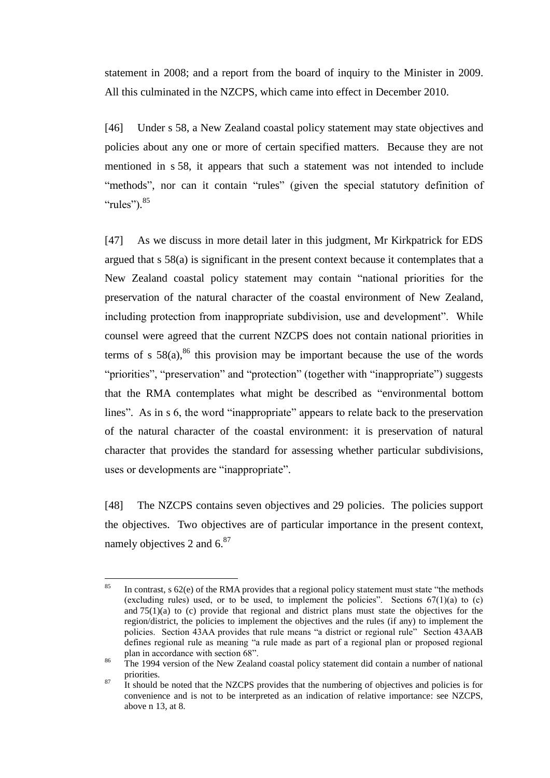statement in 2008; and a report from the board of inquiry to the Minister in 2009. All this culminated in the NZCPS, which came into effect in December 2010.

[46] Under s 58, a New Zealand coastal policy statement may state objectives and policies about any one or more of certain specified matters. Because they are not mentioned in s 58, it appears that such a statement was not intended to include "methods", nor can it contain "rules" (given the special statutory definition of "rules").<sup>85</sup>

[47] As we discuss in more detail later in this judgment, Mr Kirkpatrick for EDS argued that s 58(a) is significant in the present context because it contemplates that a New Zealand coastal policy statement may contain "national priorities for the preservation of the natural character of the coastal environment of New Zealand, including protection from inappropriate subdivision, use and development". While counsel were agreed that the current NZCPS does not contain national priorities in terms of s  $58(a)$ ,<sup>86</sup> this provision may be important because the use of the words "priorities", "preservation" and "protection" (together with "inappropriate") suggests that the RMA contemplates what might be described as "environmental bottom lines". As in s 6, the word "inappropriate" appears to relate back to the preservation of the natural character of the coastal environment: it is preservation of natural character that provides the standard for assessing whether particular subdivisions, uses or developments are "inappropriate".

[48] The NZCPS contains seven objectives and 29 policies. The policies support the objectives. Two objectives are of particular importance in the present context, namely objectives 2 and  $6^{87}$ 

<sup>85</sup> In contrast, s 62(e) of the RMA provides that a regional policy statement must state "the methods" (excluding rules) used, or to be used, to implement the policies". Sections  $67(1)(a)$  to (c) and  $75(1)(a)$  to (c) provide that regional and district plans must state the objectives for the region/district, the policies to implement the objectives and the rules (if any) to implement the policies. Section 43AA provides that rule means "a district or regional rule" Section 43AAB defines regional rule as meaning "a rule made as part of a regional plan or proposed regional plan in accordance with section 68".

<sup>&</sup>lt;sup>86</sup> The 1994 version of the New Zealand coastal policy statement did contain a number of national priorities.

 $87\quad$  It should be noted that the NZCPS provides that the numbering of objectives and policies is for convenience and is not to be interpreted as an indication of relative importance: see NZCPS, above [n 13,](#page-3-2) at 8.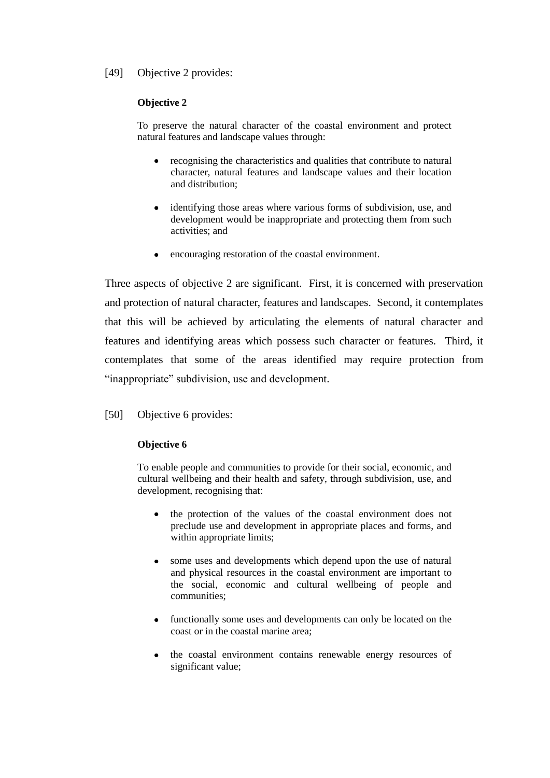# [49] Objective 2 provides:

### **Objective 2**

To preserve the natural character of the coastal environment and protect natural features and landscape values through:

- recognising the characteristics and qualities that contribute to natural character, natural features and landscape values and their location and distribution;
- identifying those areas where various forms of subdivision, use, and  $\bullet$ development would be inappropriate and protecting them from such activities; and
- encouraging restoration of the coastal environment.  $\bullet$

Three aspects of objective 2 are significant. First, it is concerned with preservation and protection of natural character, features and landscapes. Second, it contemplates that this will be achieved by articulating the elements of natural character and features and identifying areas which possess such character or features. Third, it contemplates that some of the areas identified may require protection from "inappropriate" subdivision, use and development.

[50] Objective 6 provides:

### **Objective 6**

To enable people and communities to provide for their social, economic, and cultural wellbeing and their health and safety, through subdivision, use, and development, recognising that:

- the protection of the values of the coastal environment does not preclude use and development in appropriate places and forms, and within appropriate limits;
- some uses and developments which depend upon the use of natural and physical resources in the coastal environment are important to the social, economic and cultural wellbeing of people and communities;
- functionally some uses and developments can only be located on the coast or in the coastal marine area;
- the coastal environment contains renewable energy resources of significant value;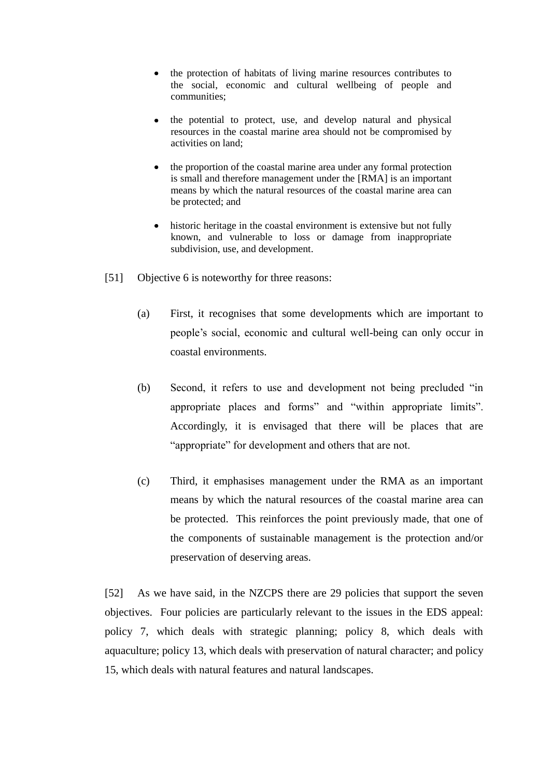- the protection of habitats of living marine resources contributes to the social, economic and cultural wellbeing of people and communities;
- the potential to protect, use, and develop natural and physical resources in the coastal marine area should not be compromised by activities on land;
- the proportion of the coastal marine area under any formal protection is small and therefore management under the [RMA] is an important means by which the natural resources of the coastal marine area can be protected; and
- historic heritage in the coastal environment is extensive but not fully known, and vulnerable to loss or damage from inappropriate subdivision, use, and development.
- [51] Objective 6 is noteworthy for three reasons:
	- (a) First, it recognises that some developments which are important to people's social, economic and cultural well-being can only occur in coastal environments.
	- (b) Second, it refers to use and development not being precluded "in appropriate places and forms" and "within appropriate limits". Accordingly, it is envisaged that there will be places that are "appropriate" for development and others that are not.
	- (c) Third, it emphasises management under the RMA as an important means by which the natural resources of the coastal marine area can be protected. This reinforces the point previously made, that one of the components of sustainable management is the protection and/or preservation of deserving areas.

[52] As we have said, in the NZCPS there are 29 policies that support the seven objectives. Four policies are particularly relevant to the issues in the EDS appeal: policy 7, which deals with strategic planning; policy 8, which deals with aquaculture; policy 13, which deals with preservation of natural character; and policy 15, which deals with natural features and natural landscapes.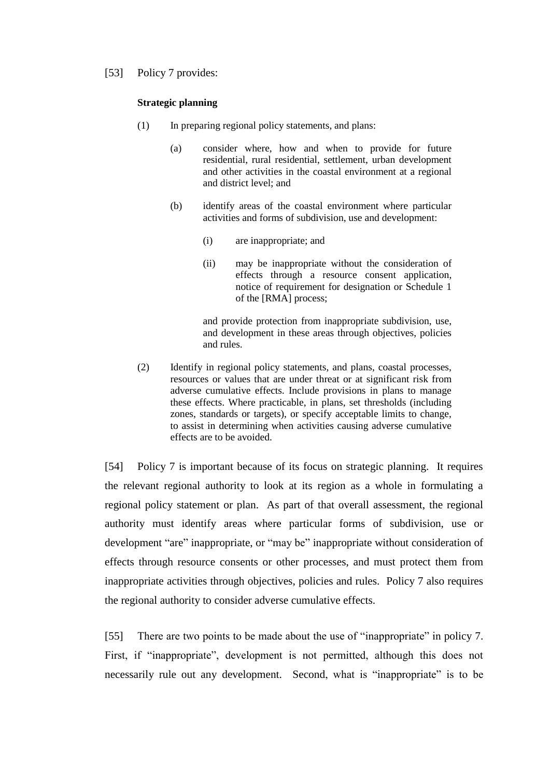[53] Policy 7 provides:

#### **Strategic planning**

- (1) In preparing regional policy statements, and plans:
	- (a) consider where, how and when to provide for future residential, rural residential, settlement, urban development and other activities in the coastal environment at a regional and district level; and
	- (b) identify areas of the coastal environment where particular activities and forms of subdivision, use and development:
		- (i) are inappropriate; and
		- (ii) may be inappropriate without the consideration of effects through a resource consent application, notice of requirement for designation or Schedule 1 of the [RMA] process;

and provide protection from inappropriate subdivision, use, and development in these areas through objectives, policies and rules.

(2) Identify in regional policy statements, and plans, coastal processes, resources or values that are under threat or at significant risk from adverse cumulative effects. Include provisions in plans to manage these effects. Where practicable, in plans, set thresholds (including zones, standards or targets), or specify acceptable limits to change, to assist in determining when activities causing adverse cumulative effects are to be avoided.

[54] Policy 7 is important because of its focus on strategic planning. It requires the relevant regional authority to look at its region as a whole in formulating a regional policy statement or plan. As part of that overall assessment, the regional authority must identify areas where particular forms of subdivision, use or development "are" inappropriate, or "may be" inappropriate without consideration of effects through resource consents or other processes, and must protect them from inappropriate activities through objectives, policies and rules. Policy 7 also requires the regional authority to consider adverse cumulative effects.

[55] There are two points to be made about the use of "inappropriate" in policy 7. First, if "inappropriate", development is not permitted, although this does not necessarily rule out any development. Second, what is "inappropriate" is to be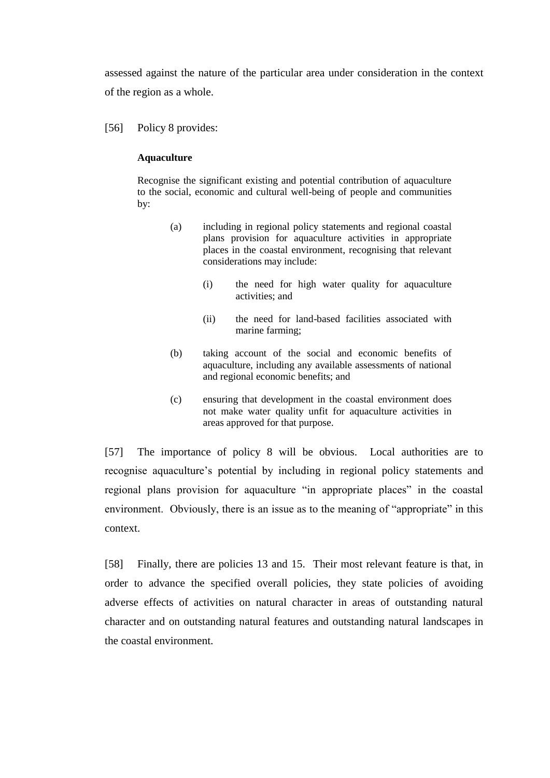assessed against the nature of the particular area under consideration in the context of the region as a whole.

[56] Policy 8 provides:

### **Aquaculture**

Recognise the significant existing and potential contribution of aquaculture to the social, economic and cultural well-being of people and communities by:

- (a) including in regional policy statements and regional coastal plans provision for aquaculture activities in appropriate places in the coastal environment, recognising that relevant considerations may include:
	- (i) the need for high water quality for aquaculture activities; and
	- (ii) the need for land-based facilities associated with marine farming;
- (b) taking account of the social and economic benefits of aquaculture, including any available assessments of national and regional economic benefits; and
- (c) ensuring that development in the coastal environment does not make water quality unfit for aquaculture activities in areas approved for that purpose.

[57] The importance of policy 8 will be obvious. Local authorities are to recognise aquaculture's potential by including in regional policy statements and regional plans provision for aquaculture "in appropriate places" in the coastal environment. Obviously, there is an issue as to the meaning of "appropriate" in this context.

[58] Finally, there are policies 13 and 15. Their most relevant feature is that, in order to advance the specified overall policies, they state policies of avoiding adverse effects of activities on natural character in areas of outstanding natural character and on outstanding natural features and outstanding natural landscapes in the coastal environment.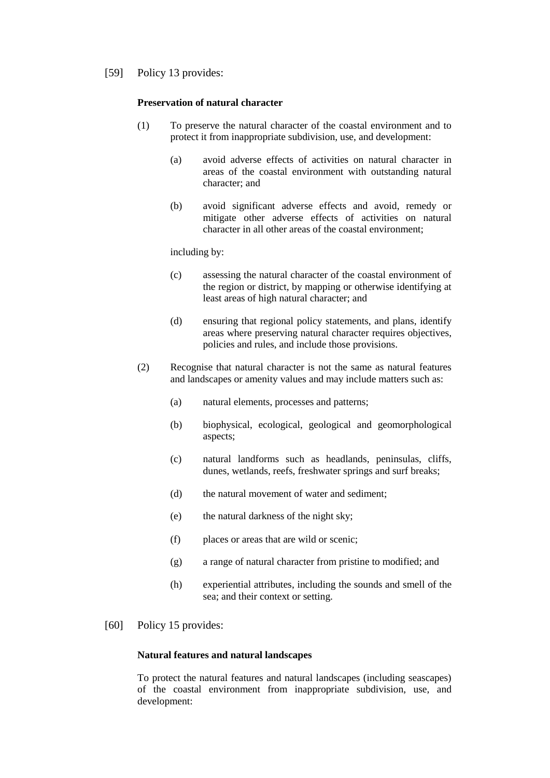[59] Policy 13 provides:

#### **Preservation of natural character**

- (1) To preserve the natural character of the coastal environment and to protect it from inappropriate subdivision, use, and development:
	- (a) avoid adverse effects of activities on natural character in areas of the coastal environment with outstanding natural character; and
	- (b) avoid significant adverse effects and avoid, remedy or mitigate other adverse effects of activities on natural character in all other areas of the coastal environment;

including by:

- (c) assessing the natural character of the coastal environment of the region or district, by mapping or otherwise identifying at least areas of high natural character; and
- (d) ensuring that regional policy statements, and plans, identify areas where preserving natural character requires objectives, policies and rules, and include those provisions.
- (2) Recognise that natural character is not the same as natural features and landscapes or amenity values and may include matters such as:
	- (a) natural elements, processes and patterns;
	- (b) biophysical, ecological, geological and geomorphological aspects;
	- (c) natural landforms such as headlands, peninsulas, cliffs, dunes, wetlands, reefs, freshwater springs and surf breaks;
	- (d) the natural movement of water and sediment;
	- (e) the natural darkness of the night sky;
	- (f) places or areas that are wild or scenic;
	- (g) a range of natural character from pristine to modified; and
	- (h) experiential attributes, including the sounds and smell of the sea; and their context or setting.
- [60] Policy 15 provides:

#### **Natural features and natural landscapes**

To protect the natural features and natural landscapes (including seascapes) of the coastal environment from inappropriate subdivision, use, and development: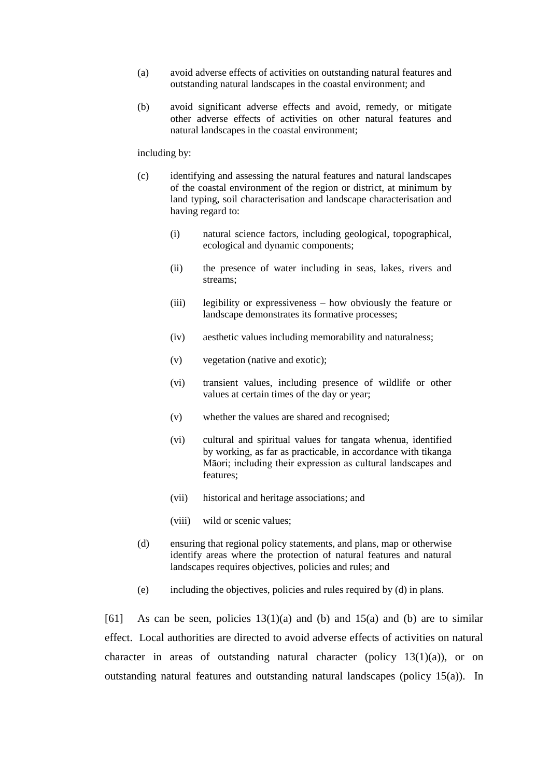- (a) avoid adverse effects of activities on outstanding natural features and outstanding natural landscapes in the coastal environment; and
- (b) avoid significant adverse effects and avoid, remedy, or mitigate other adverse effects of activities on other natural features and natural landscapes in the coastal environment;

including by:

- (c) identifying and assessing the natural features and natural landscapes of the coastal environment of the region or district, at minimum by land typing, soil characterisation and landscape characterisation and having regard to:
	- (i) natural science factors, including geological, topographical, ecological and dynamic components;
	- (ii) the presence of water including in seas, lakes, rivers and streams;
	- (iii) legibility or expressiveness how obviously the feature or landscape demonstrates its formative processes;
	- (iv) aesthetic values including memorability and naturalness;
	- (v) vegetation (native and exotic);
	- (vi) transient values, including presence of wildlife or other values at certain times of the day or year;
	- (v) whether the values are shared and recognised;
	- (vi) cultural and spiritual values for tangata whenua, identified by working, as far as practicable, in accordance with tikanga Māori; including their expression as cultural landscapes and features;
	- (vii) historical and heritage associations; and
	- (viii) wild or scenic values;
- (d) ensuring that regional policy statements, and plans, map or otherwise identify areas where the protection of natural features and natural landscapes requires objectives, policies and rules; and
- (e) including the objectives, policies and rules required by (d) in plans.

[61] As can be seen, policies  $13(1)(a)$  and (b) and  $15(a)$  and (b) are to similar effect. Local authorities are directed to avoid adverse effects of activities on natural character in areas of outstanding natural character (policy  $13(1)(a)$ ), or on outstanding natural features and outstanding natural landscapes (policy 15(a)). In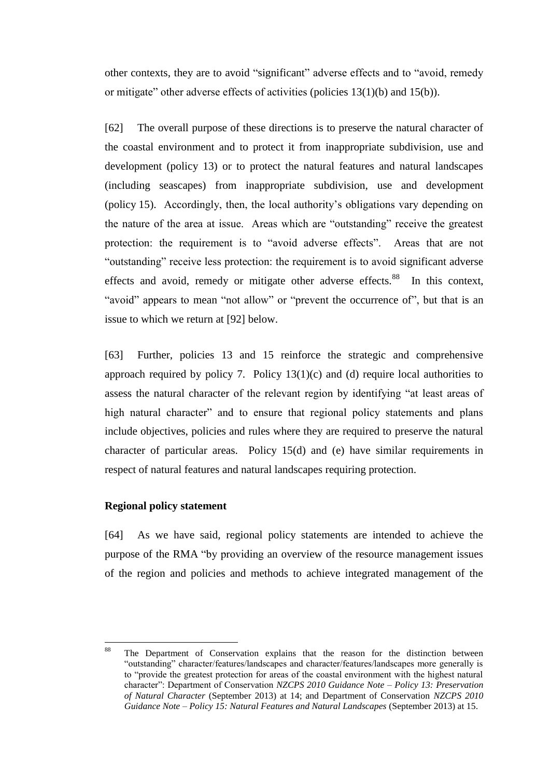other contexts, they are to avoid "significant" adverse effects and to "avoid, remedy or mitigate" other adverse effects of activities (policies 13(1)(b) and 15(b)).

[62] The overall purpose of these directions is to preserve the natural character of the coastal environment and to protect it from inappropriate subdivision, use and development (policy 13) or to protect the natural features and natural landscapes (including seascapes) from inappropriate subdivision, use and development (policy 15). Accordingly, then, the local authority's obligations vary depending on the nature of the area at issue. Areas which are "outstanding" receive the greatest protection: the requirement is to "avoid adverse effects". Areas that are not "outstanding" receive less protection: the requirement is to avoid significant adverse effects and avoid, remedy or mitigate other adverse effects.<sup>88</sup> In this context, "avoid" appears to mean "not allow" or "prevent the occurrence of", but that is an issue to which we return at [\[92\]](#page-42-0) below.

[63] Further, policies 13 and 15 reinforce the strategic and comprehensive approach required by policy 7. Policy  $13(1)(c)$  and (d) require local authorities to assess the natural character of the relevant region by identifying "at least areas of high natural character" and to ensure that regional policy statements and plans include objectives, policies and rules where they are required to preserve the natural character of particular areas. Policy 15(d) and (e) have similar requirements in respect of natural features and natural landscapes requiring protection.

### **Regional policy statement**

<span id="page-31-0"></span>[64] As we have said, regional policy statements are intended to achieve the purpose of the RMA "by providing an overview of the resource management issues of the region and policies and methods to achieve integrated management of the

<sup>88</sup> The Department of Conservation explains that the reason for the distinction between "outstanding" character/features/landscapes and character/features/landscapes more generally is to "provide the greatest protection for areas of the coastal environment with the highest natural character": Department of Conservation *NZCPS 2010 Guidance Note – Policy 13: Preservation of Natural Character* (September 2013) at 14; and Department of Conservation *NZCPS 2010 Guidance Note – Policy 15: Natural Features and Natural Landscapes* (September 2013) at 15.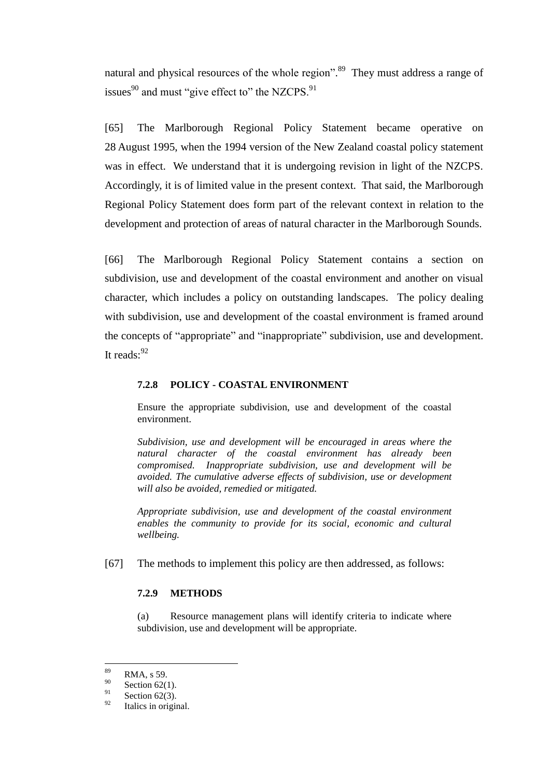natural and physical resources of the whole region".<sup>89</sup> They must address a range of issues $90$  and must "give effect to" the NZCPS. $91$ 

[65] The Marlborough Regional Policy Statement became operative on 28 August 1995, when the 1994 version of the New Zealand coastal policy statement was in effect. We understand that it is undergoing revision in light of the NZCPS. Accordingly, it is of limited value in the present context. That said, the Marlborough Regional Policy Statement does form part of the relevant context in relation to the development and protection of areas of natural character in the Marlborough Sounds.

[66] The Marlborough Regional Policy Statement contains a section on subdivision, use and development of the coastal environment and another on visual character, which includes a policy on outstanding landscapes. The policy dealing with subdivision, use and development of the coastal environment is framed around the concepts of "appropriate" and "inappropriate" subdivision, use and development. It reads:<sup>92</sup>

### **7.2.8 POLICY - COASTAL ENVIRONMENT**

Ensure the appropriate subdivision, use and development of the coastal environment.

*Subdivision, use and development will be encouraged in areas where the natural character of the coastal environment has already been compromised. Inappropriate subdivision, use and development will be avoided. The cumulative adverse effects of subdivision, use or development will also be avoided, remedied or mitigated.*

*Appropriate subdivision, use and development of the coastal environment enables the community to provide for its social, economic and cultural wellbeing.*

[67] The methods to implement this policy are then addressed, as follows:

#### **7.2.9 METHODS**

(a) Resource management plans will identify criteria to indicate where subdivision, use and development will be appropriate.

<sup>89</sup>  $^{89}$  RMA, s 59.

<sup>&</sup>lt;sup>90</sup> Section 62(1).

 $\frac{91}{92}$  Section 62(3).

Italics in original.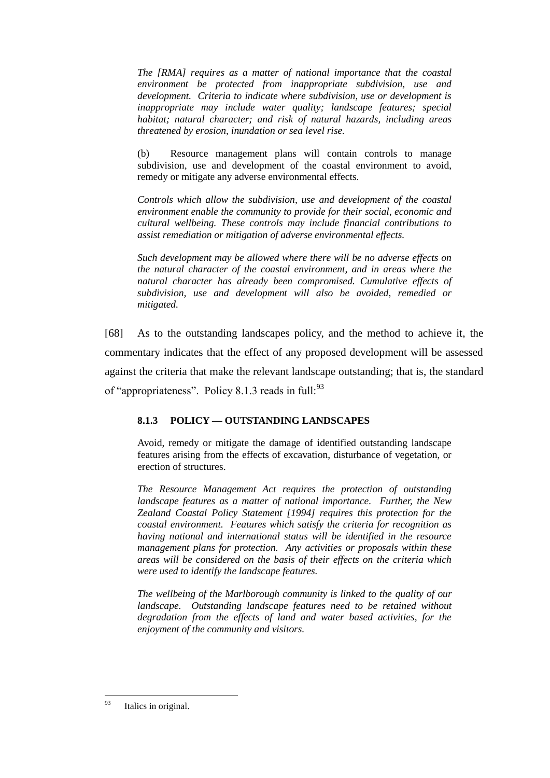*The [RMA] requires as a matter of national importance that the coastal environment be protected from inappropriate subdivision, use and development. Criteria to indicate where subdivision, use or development is inappropriate may include water quality; landscape features; special habitat; natural character; and risk of natural hazards, including areas threatened by erosion, inundation or sea level rise.*

(b) Resource management plans will contain controls to manage subdivision, use and development of the coastal environment to avoid, remedy or mitigate any adverse environmental effects.

*Controls which allow the subdivision, use and development of the coastal environment enable the community to provide for their social, economic and cultural wellbeing. These controls may include financial contributions to assist remediation or mitigation of adverse environmental effects.*

*Such development may be allowed where there will be no adverse effects on the natural character of the coastal environment, and in areas where the natural character has already been compromised. Cumulative effects of subdivision, use and development will also be avoided, remedied or mitigated.*

[68] As to the outstanding landscapes policy, and the method to achieve it, the commentary indicates that the effect of any proposed development will be assessed against the criteria that make the relevant landscape outstanding; that is, the standard of "appropriateness". Policy 8.1.3 reads in full:  $93$ 

# **8.1.3 POLICY — OUTSTANDING LANDSCAPES**

Avoid, remedy or mitigate the damage of identified outstanding landscape features arising from the effects of excavation, disturbance of vegetation, or erection of structures.

*The Resource Management Act requires the protection of outstanding landscape features as a matter of national importance. Further, the New Zealand Coastal Policy Statement [1994] requires this protection for the coastal environment. Features which satisfy the criteria for recognition as having national and international status will be identified in the resource management plans for protection. Any activities or proposals within these areas will be considered on the basis of their effects on the criteria which were used to identify the landscape features.*

*The wellbeing of the Marlborough community is linked to the quality of our landscape. Outstanding landscape features need to be retained without degradation from the effects of land and water based activities, for the enjoyment of the community and visitors.*

<sup>93</sup> Italics in original.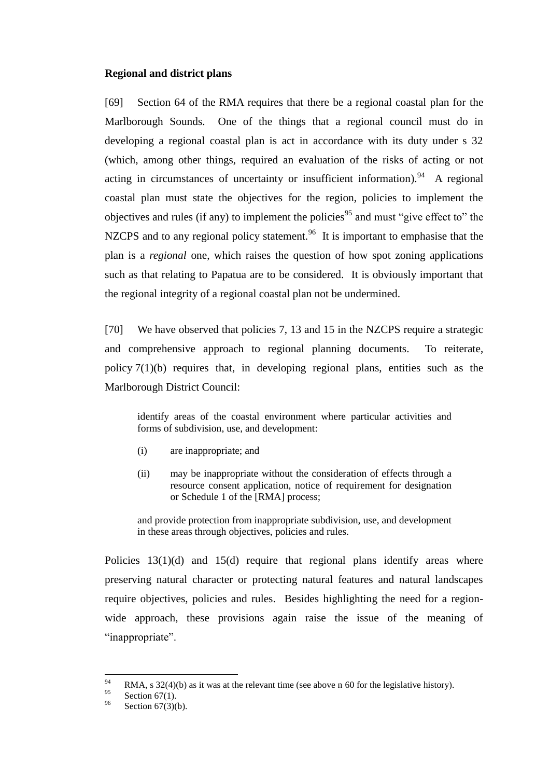## **Regional and district plans**

<span id="page-34-0"></span>[69] Section 64 of the RMA requires that there be a regional coastal plan for the Marlborough Sounds. One of the things that a regional council must do in developing a regional coastal plan is act in accordance with its duty under s 32 (which, among other things, required an evaluation of the risks of acting or not acting in circumstances of uncertainty or insufficient information). <sup>94</sup> A regional coastal plan must state the objectives for the region, policies to implement the objectives and rules (if any) to implement the policies<sup>95</sup> and must "give effect to" the NZCPS and to any regional policy statement.<sup>96</sup> It is important to emphasise that the plan is a *regional* one, which raises the question of how spot zoning applications such as that relating to Papatua are to be considered. It is obviously important that the regional integrity of a regional coastal plan not be undermined.

[70] We have observed that policies 7, 13 and 15 in the NZCPS require a strategic and comprehensive approach to regional planning documents. To reiterate, policy 7(1)(b) requires that, in developing regional plans, entities such as the Marlborough District Council:

identify areas of the coastal environment where particular activities and forms of subdivision, use, and development:

- (i) are inappropriate; and
- (ii) may be inappropriate without the consideration of effects through a resource consent application, notice of requirement for designation or Schedule 1 of the [RMA] process;

and provide protection from inappropriate subdivision, use, and development in these areas through objectives, policies and rules.

Policies 13(1)(d) and 15(d) require that regional plans identify areas where preserving natural character or protecting natural features and natural landscapes require objectives, policies and rules. Besides highlighting the need for a regionwide approach, these provisions again raise the issue of the meaning of "inappropriate".

<sup>94</sup> 94 RMA, s 32(4)(b) as it was at the relevant time (see above n [60](#page-18-0) for the legislative history).

 $^{95}$  Section 67(1).

Section  $67(3)(b)$ .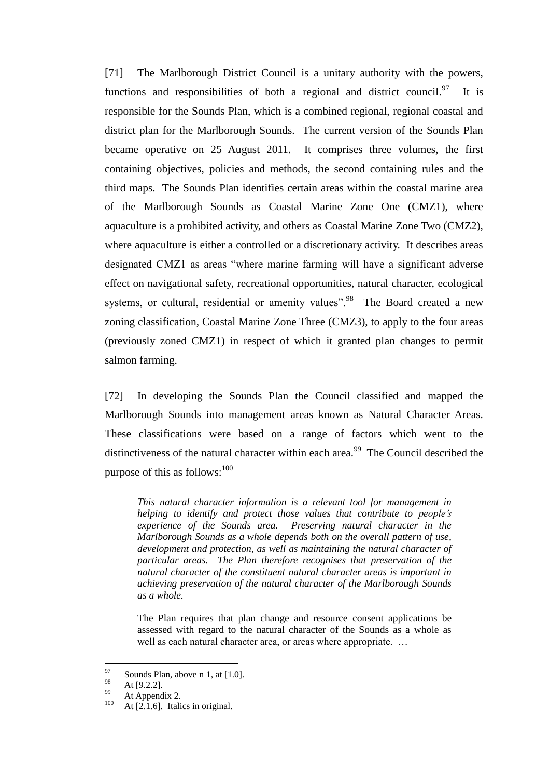[71] The Marlborough District Council is a unitary authority with the powers, functions and responsibilities of both a regional and district council.<sup>97</sup> It is responsible for the Sounds Plan, which is a combined regional, regional coastal and district plan for the Marlborough Sounds. The current version of the Sounds Plan became operative on 25 August 2011. It comprises three volumes, the first containing objectives, policies and methods, the second containing rules and the third maps. The Sounds Plan identifies certain areas within the coastal marine area of the Marlborough Sounds as Coastal Marine Zone One (CMZ1), where aquaculture is a prohibited activity, and others as Coastal Marine Zone Two (CMZ2), where aquaculture is either a controlled or a discretionary activity. It describes areas designated CMZ1 as areas "where marine farming will have a significant adverse effect on navigational safety, recreational opportunities, natural character, ecological systems, or cultural, residential or amenity values".<sup>98</sup> The Board created a new zoning classification, Coastal Marine Zone Three (CMZ3), to apply to the four areas (previously zoned CMZ1) in respect of which it granted plan changes to permit salmon farming.

[72] In developing the Sounds Plan the Council classified and mapped the Marlborough Sounds into management areas known as Natural Character Areas. These classifications were based on a range of factors which went to the distinctiveness of the natural character within each area.<sup>99</sup> The Council described the purpose of this as follows: $100$ 

*This natural character information is a relevant tool for management in helping to identify and protect those values that contribute to people's experience of the Sounds area. Preserving natural character in the Marlborough Sounds as a whole depends both on the overall pattern of use, development and protection, as well as maintaining the natural character of particular areas. The Plan therefore recognises that preservation of the natural character of the constituent natural character areas is important in achieving preservation of the natural character of the Marlborough Sounds as a whole.*

The Plan requires that plan change and resource consent applications be assessed with regard to the natural character of the Sounds as a whole as well as each natural character area, or areas where appropriate. …

<sup>97</sup>  $^{97}$  Sounds Plan, above n [1,](#page-2-3) at [1.0].

 $^{98}$  At [9.2.2].

 $^{99}$  At Appendix 2.

At  $[2.1.6]$ . Italics in original.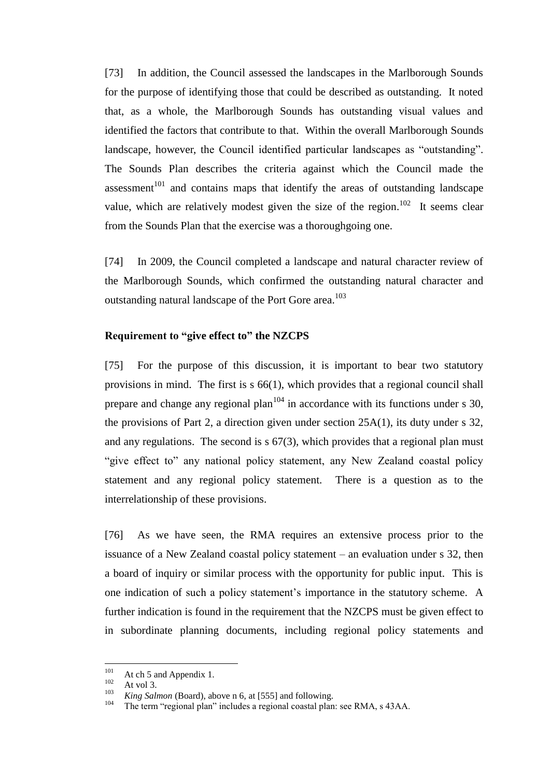[73] In addition, the Council assessed the landscapes in the Marlborough Sounds for the purpose of identifying those that could be described as outstanding. It noted that, as a whole, the Marlborough Sounds has outstanding visual values and identified the factors that contribute to that. Within the overall Marlborough Sounds landscape, however, the Council identified particular landscapes as "outstanding". The Sounds Plan describes the criteria against which the Council made the assessment<sup>101</sup> and contains maps that identify the areas of outstanding landscape value, which are relatively modest given the size of the region.<sup>102</sup> It seems clear from the Sounds Plan that the exercise was a thoroughgoing one.

[74] In 2009, the Council completed a landscape and natural character review of the Marlborough Sounds, which confirmed the outstanding natural character and outstanding natural landscape of the Port Gore area.<sup>103</sup>

#### **Requirement to "give effect to" the NZCPS**

[75] For the purpose of this discussion, it is important to bear two statutory provisions in mind. The first is s 66(1), which provides that a regional council shall prepare and change any regional plan<sup> $104$ </sup> in accordance with its functions under s 30, the provisions of Part 2, a direction given under section 25A(1), its duty under s 32, and any regulations. The second is s 67(3), which provides that a regional plan must "give effect to" any national policy statement, any New Zealand coastal policy statement and any regional policy statement. There is a question as to the interrelationship of these provisions.

[76] As we have seen, the RMA requires an extensive process prior to the issuance of a New Zealand coastal policy statement – an evaluation under s 32, then a board of inquiry or similar process with the opportunity for public input. This is one indication of such a policy statement's importance in the statutory scheme. A further indication is found in the requirement that the NZCPS must be given effect to in subordinate planning documents, including regional policy statements and

<sup>101</sup>  $101 \atop 102$  At ch 5 and Appendix 1.

 $\frac{102}{103}$  At vol 3.

<sup>&</sup>lt;sup>103</sup> *King Salmon* (Board), above n [6,](#page-2-0) at [555] and following.

The term "regional plan" includes a regional coastal plan: see RMA, s 43AA.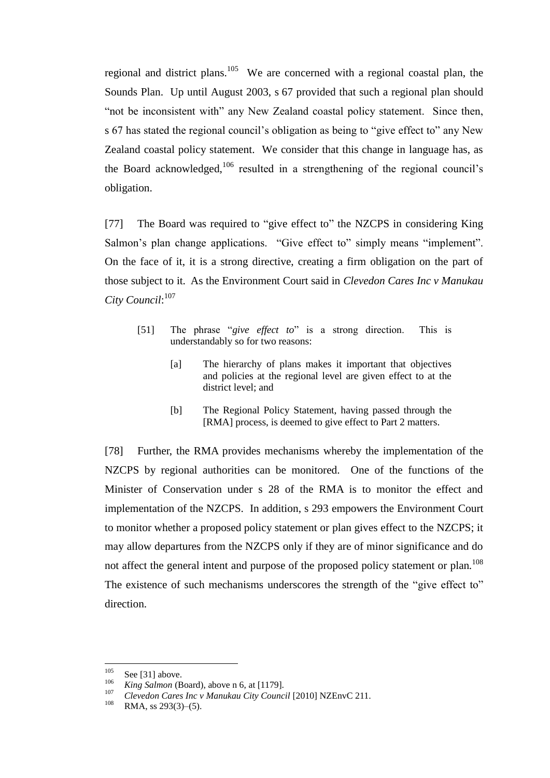regional and district plans.<sup>105</sup> We are concerned with a regional coastal plan, the Sounds Plan. Up until August 2003, s 67 provided that such a regional plan should "not be inconsistent with" any New Zealand coastal policy statement. Since then, s 67 has stated the regional council's obligation as being to "give effect to" any New Zealand coastal policy statement. We consider that this change in language has, as the Board acknowledged, $106$  resulted in a strengthening of the regional council's obligation.

[77] The Board was required to "give effect to" the NZCPS in considering King Salmon's plan change applications. "Give effect to" simply means "implement". On the face of it, it is a strong directive, creating a firm obligation on the part of those subject to it. As the Environment Court said in *Clevedon Cares Inc v Manukau City Council*: 107

- [51] The phrase "*give effect to*" is a strong direction. This is understandably so for two reasons:
	- [a] The hierarchy of plans makes it important that objectives and policies at the regional level are given effect to at the district level; and
	- [b] The Regional Policy Statement, having passed through the [RMA] process, is deemed to give effect to Part 2 matters.

[78] Further, the RMA provides mechanisms whereby the implementation of the NZCPS by regional authorities can be monitored. One of the functions of the Minister of Conservation under s 28 of the RMA is to monitor the effect and implementation of the NZCPS. In addition, s 293 empowers the Environment Court to monitor whether a proposed policy statement or plan gives effect to the NZCPS; it may allow departures from the NZCPS only if they are of minor significance and do not affect the general intent and purpose of the proposed policy statement or plan.<sup>108</sup> The existence of such mechanisms underscores the strength of the "give effect to" direction.

<sup>105</sup>  $\frac{105}{106}$  Se[e \[31\]](#page-17-0) above.

 $\frac{106}{107}$  *King Salmon* (Board), above n [6,](#page-2-0) at [1179].

<sup>&</sup>lt;sup>107</sup> *Clevedon Cares Inc v Manukau City Council* [2010] NZEnvC 211.

RMA, ss  $293(3)–(5)$ .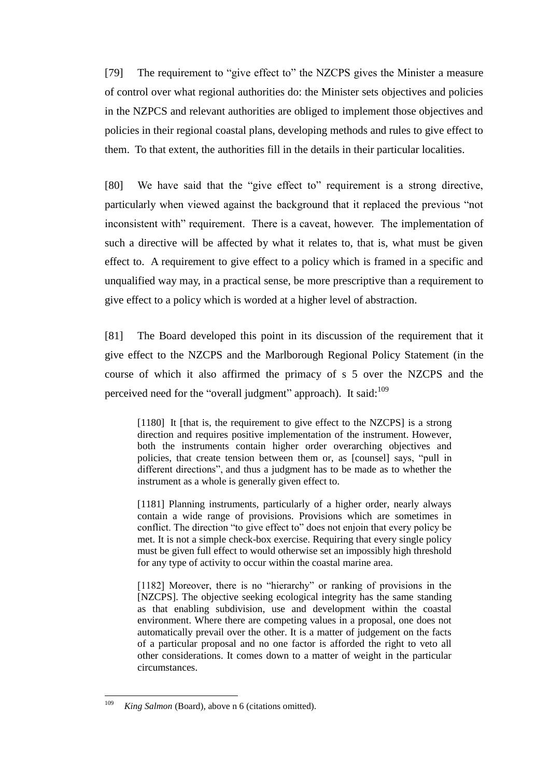[79] The requirement to "give effect to" the NZCPS gives the Minister a measure of control over what regional authorities do: the Minister sets objectives and policies in the NZPCS and relevant authorities are obliged to implement those objectives and policies in their regional coastal plans, developing methods and rules to give effect to them. To that extent, the authorities fill in the details in their particular localities.

[80] We have said that the "give effect to" requirement is a strong directive, particularly when viewed against the background that it replaced the previous "not inconsistent with" requirement. There is a caveat, however. The implementation of such a directive will be affected by what it relates to, that is, what must be given effect to. A requirement to give effect to a policy which is framed in a specific and unqualified way may, in a practical sense, be more prescriptive than a requirement to give effect to a policy which is worded at a higher level of abstraction.

<span id="page-38-0"></span>[81] The Board developed this point in its discussion of the requirement that it give effect to the NZCPS and the Marlborough Regional Policy Statement (in the course of which it also affirmed the primacy of s 5 over the NZCPS and the perceived need for the "overall judgment" approach). It said:<sup>109</sup>

[1180] It [that is, the requirement to give effect to the NZCPS] is a strong direction and requires positive implementation of the instrument. However, both the instruments contain higher order overarching objectives and policies, that create tension between them or, as [counsel] says, "pull in different directions", and thus a judgment has to be made as to whether the instrument as a whole is generally given effect to.

[1181] Planning instruments, particularly of a higher order, nearly always contain a wide range of provisions. Provisions which are sometimes in conflict. The direction "to give effect to" does not enjoin that every policy be met. It is not a simple check-box exercise. Requiring that every single policy must be given full effect to would otherwise set an impossibly high threshold for any type of activity to occur within the coastal marine area.

[1182] Moreover, there is no "hierarchy" or ranking of provisions in the [NZCPS]. The objective seeking ecological integrity has the same standing as that enabling subdivision, use and development within the coastal environment. Where there are competing values in a proposal, one does not automatically prevail over the other. It is a matter of judgement on the facts of a particular proposal and no one factor is afforded the right to veto all other considerations. It comes down to a matter of weight in the particular circumstances.

<sup>109</sup> King Salmon (Board), above n [6](#page-2-0) (citations omitted).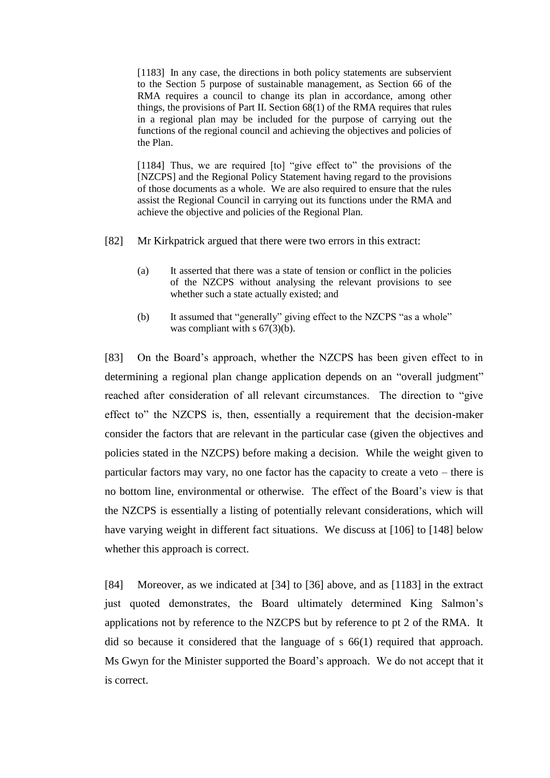[1183] In any case, the directions in both policy statements are subservient to the Section 5 purpose of sustainable management, as Section 66 of the RMA requires a council to change its plan in accordance, among other things, the provisions of Part II. Section  $68(1)$  of the RMA requires that rules in a regional plan may be included for the purpose of carrying out the functions of the regional council and achieving the objectives and policies of the Plan.

[1184] Thus, we are required [to] "give effect to" the provisions of the [NZCPS] and the Regional Policy Statement having regard to the provisions of those documents as a whole. We are also required to ensure that the rules assist the Regional Council in carrying out its functions under the RMA and achieve the objective and policies of the Regional Plan.

- [82] Mr Kirkpatrick argued that there were two errors in this extract:
	- (a) It asserted that there was a state of tension or conflict in the policies of the NZCPS without analysing the relevant provisions to see whether such a state actually existed; and
	- (b) It assumed that "generally" giving effect to the NZCPS "as a whole" was compliant with s  $67(3)(b)$ .

[83] On the Board's approach, whether the NZCPS has been given effect to in determining a regional plan change application depends on an "overall judgment" reached after consideration of all relevant circumstances. The direction to "give effect to" the NZCPS is, then, essentially a requirement that the decision-maker consider the factors that are relevant in the particular case (given the objectives and policies stated in the NZCPS) before making a decision. While the weight given to particular factors may vary, no one factor has the capacity to create a veto – there is no bottom line, environmental or otherwise. The effect of the Board's view is that the NZCPS is essentially a listing of potentially relevant considerations, which will have varying weight in different fact situations. We discuss at [\[106\]](#page-48-0) to [\[148\]](#page-66-0) below whether this approach is correct.

[84] Moreover, as we indicated at [\[34\]](#page-18-0) to [\[36\]](#page-19-0) above, and as [1183] in the extract just quoted demonstrates, the Board ultimately determined King Salmon's applications not by reference to the NZCPS but by reference to pt 2 of the RMA. It did so because it considered that the language of s 66(1) required that approach. Ms Gwyn for the Minister supported the Board's approach. We do not accept that it is correct.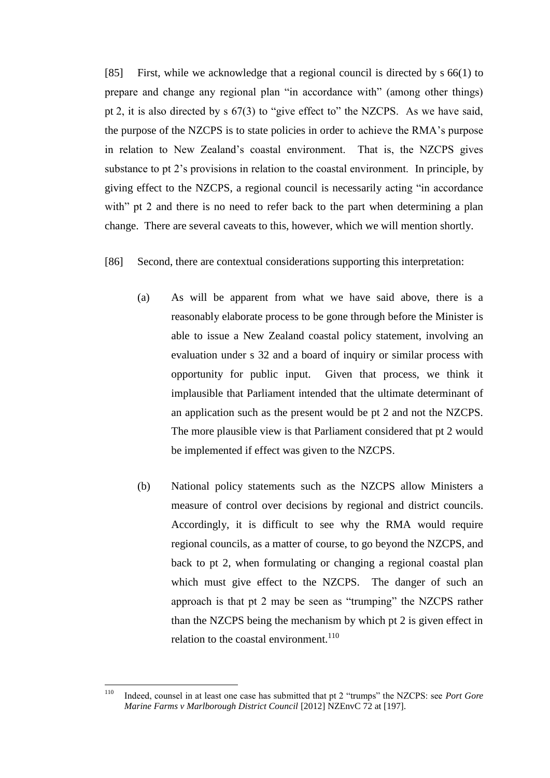[85] First, while we acknowledge that a regional council is directed by s 66(1) to prepare and change any regional plan "in accordance with" (among other things) pt 2, it is also directed by s 67(3) to "give effect to" the NZCPS. As we have said, the purpose of the NZCPS is to state policies in order to achieve the RMA's purpose in relation to New Zealand's coastal environment. That is, the NZCPS gives substance to pt 2's provisions in relation to the coastal environment. In principle, by giving effect to the NZCPS, a regional council is necessarily acting "in accordance with" pt 2 and there is no need to refer back to the part when determining a plan change. There are several caveats to this, however, which we will mention shortly.

## [86] Second, there are contextual considerations supporting this interpretation:

- (a) As will be apparent from what we have said above, there is a reasonably elaborate process to be gone through before the Minister is able to issue a New Zealand coastal policy statement, involving an evaluation under s 32 and a board of inquiry or similar process with opportunity for public input. Given that process, we think it implausible that Parliament intended that the ultimate determinant of an application such as the present would be pt 2 and not the NZCPS. The more plausible view is that Parliament considered that pt 2 would be implemented if effect was given to the NZCPS.
- (b) National policy statements such as the NZCPS allow Ministers a measure of control over decisions by regional and district councils. Accordingly, it is difficult to see why the RMA would require regional councils, as a matter of course, to go beyond the NZCPS, and back to pt 2, when formulating or changing a regional coastal plan which must give effect to the NZCPS. The danger of such an approach is that pt 2 may be seen as "trumping" the NZCPS rather than the NZCPS being the mechanism by which pt 2 is given effect in relation to the coastal environment.<sup>110</sup>

<span id="page-40-0"></span><sup>110</sup> <sup>110</sup> Indeed, counsel in at least one case has submitted that pt 2 "trumps" the NZCPS: see *Port Gore Marine Farms v Marlborough District Council* [2012] NZEnvC 72 at [197].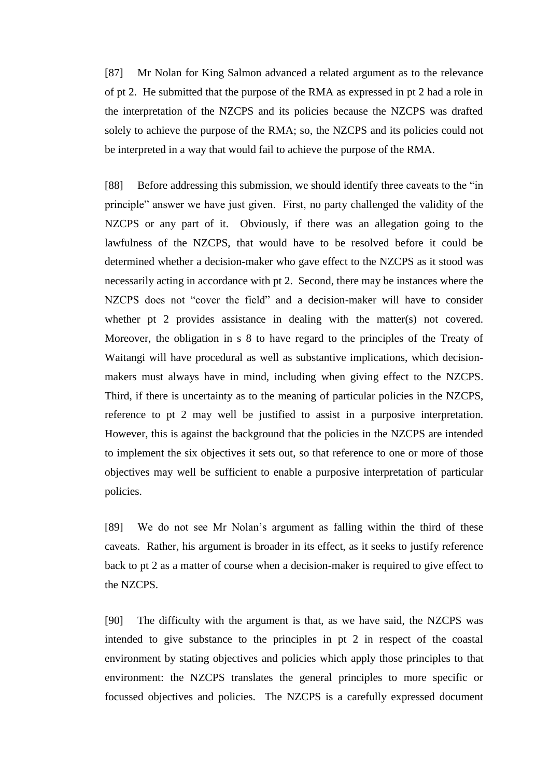[87] Mr Nolan for King Salmon advanced a related argument as to the relevance of pt 2. He submitted that the purpose of the RMA as expressed in pt 2 had a role in the interpretation of the NZCPS and its policies because the NZCPS was drafted solely to achieve the purpose of the RMA; so, the NZCPS and its policies could not be interpreted in a way that would fail to achieve the purpose of the RMA.

[88] Before addressing this submission, we should identify three caveats to the "in principle" answer we have just given. First, no party challenged the validity of the NZCPS or any part of it. Obviously, if there was an allegation going to the lawfulness of the NZCPS, that would have to be resolved before it could be determined whether a decision-maker who gave effect to the NZCPS as it stood was necessarily acting in accordance with pt 2. Second, there may be instances where the NZCPS does not "cover the field" and a decision-maker will have to consider whether pt 2 provides assistance in dealing with the matter(s) not covered. Moreover, the obligation in s 8 to have regard to the principles of the Treaty of Waitangi will have procedural as well as substantive implications, which decisionmakers must always have in mind, including when giving effect to the NZCPS. Third, if there is uncertainty as to the meaning of particular policies in the NZCPS, reference to pt 2 may well be justified to assist in a purposive interpretation. However, this is against the background that the policies in the NZCPS are intended to implement the six objectives it sets out, so that reference to one or more of those objectives may well be sufficient to enable a purposive interpretation of particular policies.

[89] We do not see Mr Nolan's argument as falling within the third of these caveats. Rather, his argument is broader in its effect, as it seeks to justify reference back to pt 2 as a matter of course when a decision-maker is required to give effect to the NZCPS.

[90] The difficulty with the argument is that, as we have said, the NZCPS was intended to give substance to the principles in pt 2 in respect of the coastal environment by stating objectives and policies which apply those principles to that environment: the NZCPS translates the general principles to more specific or focussed objectives and policies. The NZCPS is a carefully expressed document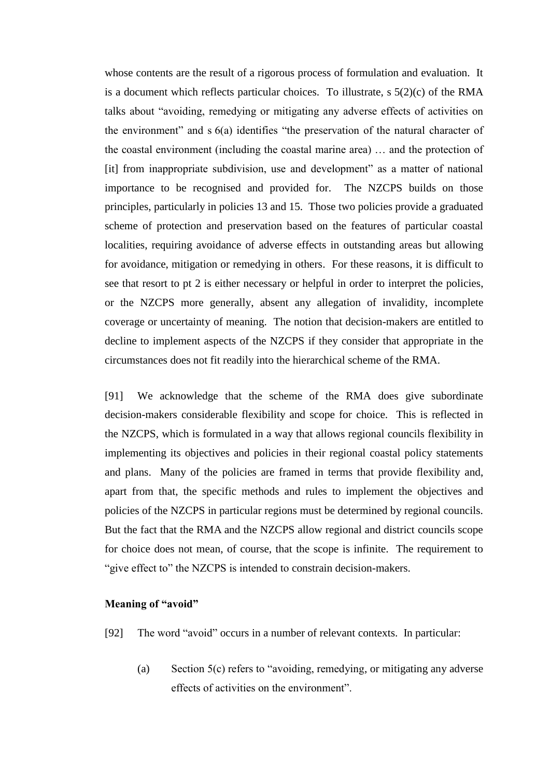whose contents are the result of a rigorous process of formulation and evaluation. It is a document which reflects particular choices. To illustrate, s 5(2)(c) of the RMA talks about "avoiding, remedying or mitigating any adverse effects of activities on the environment" and s 6(a) identifies "the preservation of the natural character of the coastal environment (including the coastal marine area) … and the protection of [it] from inappropriate subdivision, use and development" as a matter of national importance to be recognised and provided for. The NZCPS builds on those principles, particularly in policies 13 and 15. Those two policies provide a graduated scheme of protection and preservation based on the features of particular coastal localities, requiring avoidance of adverse effects in outstanding areas but allowing for avoidance, mitigation or remedying in others. For these reasons, it is difficult to see that resort to pt 2 is either necessary or helpful in order to interpret the policies, or the NZCPS more generally, absent any allegation of invalidity, incomplete coverage or uncertainty of meaning. The notion that decision-makers are entitled to decline to implement aspects of the NZCPS if they consider that appropriate in the circumstances does not fit readily into the hierarchical scheme of the RMA.

[91] We acknowledge that the scheme of the RMA does give subordinate decision-makers considerable flexibility and scope for choice. This is reflected in the NZCPS, which is formulated in a way that allows regional councils flexibility in implementing its objectives and policies in their regional coastal policy statements and plans. Many of the policies are framed in terms that provide flexibility and, apart from that, the specific methods and rules to implement the objectives and policies of the NZCPS in particular regions must be determined by regional councils. But the fact that the RMA and the NZCPS allow regional and district councils scope for choice does not mean, of course, that the scope is infinite. The requirement to "give effect to" the NZCPS is intended to constrain decision-makers.

## **Meaning of "avoid"**

- [92] The word "avoid" occurs in a number of relevant contexts. In particular:
	- (a) Section 5(c) refers to "avoiding, remedying, or mitigating any adverse effects of activities on the environment".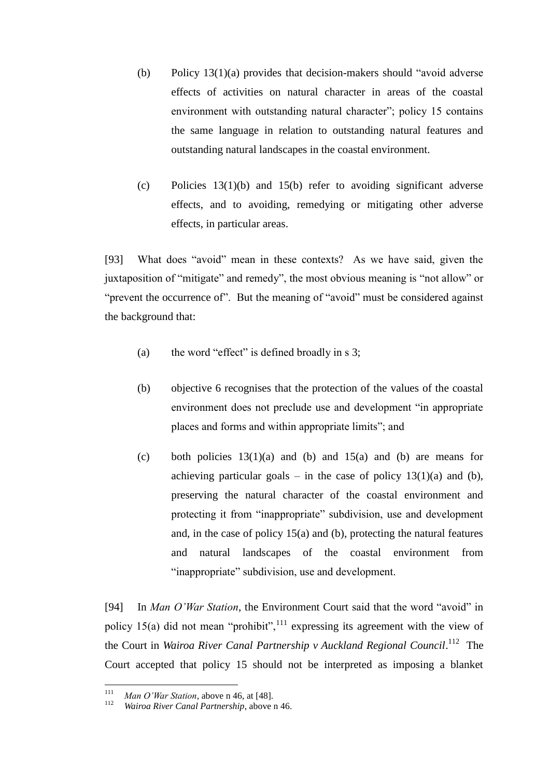- (b) Policy 13(1)(a) provides that decision-makers should "avoid adverse effects of activities on natural character in areas of the coastal environment with outstanding natural character"; policy 15 contains the same language in relation to outstanding natural features and outstanding natural landscapes in the coastal environment.
- (c) Policies 13(1)(b) and 15(b) refer to avoiding significant adverse effects, and to avoiding, remedying or mitigating other adverse effects, in particular areas.

[93] What does "avoid" mean in these contexts? As we have said, given the juxtaposition of "mitigate" and remedy", the most obvious meaning is "not allow" or "prevent the occurrence of". But the meaning of "avoid" must be considered against the background that:

- (a) the word "effect" is defined broadly in s 3;
- (b) objective 6 recognises that the protection of the values of the coastal environment does not preclude use and development "in appropriate places and forms and within appropriate limits"; and
- (c) both policies  $13(1)(a)$  and (b) and  $15(a)$  and (b) are means for achieving particular goals – in the case of policy  $13(1)(a)$  and (b), preserving the natural character of the coastal environment and protecting it from "inappropriate" subdivision, use and development and, in the case of policy 15(a) and (b), protecting the natural features and natural landscapes of the coastal environment from "inappropriate" subdivision, use and development.

[94] In *Man O'War Station*, the Environment Court said that the word "avoid" in policy 15(a) did not mean "prohibit", $111$  expressing its agreement with the view of the Court in *Wairoa River Canal Partnership v Auckland Regional Council*. 112 The Court accepted that policy 15 should not be interpreted as imposing a blanket

 $111$ <sup>111</sup> *Man O'War Station*, above n [46,](#page-12-0) at [48].

Wairoa River Canal Partnership, above [n 46.](#page-12-0)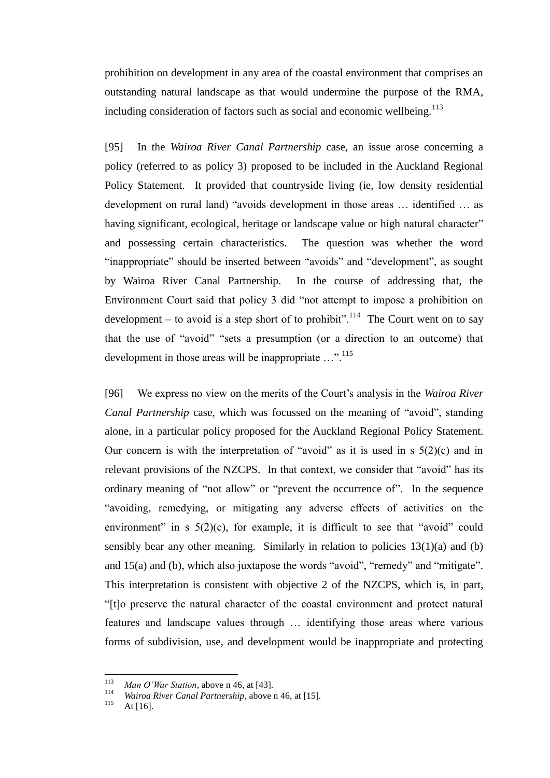prohibition on development in any area of the coastal environment that comprises an outstanding natural landscape as that would undermine the purpose of the RMA, including consideration of factors such as social and economic wellbeing. $113$ 

[95] In the *Wairoa River Canal Partnership* case, an issue arose concerning a policy (referred to as policy 3) proposed to be included in the Auckland Regional Policy Statement. It provided that countryside living (ie, low density residential development on rural land) "avoids development in those areas … identified … as having significant, ecological, heritage or landscape value or high natural character" and possessing certain characteristics. The question was whether the word "inappropriate" should be inserted between "avoids" and "development", as sought by Wairoa River Canal Partnership. In the course of addressing that, the Environment Court said that policy 3 did "not attempt to impose a prohibition on development – to avoid is a step short of to prohibit".<sup>114</sup> The Court went on to say that the use of "avoid" "sets a presumption (or a direction to an outcome) that development in those areas will be inappropriate ...".<sup>115</sup>

[96] We express no view on the merits of the Court's analysis in the *Wairoa River Canal Partnership* case, which was focussed on the meaning of "avoid", standing alone, in a particular policy proposed for the Auckland Regional Policy Statement. Our concern is with the interpretation of "avoid" as it is used in s  $5(2)(c)$  and in relevant provisions of the NZCPS. In that context, we consider that "avoid" has its ordinary meaning of "not allow" or "prevent the occurrence of". In the sequence "avoiding, remedying, or mitigating any adverse effects of activities on the environment" in s  $5(2)(c)$ , for example, it is difficult to see that "avoid" could sensibly bear any other meaning. Similarly in relation to policies  $13(1)(a)$  and (b) and 15(a) and (b), which also juxtapose the words "avoid", "remedy" and "mitigate". This interpretation is consistent with objective 2 of the NZCPS, which is, in part, "[t]o preserve the natural character of the coastal environment and protect natural features and landscape values through … identifying those areas where various forms of subdivision, use, and development would be inappropriate and protecting

<sup>113</sup> <sup>113</sup> *Man O'War Station*, above n [46,](#page-12-0) at [43].

<sup>&</sup>lt;sup>114</sup> *Wairoa River Canal Partnership*, above [n 46,](#page-12-0) at [15].

At  $[16]$ .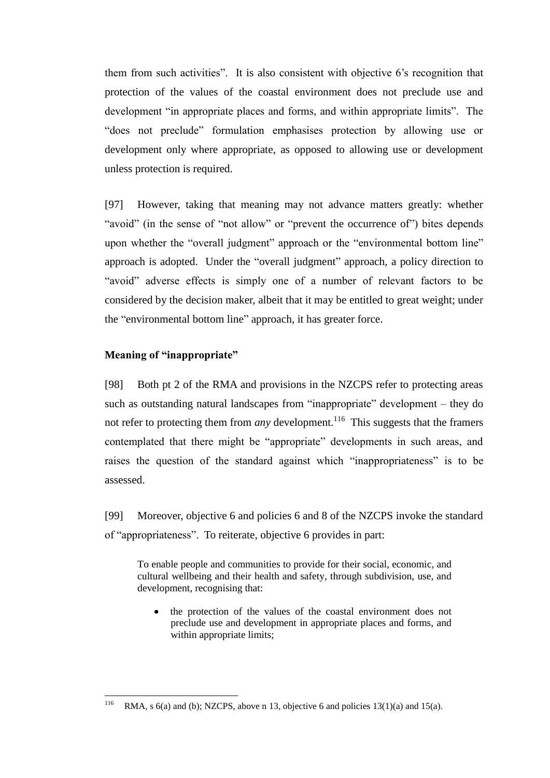them from such activities". It is also consistent with objective 6's recognition that protection of the values of the coastal environment does not preclude use and development "in appropriate places and forms, and within appropriate limits". The "does not preclude" formulation emphasises protection by allowing use or development only where appropriate, as opposed to allowing use or development unless protection is required.

[97] However, taking that meaning may not advance matters greatly: whether "avoid" (in the sense of "not allow" or "prevent the occurrence of") bites depends upon whether the "overall judgment" approach or the "environmental bottom line" approach is adopted. Under the "overall judgment" approach, a policy direction to "avoid" adverse effects is simply one of a number of relevant factors to be considered by the decision maker, albeit that it may be entitled to great weight; under the "environmental bottom line" approach, it has greater force.

## **Meaning of "inappropriate"**

[98] Both pt 2 of the RMA and provisions in the NZCPS refer to protecting areas such as outstanding natural landscapes from "inappropriate" development – they do not refer to protecting them from *any* development.<sup>116</sup> This suggests that the framers contemplated that there might be "appropriate" developments in such areas, and raises the question of the standard against which "inappropriateness" is to be assessed.

[99] Moreover, objective 6 and policies 6 and 8 of the NZCPS invoke the standard of "appropriateness". To reiterate, objective 6 provides in part:

To enable people and communities to provide for their social, economic, and cultural wellbeing and their health and safety, through subdivision, use, and development, recognising that:

the protection of the values of the coastal environment does not preclude use and development in appropriate places and forms, and within appropriate limits;

<sup>116</sup> RMA, s  $6(a)$  and (b); NZCPS, above n [13,](#page-3-0) objective 6 and policies 13(1)(a) and 15(a).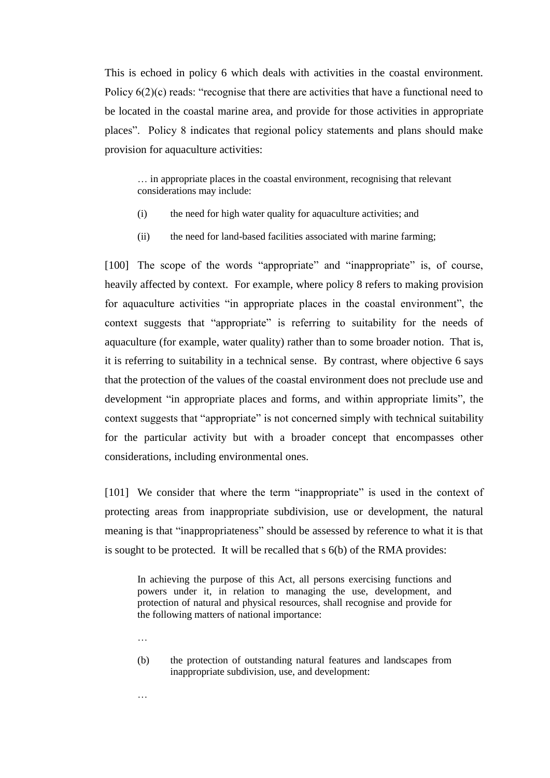This is echoed in policy 6 which deals with activities in the coastal environment. Policy  $6(2)(c)$  reads: "recognise that there are activities that have a functional need to be located in the coastal marine area, and provide for those activities in appropriate places". Policy 8 indicates that regional policy statements and plans should make provision for aquaculture activities:

… in appropriate places in the coastal environment, recognising that relevant considerations may include:

- (i) the need for high water quality for aquaculture activities; and
- (ii) the need for land-based facilities associated with marine farming;

[100] The scope of the words "appropriate" and "inappropriate" is, of course, heavily affected by context. For example, where policy 8 refers to making provision for aquaculture activities "in appropriate places in the coastal environment", the context suggests that "appropriate" is referring to suitability for the needs of aquaculture (for example, water quality) rather than to some broader notion. That is, it is referring to suitability in a technical sense. By contrast, where objective 6 says that the protection of the values of the coastal environment does not preclude use and development "in appropriate places and forms, and within appropriate limits", the context suggests that "appropriate" is not concerned simply with technical suitability for the particular activity but with a broader concept that encompasses other considerations, including environmental ones.

[101] We consider that where the term "inappropriate" is used in the context of protecting areas from inappropriate subdivision, use or development, the natural meaning is that "inappropriateness" should be assessed by reference to what it is that is sought to be protected. It will be recalled that s 6(b) of the RMA provides:

In achieving the purpose of this Act, all persons exercising functions and powers under it, in relation to managing the use, development, and protection of natural and physical resources, shall recognise and provide for the following matters of national importance:

(b) the protection of outstanding natural features and landscapes from inappropriate subdivision, use, and development:

…

…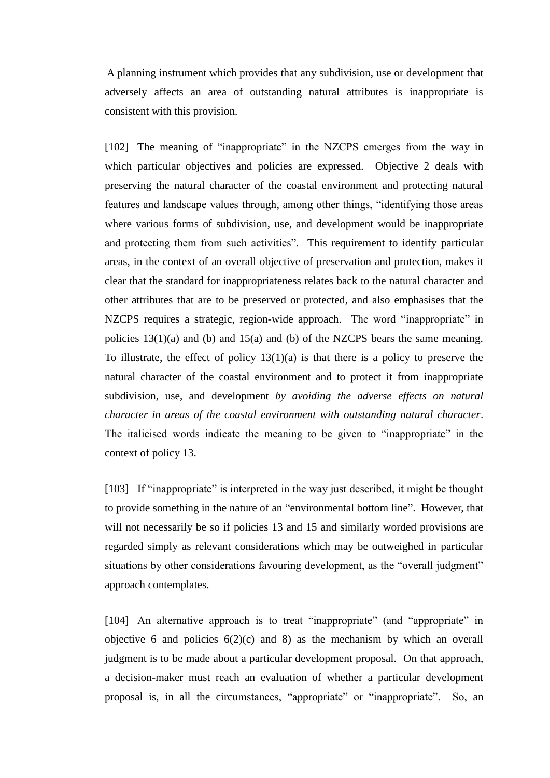A planning instrument which provides that any subdivision, use or development that adversely affects an area of outstanding natural attributes is inappropriate is consistent with this provision.

[102] The meaning of "inappropriate" in the NZCPS emerges from the way in which particular objectives and policies are expressed. Objective 2 deals with preserving the natural character of the coastal environment and protecting natural features and landscape values through, among other things, "identifying those areas where various forms of subdivision, use, and development would be inappropriate and protecting them from such activities". This requirement to identify particular areas, in the context of an overall objective of preservation and protection, makes it clear that the standard for inappropriateness relates back to the natural character and other attributes that are to be preserved or protected, and also emphasises that the NZCPS requires a strategic, region-wide approach. The word "inappropriate" in policies 13(1)(a) and (b) and 15(a) and (b) of the NZCPS bears the same meaning. To illustrate, the effect of policy  $13(1)(a)$  is that there is a policy to preserve the natural character of the coastal environment and to protect it from inappropriate subdivision, use, and development *by avoiding the adverse effects on natural character in areas of the coastal environment with outstanding natural character*. The italicised words indicate the meaning to be given to "inappropriate" in the context of policy 13.

[103] If "inappropriate" is interpreted in the way just described, it might be thought to provide something in the nature of an "environmental bottom line". However, that will not necessarily be so if policies 13 and 15 and similarly worded provisions are regarded simply as relevant considerations which may be outweighed in particular situations by other considerations favouring development, as the "overall judgment" approach contemplates.

[104] An alternative approach is to treat "inappropriate" (and "appropriate" in objective 6 and policies  $6(2)(c)$  and 8) as the mechanism by which an overall judgment is to be made about a particular development proposal. On that approach, a decision-maker must reach an evaluation of whether a particular development proposal is, in all the circumstances, "appropriate" or "inappropriate". So, an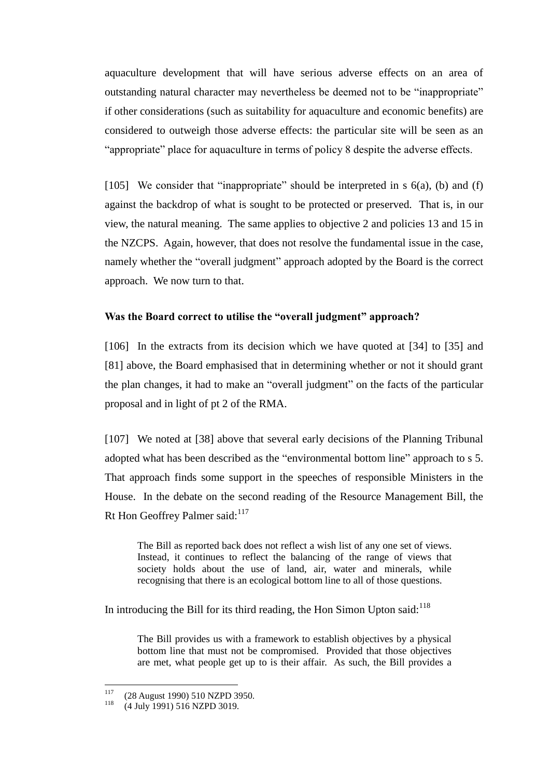aquaculture development that will have serious adverse effects on an area of outstanding natural character may nevertheless be deemed not to be "inappropriate" if other considerations (such as suitability for aquaculture and economic benefits) are considered to outweigh those adverse effects: the particular site will be seen as an "appropriate" place for aquaculture in terms of policy 8 despite the adverse effects.

[105] We consider that "inappropriate" should be interpreted in  $s$  6(a), (b) and (f) against the backdrop of what is sought to be protected or preserved. That is, in our view, the natural meaning. The same applies to objective 2 and policies 13 and 15 in the NZCPS. Again, however, that does not resolve the fundamental issue in the case, namely whether the "overall judgment" approach adopted by the Board is the correct approach. We now turn to that.

## **Was the Board correct to utilise the "overall judgment" approach?**

<span id="page-48-0"></span>[106] In the extracts from its decision which we have quoted at [\[34\]](#page-18-0) to [\[35\]](#page-19-1) and [\[81\]](#page-38-0) above, the Board emphasised that in determining whether or not it should grant the plan changes, it had to make an "overall judgment" on the facts of the particular proposal and in light of pt 2 of the RMA.

[107] We noted at [\[38\]](#page-20-0) above that several early decisions of the Planning Tribunal adopted what has been described as the "environmental bottom line" approach to s 5. That approach finds some support in the speeches of responsible Ministers in the House. In the debate on the second reading of the Resource Management Bill, the Rt Hon Geoffrey Palmer said:<sup>117</sup>

The Bill as reported back does not reflect a wish list of any one set of views. Instead, it continues to reflect the balancing of the range of views that society holds about the use of land, air, water and minerals, while recognising that there is an ecological bottom line to all of those questions.

In introducing the Bill for its third reading, the Hon Simon Upton said: $118$ 

The Bill provides us with a framework to establish objectives by a physical bottom line that must not be compromised. Provided that those objectives are met, what people get up to is their affair. As such, the Bill provides a

<sup>117</sup> <sup>117</sup> (28 August 1990) 510 NZPD 3950.<br><sup>118</sup> (4 J J 1001) 516 NZPD 3010

<sup>(4</sup> July 1991) 516 NZPD 3019.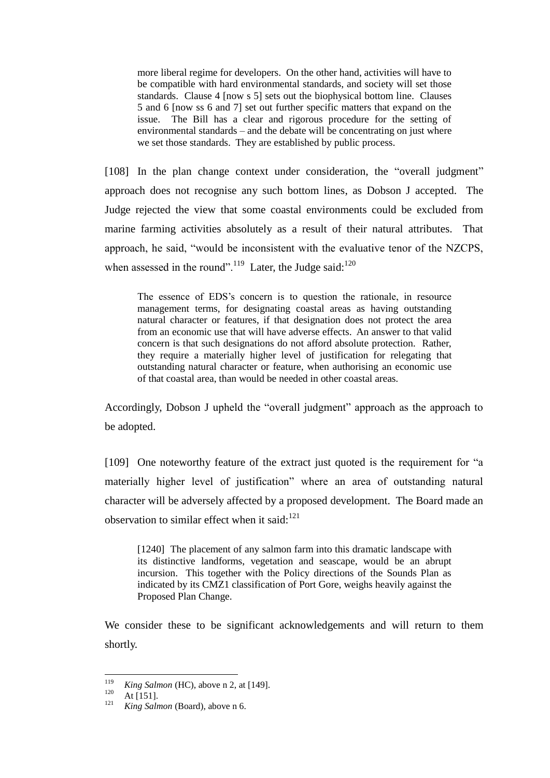more liberal regime for developers. On the other hand, activities will have to be compatible with hard environmental standards, and society will set those standards. Clause 4 [now s 5] sets out the biophysical bottom line. Clauses 5 and 6 [now ss 6 and 7] set out further specific matters that expand on the issue. The Bill has a clear and rigorous procedure for the setting of environmental standards – and the debate will be concentrating on just where we set those standards. They are established by public process.

[108] In the plan change context under consideration, the "overall judgment" approach does not recognise any such bottom lines, as Dobson J accepted. The Judge rejected the view that some coastal environments could be excluded from marine farming activities absolutely as a result of their natural attributes. That approach, he said, "would be inconsistent with the evaluative tenor of the NZCPS, when assessed in the round".<sup>119</sup> Later, the Judge said:<sup>120</sup>

The essence of EDS's concern is to question the rationale, in resource management terms, for designating coastal areas as having outstanding natural character or features, if that designation does not protect the area from an economic use that will have adverse effects. An answer to that valid concern is that such designations do not afford absolute protection. Rather, they require a materially higher level of justification for relegating that outstanding natural character or feature, when authorising an economic use of that coastal area, than would be needed in other coastal areas.

Accordingly, Dobson J upheld the "overall judgment" approach as the approach to be adopted.

[109] One noteworthy feature of the extract just quoted is the requirement for "a materially higher level of justification" where an area of outstanding natural character will be adversely affected by a proposed development. The Board made an observation to similar effect when it said: $121$ 

[1240] The placement of any salmon farm into this dramatic landscape with its distinctive landforms, vegetation and seascape, would be an abrupt incursion. This together with the Policy directions of the Sounds Plan as indicated by its CMZ1 classification of Port Gore, weighs heavily against the Proposed Plan Change.

We consider these to be significant acknowledgements and will return to them shortly.

<sup>119</sup>  $\frac{119}{120}$  *King Salmon* (HC), above [n 2,](#page-2-1) at [149].

 $\frac{120}{121}$  At [151].

King Salmon (Board), above n [6.](#page-2-0)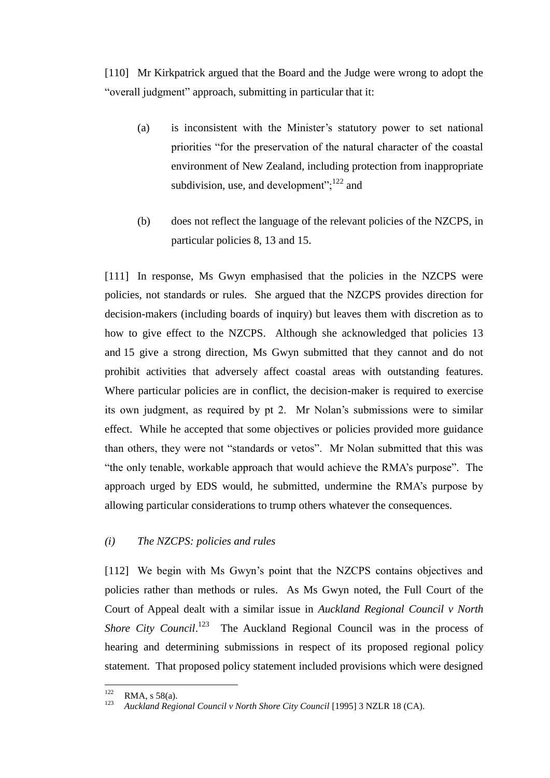<span id="page-50-0"></span>[110] Mr Kirkpatrick argued that the Board and the Judge were wrong to adopt the "overall judgment" approach, submitting in particular that it:

- (a) is inconsistent with the Minister's statutory power to set national priorities "for the preservation of the natural character of the coastal environment of New Zealand, including protection from inappropriate subdivision, use, and development";<sup>122</sup> and
- (b) does not reflect the language of the relevant policies of the NZCPS, in particular policies 8, 13 and 15.

[111] In response, Ms Gwyn emphasised that the policies in the NZCPS were policies, not standards or rules. She argued that the NZCPS provides direction for decision-makers (including boards of inquiry) but leaves them with discretion as to how to give effect to the NZCPS. Although she acknowledged that policies 13 and 15 give a strong direction, Ms Gwyn submitted that they cannot and do not prohibit activities that adversely affect coastal areas with outstanding features. Where particular policies are in conflict, the decision-maker is required to exercise its own judgment, as required by pt 2. Mr Nolan's submissions were to similar effect. While he accepted that some objectives or policies provided more guidance than others, they were not "standards or vetos". Mr Nolan submitted that this was "the only tenable, workable approach that would achieve the RMA's purpose". The approach urged by EDS would, he submitted, undermine the RMA's purpose by allowing particular considerations to trump others whatever the consequences.

# *(i) The NZCPS: policies and rules*

[112] We begin with Ms Gwyn's point that the NZCPS contains objectives and policies rather than methods or rules. As Ms Gwyn noted, the Full Court of the Court of Appeal dealt with a similar issue in *Auckland Regional Council v North*  Shore City Council.<sup>123</sup> The Auckland Regional Council was in the process of hearing and determining submissions in respect of its proposed regional policy statement. That proposed policy statement included provisions which were designed

 $122$  $\text{RMA}$ , s 58(a).

<sup>123</sup> *Auckland Regional Council v North Shore City Council* [1995] 3 NZLR 18 (CA).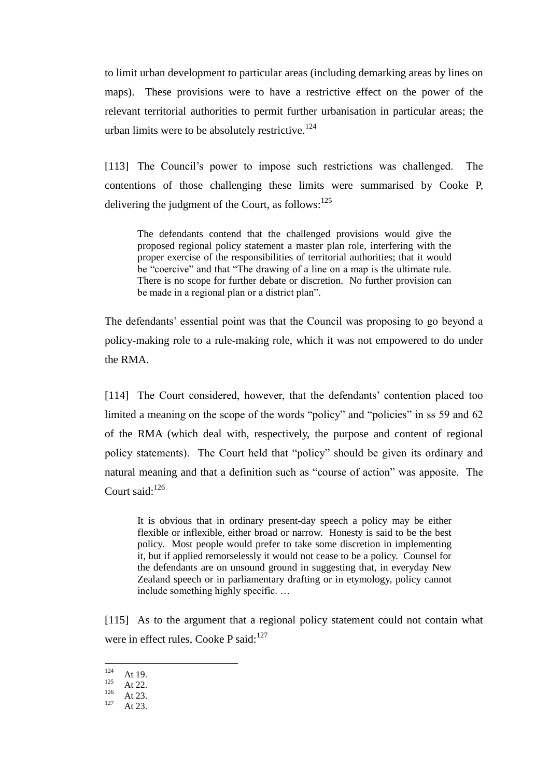to limit urban development to particular areas (including demarking areas by lines on maps). These provisions were to have a restrictive effect on the power of the relevant territorial authorities to permit further urbanisation in particular areas; the urban limits were to be absolutely restrictive.<sup>124</sup>

[113] The Council's power to impose such restrictions was challenged. The contentions of those challenging these limits were summarised by Cooke P, delivering the judgment of the Court, as follows:<sup>125</sup>

The defendants contend that the challenged provisions would give the proposed regional policy statement a master plan role, interfering with the proper exercise of the responsibilities of territorial authorities; that it would be "coercive" and that "The drawing of a line on a map is the ultimate rule. There is no scope for further debate or discretion. No further provision can be made in a regional plan or a district plan".

The defendants' essential point was that the Council was proposing to go beyond a policy-making role to a rule-making role, which it was not empowered to do under the RMA.

[114] The Court considered, however, that the defendants' contention placed too limited a meaning on the scope of the words "policy" and "policies" in ss 59 and 62 of the RMA (which deal with, respectively, the purpose and content of regional policy statements). The Court held that "policy" should be given its ordinary and natural meaning and that a definition such as "course of action" was apposite. The Court said: $126$ 

It is obvious that in ordinary present-day speech a policy may be either flexible or inflexible, either broad or narrow. Honesty is said to be the best policy. Most people would prefer to take some discretion in implementing it, but if applied remorselessly it would not cease to be a policy. Counsel for the defendants are on unsound ground in suggesting that, in everyday New Zealand speech or in parliamentary drafting or in etymology, policy cannot include something highly specific. …

[115] As to the argument that a regional policy statement could not contain what were in effect rules, Cooke P said:<sup>127</sup>

<sup>124</sup>  $124$  At 19.

 $125$  At 22.

 $126$  At 23.

At 23.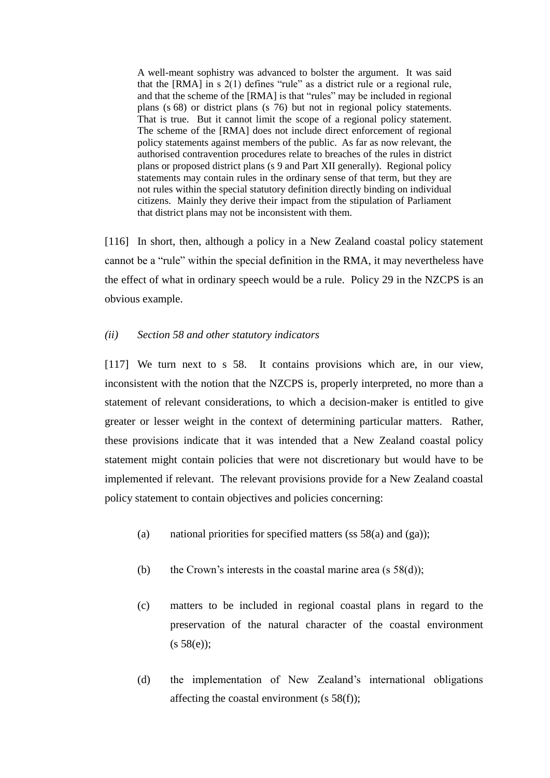A well-meant sophistry was advanced to bolster the argument. It was said that the [RMA] in s  $2(1)$  defines "rule" as a district rule or a regional rule, and that the scheme of the [RMA] is that "rules" may be included in regional plans (s 68) or district plans (s 76) but not in regional policy statements. That is true. But it cannot limit the scope of a regional policy statement. The scheme of the [RMA] does not include direct enforcement of regional policy statements against members of the public. As far as now relevant, the authorised contravention procedures relate to breaches of the rules in district plans or proposed district plans (s 9 and Part XII generally). Regional policy statements may contain rules in the ordinary sense of that term, but they are not rules within the special statutory definition directly binding on individual citizens. Mainly they derive their impact from the stipulation of Parliament that district plans may not be inconsistent with them.

[116] In short, then, although a policy in a New Zealand coastal policy statement cannot be a "rule" within the special definition in the RMA, it may nevertheless have the effect of what in ordinary speech would be a rule. Policy 29 in the NZCPS is an obvious example.

## *(ii) Section 58 and other statutory indicators*

[117] We turn next to s 58. It contains provisions which are, in our view, inconsistent with the notion that the NZCPS is, properly interpreted, no more than a statement of relevant considerations, to which a decision-maker is entitled to give greater or lesser weight in the context of determining particular matters. Rather, these provisions indicate that it was intended that a New Zealand coastal policy statement might contain policies that were not discretionary but would have to be implemented if relevant. The relevant provisions provide for a New Zealand coastal policy statement to contain objectives and policies concerning:

- (a) national priorities for specified matters (ss  $58(a)$  and (ga));
- (b) the Crown's interests in the coastal marine area  $(s 58(d))$ ;
- (c) matters to be included in regional coastal plans in regard to the preservation of the natural character of the coastal environment  $(s 58(e))$ ;
- (d) the implementation of New Zealand's international obligations affecting the coastal environment (s 58(f));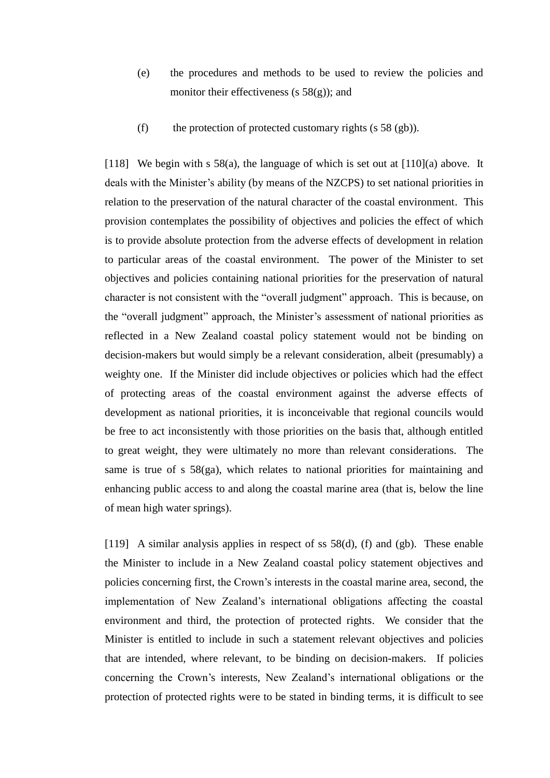- (e) the procedures and methods to be used to review the policies and monitor their effectiveness (s  $58(g)$ ); and
- (f) the protection of protected customary rights (s  $58$  (gb)).

[118] We begin with s 58(a), the language of which is set out at  $[110](a)$  above. It deals with the Minister's ability (by means of the NZCPS) to set national priorities in relation to the preservation of the natural character of the coastal environment. This provision contemplates the possibility of objectives and policies the effect of which is to provide absolute protection from the adverse effects of development in relation to particular areas of the coastal environment. The power of the Minister to set objectives and policies containing national priorities for the preservation of natural character is not consistent with the "overall judgment" approach. This is because, on the "overall judgment" approach, the Minister's assessment of national priorities as reflected in a New Zealand coastal policy statement would not be binding on decision-makers but would simply be a relevant consideration, albeit (presumably) a weighty one. If the Minister did include objectives or policies which had the effect of protecting areas of the coastal environment against the adverse effects of development as national priorities, it is inconceivable that regional councils would be free to act inconsistently with those priorities on the basis that, although entitled to great weight, they were ultimately no more than relevant considerations. The same is true of s 58(ga), which relates to national priorities for maintaining and enhancing public access to and along the coastal marine area (that is, below the line of mean high water springs).

[119] A similar analysis applies in respect of ss 58(d), (f) and (gb). These enable the Minister to include in a New Zealand coastal policy statement objectives and policies concerning first, the Crown's interests in the coastal marine area, second, the implementation of New Zealand's international obligations affecting the coastal environment and third, the protection of protected rights. We consider that the Minister is entitled to include in such a statement relevant objectives and policies that are intended, where relevant, to be binding on decision-makers. If policies concerning the Crown's interests, New Zealand's international obligations or the protection of protected rights were to be stated in binding terms, it is difficult to see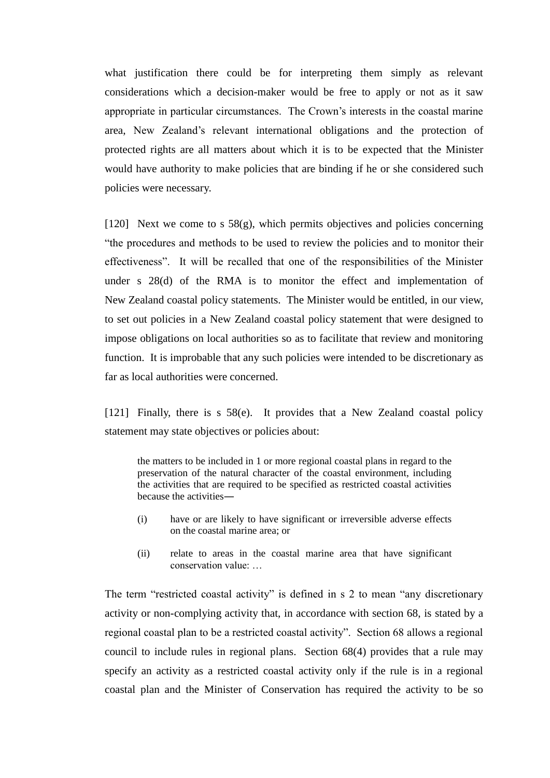what justification there could be for interpreting them simply as relevant considerations which a decision-maker would be free to apply or not as it saw appropriate in particular circumstances. The Crown's interests in the coastal marine area, New Zealand's relevant international obligations and the protection of protected rights are all matters about which it is to be expected that the Minister would have authority to make policies that are binding if he or she considered such policies were necessary.

[120] Next we come to s  $58(g)$ , which permits objectives and policies concerning "the procedures and methods to be used to review the policies and to monitor their effectiveness". It will be recalled that one of the responsibilities of the Minister under s 28(d) of the RMA is to monitor the effect and implementation of New Zealand coastal policy statements. The Minister would be entitled, in our view, to set out policies in a New Zealand coastal policy statement that were designed to impose obligations on local authorities so as to facilitate that review and monitoring function. It is improbable that any such policies were intended to be discretionary as far as local authorities were concerned.

[121] Finally, there is s 58(e). It provides that a New Zealand coastal policy statement may state objectives or policies about:

the matters to be included in 1 or more regional coastal plans in regard to the preservation of the natural character of the coastal environment, including the activities that are required to be specified as restricted coastal activities because the activities―

- (i) have or are likely to have significant or irreversible adverse effects on the coastal marine area; or
- (ii) relate to areas in the coastal marine area that have significant conservation value: …

The term "restricted coastal activity" is defined in s 2 to mean "any discretionary activity or non-complying activity that, in accordance with section 68, is stated by a regional coastal plan to be a restricted coastal activity". Section 68 allows a regional council to include rules in regional plans. Section 68(4) provides that a rule may specify an activity as a restricted coastal activity only if the rule is in a regional coastal plan and the Minister of Conservation has required the activity to be so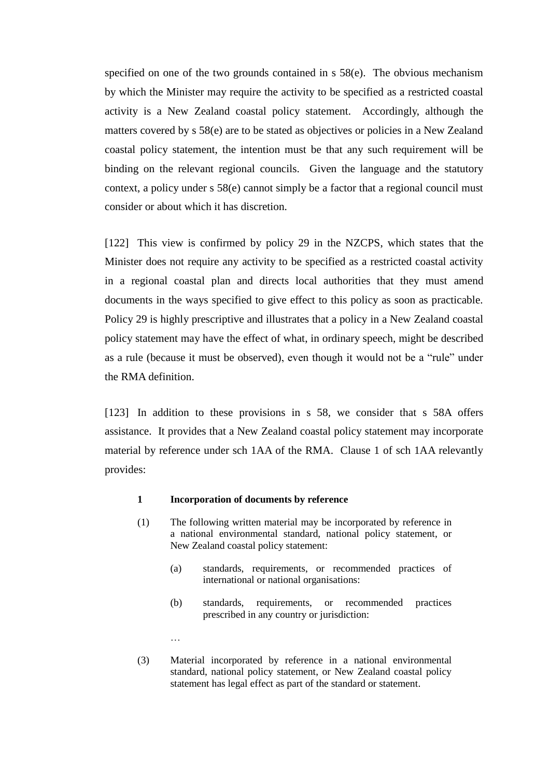specified on one of the two grounds contained in s 58(e). The obvious mechanism by which the Minister may require the activity to be specified as a restricted coastal activity is a New Zealand coastal policy statement. Accordingly, although the matters covered by s 58(e) are to be stated as objectives or policies in a New Zealand coastal policy statement, the intention must be that any such requirement will be binding on the relevant regional councils. Given the language and the statutory context, a policy under s 58(e) cannot simply be a factor that a regional council must consider or about which it has discretion.

[122] This view is confirmed by policy 29 in the NZCPS, which states that the Minister does not require any activity to be specified as a restricted coastal activity in a regional coastal plan and directs local authorities that they must amend documents in the ways specified to give effect to this policy as soon as practicable. Policy 29 is highly prescriptive and illustrates that a policy in a New Zealand coastal policy statement may have the effect of what, in ordinary speech, might be described as a rule (because it must be observed), even though it would not be a "rule" under the RMA definition.

[123] In addition to these provisions in s 58, we consider that s 58A offers assistance. It provides that a New Zealand coastal policy statement may incorporate material by reference under sch 1AA of the RMA. Clause 1 of sch 1AA relevantly provides:

#### **1 Incorporation of documents by reference**

…

- (1) The following written material may be incorporated by reference in a national environmental standard, national policy statement, or New Zealand coastal policy statement:
	- (a) standards, requirements, or recommended practices of international or national organisations:
	- (b) standards, requirements, or recommended practices prescribed in any country or jurisdiction:
- (3) Material incorporated by reference in a national environmental standard, national policy statement, or New Zealand coastal policy statement has legal effect as part of the standard or statement.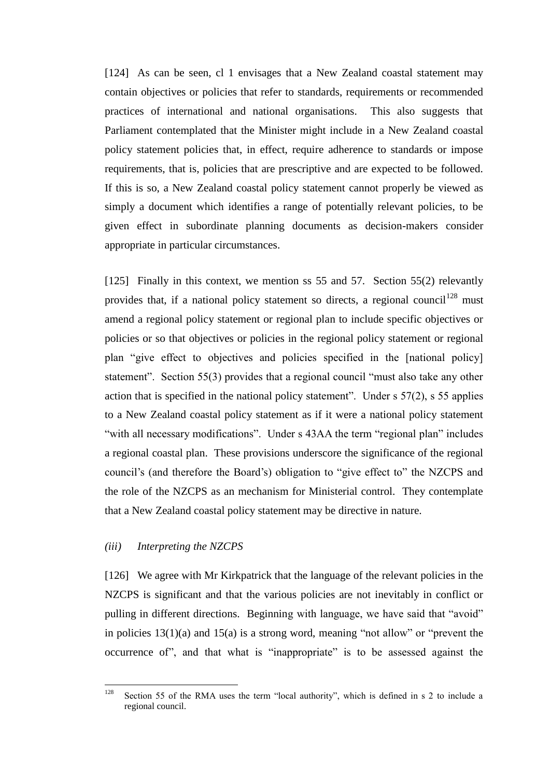[124] As can be seen, cl 1 envisages that a New Zealand coastal statement may contain objectives or policies that refer to standards, requirements or recommended practices of international and national organisations. This also suggests that Parliament contemplated that the Minister might include in a New Zealand coastal policy statement policies that, in effect, require adherence to standards or impose requirements, that is, policies that are prescriptive and are expected to be followed. If this is so, a New Zealand coastal policy statement cannot properly be viewed as simply a document which identifies a range of potentially relevant policies, to be given effect in subordinate planning documents as decision-makers consider appropriate in particular circumstances.

[125] Finally in this context, we mention ss 55 and 57. Section 55(2) relevantly provides that, if a national policy statement so directs, a regional council<sup>128</sup> must amend a regional policy statement or regional plan to include specific objectives or policies or so that objectives or policies in the regional policy statement or regional plan "give effect to objectives and policies specified in the [national policy] statement". Section 55(3) provides that a regional council "must also take any other action that is specified in the national policy statement". Under s 57(2), s 55 applies to a New Zealand coastal policy statement as if it were a national policy statement "with all necessary modifications". Under s 43AA the term "regional plan" includes a regional coastal plan. These provisions underscore the significance of the regional council's (and therefore the Board's) obligation to "give effect to" the NZCPS and the role of the NZCPS as an mechanism for Ministerial control. They contemplate that a New Zealand coastal policy statement may be directive in nature.

## *(iii) Interpreting the NZCPS*

[126] We agree with Mr Kirkpatrick that the language of the relevant policies in the NZCPS is significant and that the various policies are not inevitably in conflict or pulling in different directions. Beginning with language, we have said that "avoid" in policies  $13(1)(a)$  and  $15(a)$  is a strong word, meaning "not allow" or "prevent the occurrence of", and that what is "inappropriate" is to be assessed against the

<sup>128</sup> Section 55 of the RMA uses the term "local authority", which is defined in s 2 to include a regional council.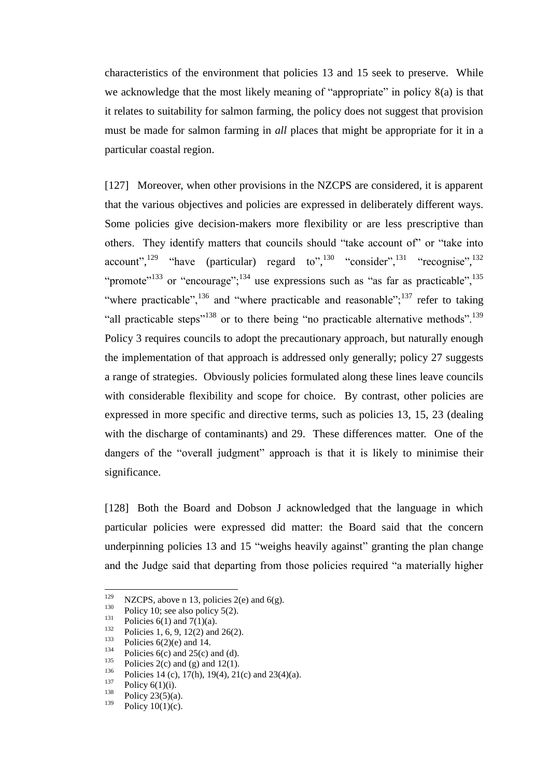characteristics of the environment that policies 13 and 15 seek to preserve. While we acknowledge that the most likely meaning of "appropriate" in policy 8(a) is that it relates to suitability for salmon farming, the policy does not suggest that provision must be made for salmon farming in *all* places that might be appropriate for it in a particular coastal region.

[127] Moreover, when other provisions in the NZCPS are considered, it is apparent that the various objectives and policies are expressed in deliberately different ways. Some policies give decision-makers more flexibility or are less prescriptive than others. They identify matters that councils should "take account of" or "take into account",<sup>129</sup> "have (particular) regard to",<sup>130</sup> "consider",<sup>131</sup> "recognise",<sup>132</sup> "promote"<sup>133</sup> or "encourage"; <sup>134</sup> use expressions such as "as far as practicable", <sup>135</sup> "where practicable",  $^{136}$  and "where practicable and reasonable";  $^{137}$  refer to taking "all practicable steps"<sup>138</sup> or to there being "no practicable alternative methods".<sup>139</sup> Policy 3 requires councils to adopt the precautionary approach, but naturally enough the implementation of that approach is addressed only generally; policy 27 suggests a range of strategies. Obviously policies formulated along these lines leave councils with considerable flexibility and scope for choice. By contrast, other policies are expressed in more specific and directive terms, such as policies 13, 15, 23 (dealing with the discharge of contaminants) and 29. These differences matter. One of the dangers of the "overall judgment" approach is that it is likely to minimise their significance.

[128] Both the Board and Dobson J acknowledged that the language in which particular policies were expressed did matter: the Board said that the concern underpinning policies 13 and 15 "weighs heavily against" granting the plan change and the Judge said that departing from those policies required "a materially higher

<sup>129</sup> <sup>129</sup> NZCPS, above [n 13,](#page-3-0) policies 2(e) and 6(g).<br><sup>130</sup> Pulling 10 post-dimension 5(2).

<sup>&</sup>lt;sup>130</sup> Policy 10; see also policy 5(2).

<sup>&</sup>lt;sup>131</sup> Policies 6(1) and 7(1)(a).

<sup>&</sup>lt;sup>132</sup> Policies 1, 6, 9, 12(2) and 26(2).<br><sup>133</sup> Policies  $6(2)(3)$  and 14.

<sup>&</sup>lt;sup>133</sup> Policies 6(2)(e) and 14.

<sup>&</sup>lt;sup>134</sup> Policies 6(c) and 25(c) and (d).<br><sup>135</sup> Policies 2(c) and (p) and 12(1).

<sup>&</sup>lt;sup>135</sup> Policies 2(c) and (g) and 12(1).<br><sup>136</sup> Policies 14 (c) 17(b) 10(4) 214

<sup>&</sup>lt;sup>136</sup> Policies 14 (c), 17(h), 19(4), 21(c) and 23(4)(a).<br><sup>137</sup> Policy  $\epsilon(1)(i)$ .

 $^{137}$  Policy 6(1)(i).<br><sup>138</sup> Policy 22(5)(c)

 $\frac{138}{139}$  Policy 23(5)(a).

Policy  $10(1)(c)$ .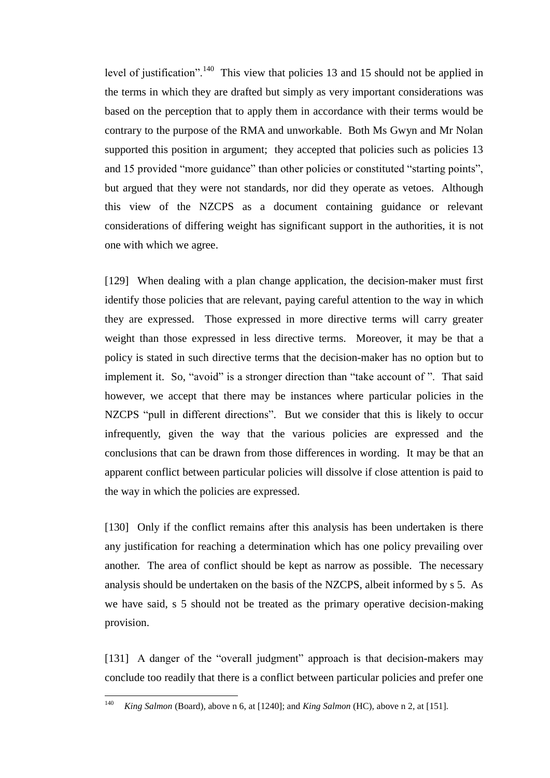level of justification".<sup>140</sup> This view that policies 13 and 15 should not be applied in the terms in which they are drafted but simply as very important considerations was based on the perception that to apply them in accordance with their terms would be contrary to the purpose of the RMA and unworkable. Both Ms Gwyn and Mr Nolan supported this position in argument; they accepted that policies such as policies 13 and 15 provided "more guidance" than other policies or constituted "starting points", but argued that they were not standards, nor did they operate as vetoes. Although this view of the NZCPS as a document containing guidance or relevant considerations of differing weight has significant support in the authorities, it is not one with which we agree.

[129] When dealing with a plan change application, the decision-maker must first identify those policies that are relevant, paying careful attention to the way in which they are expressed. Those expressed in more directive terms will carry greater weight than those expressed in less directive terms. Moreover, it may be that a policy is stated in such directive terms that the decision-maker has no option but to implement it. So, "avoid" is a stronger direction than "take account of ". That said however, we accept that there may be instances where particular policies in the NZCPS "pull in different directions". But we consider that this is likely to occur infrequently, given the way that the various policies are expressed and the conclusions that can be drawn from those differences in wording. It may be that an apparent conflict between particular policies will dissolve if close attention is paid to the way in which the policies are expressed.

[130] Only if the conflict remains after this analysis has been undertaken is there any justification for reaching a determination which has one policy prevailing over another. The area of conflict should be kept as narrow as possible. The necessary analysis should be undertaken on the basis of the NZCPS, albeit informed by s 5. As we have said, s 5 should not be treated as the primary operative decision-making provision.

[131] A danger of the "overall judgment" approach is that decision-makers may conclude too readily that there is a conflict between particular policies and prefer one

<sup>140</sup> <sup>140</sup> *King Salmon* (Board), above n [6,](#page-2-0) at [1240]; and *King Salmon* (HC), above [n 2,](#page-2-1) at [151].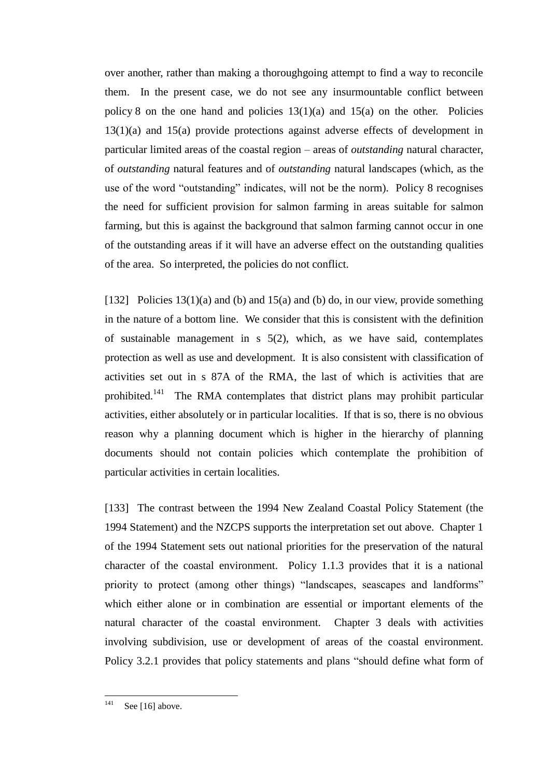over another, rather than making a thoroughgoing attempt to find a way to reconcile them. In the present case, we do not see any insurmountable conflict between policy 8 on the one hand and policies  $13(1)(a)$  and  $15(a)$  on the other. Policies 13(1)(a) and 15(a) provide protections against adverse effects of development in particular limited areas of the coastal region – areas of *outstanding* natural character, of *outstanding* natural features and of *outstanding* natural landscapes (which, as the use of the word "outstanding" indicates, will not be the norm). Policy 8 recognises the need for sufficient provision for salmon farming in areas suitable for salmon farming, but this is against the background that salmon farming cannot occur in one of the outstanding areas if it will have an adverse effect on the outstanding qualities of the area. So interpreted, the policies do not conflict.

[132] Policies  $13(1)(a)$  and  $(b)$  and  $15(a)$  and  $(b)$  do, in our view, provide something in the nature of a bottom line. We consider that this is consistent with the definition of sustainable management in s 5(2), which, as we have said, contemplates protection as well as use and development. It is also consistent with classification of activities set out in s 87A of the RMA, the last of which is activities that are prohibited.<sup>141</sup> The RMA contemplates that district plans may prohibit particular activities, either absolutely or in particular localities. If that is so, there is no obvious reason why a planning document which is higher in the hierarchy of planning documents should not contain policies which contemplate the prohibition of particular activities in certain localities.

[133] The contrast between the 1994 New Zealand Coastal Policy Statement (the 1994 Statement) and the NZCPS supports the interpretation set out above. Chapter 1 of the 1994 Statement sets out national priorities for the preservation of the natural character of the coastal environment. Policy 1.1.3 provides that it is a national priority to protect (among other things) "landscapes, seascapes and landforms" which either alone or in combination are essential or important elements of the natural character of the coastal environment. Chapter 3 deals with activities involving subdivision, use or development of areas of the coastal environment. Policy 3.2.1 provides that policy statements and plans "should define what form of

<sup>141</sup> Se[e \[16\]](#page-8-0) above.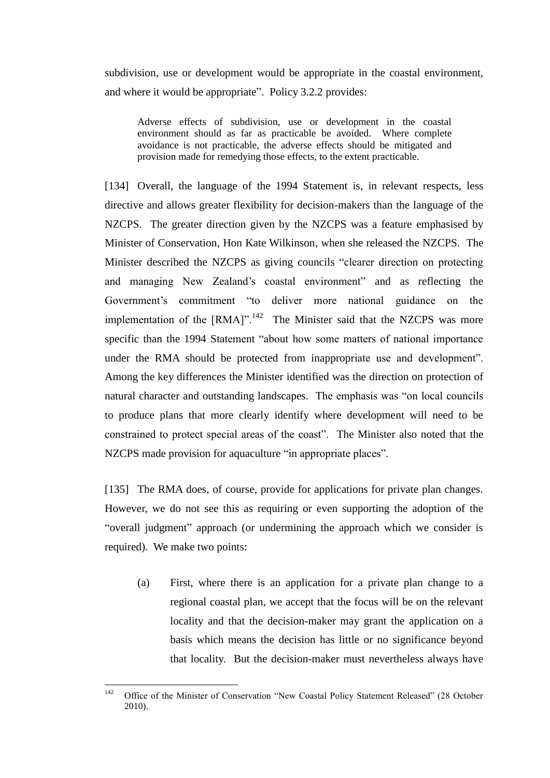subdivision, use or development would be appropriate in the coastal environment, and where it would be appropriate". Policy 3.2.2 provides:

Adverse effects of subdivision, use or development in the coastal environment should as far as practicable be avoided. Where complete avoidance is not practicable, the adverse effects should be mitigated and provision made for remedying those effects, to the extent practicable.

[134] Overall, the language of the 1994 Statement is, in relevant respects, less directive and allows greater flexibility for decision-makers than the language of the NZCPS. The greater direction given by the NZCPS was a feature emphasised by Minister of Conservation, Hon Kate Wilkinson, when she released the NZCPS. The Minister described the NZCPS as giving councils "clearer direction on protecting and managing New Zealand's coastal environment" and as reflecting the Government's commitment "to deliver more national guidance on the implementation of the  $[RMA]$ ".<sup>142</sup> The Minister said that the NZCPS was more specific than the 1994 Statement "about how some matters of national importance under the RMA should be protected from inappropriate use and development". Among the key differences the Minister identified was the direction on protection of natural character and outstanding landscapes. The emphasis was "on local councils to produce plans that more clearly identify where development will need to be constrained to protect special areas of the coast". The Minister also noted that the NZCPS made provision for aquaculture "in appropriate places".

[135] The RMA does, of course, provide for applications for private plan changes. However, we do not see this as requiring or even supporting the adoption of the "overall judgment" approach (or undermining the approach which we consider is required). We make two points:

(a) First, where there is an application for a private plan change to a regional coastal plan, we accept that the focus will be on the relevant locality and that the decision-maker may grant the application on a basis which means the decision has little or no significance beyond that locality. But the decision-maker must nevertheless always have

<sup>142</sup> Office of the Minister of Conservation "New Coastal Policy Statement Released" (28 October 2010).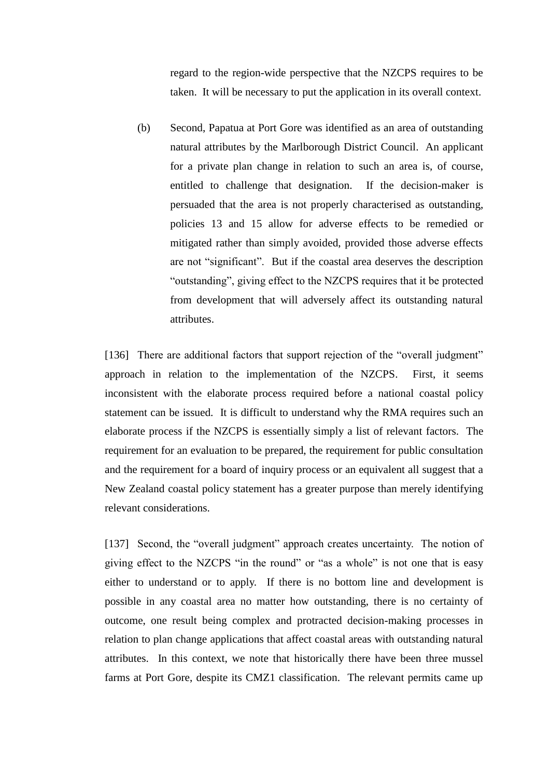regard to the region-wide perspective that the NZCPS requires to be taken. It will be necessary to put the application in its overall context.

(b) Second, Papatua at Port Gore was identified as an area of outstanding natural attributes by the Marlborough District Council. An applicant for a private plan change in relation to such an area is, of course, entitled to challenge that designation. If the decision-maker is persuaded that the area is not properly characterised as outstanding, policies 13 and 15 allow for adverse effects to be remedied or mitigated rather than simply avoided, provided those adverse effects are not "significant". But if the coastal area deserves the description "outstanding", giving effect to the NZCPS requires that it be protected from development that will adversely affect its outstanding natural attributes.

[136] There are additional factors that support rejection of the "overall judgment" approach in relation to the implementation of the NZCPS. First, it seems inconsistent with the elaborate process required before a national coastal policy statement can be issued. It is difficult to understand why the RMA requires such an elaborate process if the NZCPS is essentially simply a list of relevant factors. The requirement for an evaluation to be prepared, the requirement for public consultation and the requirement for a board of inquiry process or an equivalent all suggest that a New Zealand coastal policy statement has a greater purpose than merely identifying relevant considerations.

[137] Second, the "overall judgment" approach creates uncertainty. The notion of giving effect to the NZCPS "in the round" or "as a whole" is not one that is easy either to understand or to apply. If there is no bottom line and development is possible in any coastal area no matter how outstanding, there is no certainty of outcome, one result being complex and protracted decision-making processes in relation to plan change applications that affect coastal areas with outstanding natural attributes. In this context, we note that historically there have been three mussel farms at Port Gore, despite its CMZ1 classification. The relevant permits came up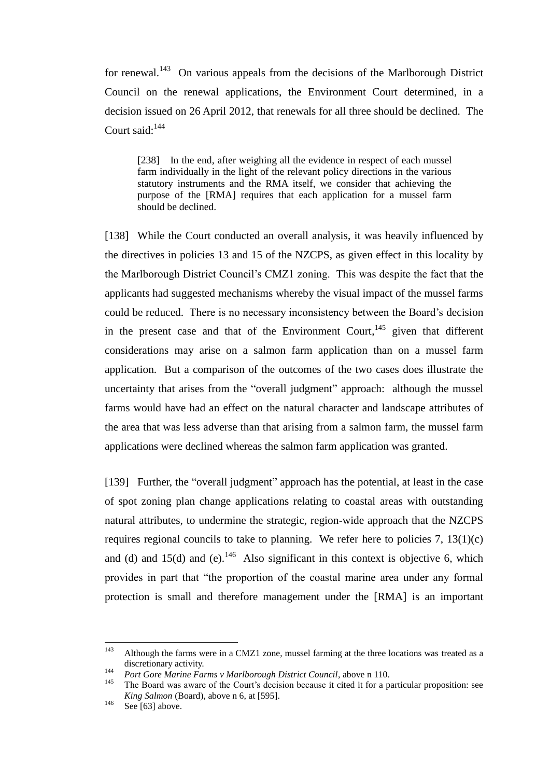for renewal.<sup>143</sup> On various appeals from the decisions of the Marlborough District Council on the renewal applications, the Environment Court determined, in a decision issued on 26 April 2012, that renewals for all three should be declined. The Court said:<sup>144</sup>

[238] In the end, after weighing all the evidence in respect of each mussel farm individually in the light of the relevant policy directions in the various statutory instruments and the RMA itself, we consider that achieving the purpose of the [RMA] requires that each application for a mussel farm should be declined.

[138] While the Court conducted an overall analysis, it was heavily influenced by the directives in policies 13 and 15 of the NZCPS, as given effect in this locality by the Marlborough District Council's CMZ1 zoning. This was despite the fact that the applicants had suggested mechanisms whereby the visual impact of the mussel farms could be reduced. There is no necessary inconsistency between the Board's decision in the present case and that of the Environment Court,  $145$  given that different considerations may arise on a salmon farm application than on a mussel farm application. But a comparison of the outcomes of the two cases does illustrate the uncertainty that arises from the "overall judgment" approach: although the mussel farms would have had an effect on the natural character and landscape attributes of the area that was less adverse than that arising from a salmon farm, the mussel farm applications were declined whereas the salmon farm application was granted.

[139] Further, the "overall judgment" approach has the potential, at least in the case of spot zoning plan change applications relating to coastal areas with outstanding natural attributes, to undermine the strategic, region-wide approach that the NZCPS requires regional councils to take to planning. We refer here to policies  $7, 13(1)(c)$ and (d) and  $15(d)$  and (e).<sup>146</sup> Also significant in this context is objective 6, which provides in part that "the proportion of the coastal marine area under any formal protection is small and therefore management under the [RMA] is an important

<sup>143</sup> Although the farms were in a CMZ1 zone, mussel farming at the three locations was treated as a discretionary activity.

<sup>144</sup> *Port Gore Marine Farms v Marlborough District Council*, above [n 110.](#page-40-0)<br><sup>145</sup> The Board was swape of the Court's designs because it sited it for a pu

<sup>145</sup> The Board was aware of the Court's decision because it cited it for a particular proposition: see *King Salmon* (Board), above n [6,](#page-2-0) at [595].

 $146$  Se[e \[63\]](#page-31-0) above.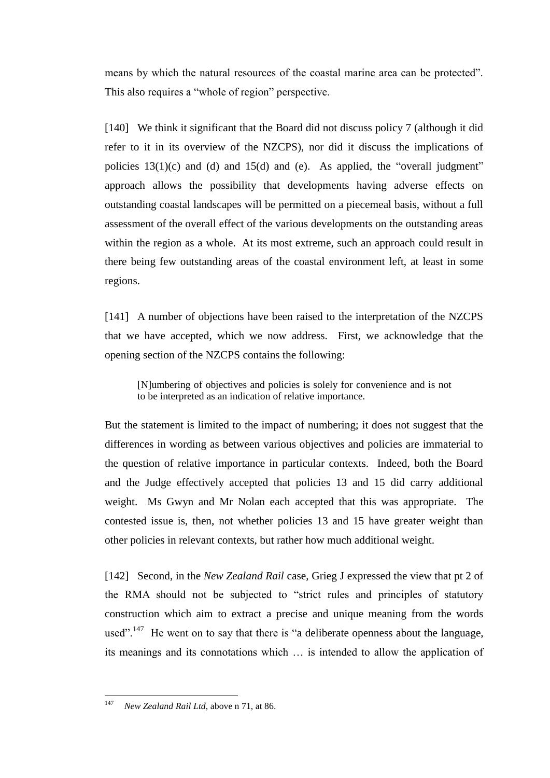means by which the natural resources of the coastal marine area can be protected". This also requires a "whole of region" perspective.

[140] We think it significant that the Board did not discuss policy 7 (although it did refer to it in its overview of the NZCPS), nor did it discuss the implications of policies  $13(1)(c)$  and  $(d)$  and  $15(d)$  and  $(e)$ . As applied, the "overall judgment" approach allows the possibility that developments having adverse effects on outstanding coastal landscapes will be permitted on a piecemeal basis, without a full assessment of the overall effect of the various developments on the outstanding areas within the region as a whole. At its most extreme, such an approach could result in there being few outstanding areas of the coastal environment left, at least in some regions.

[141] A number of objections have been raised to the interpretation of the NZCPS that we have accepted, which we now address. First, we acknowledge that the opening section of the NZCPS contains the following:

[N]umbering of objectives and policies is solely for convenience and is not to be interpreted as an indication of relative importance.

But the statement is limited to the impact of numbering; it does not suggest that the differences in wording as between various objectives and policies are immaterial to the question of relative importance in particular contexts. Indeed, both the Board and the Judge effectively accepted that policies 13 and 15 did carry additional weight. Ms Gwyn and Mr Nolan each accepted that this was appropriate. The contested issue is, then, not whether policies 13 and 15 have greater weight than other policies in relevant contexts, but rather how much additional weight.

[142] Second, in the *New Zealand Rail* case, Grieg J expressed the view that pt 2 of the RMA should not be subjected to "strict rules and principles of statutory construction which aim to extract a precise and unique meaning from the words used".<sup>147</sup> He went on to say that there is "a deliberate openness about the language, its meanings and its connotations which … is intended to allow the application of

<sup>147</sup> <sup>147</sup> *New Zealand Rail Ltd*, above [n 71,](#page-21-0) at 86.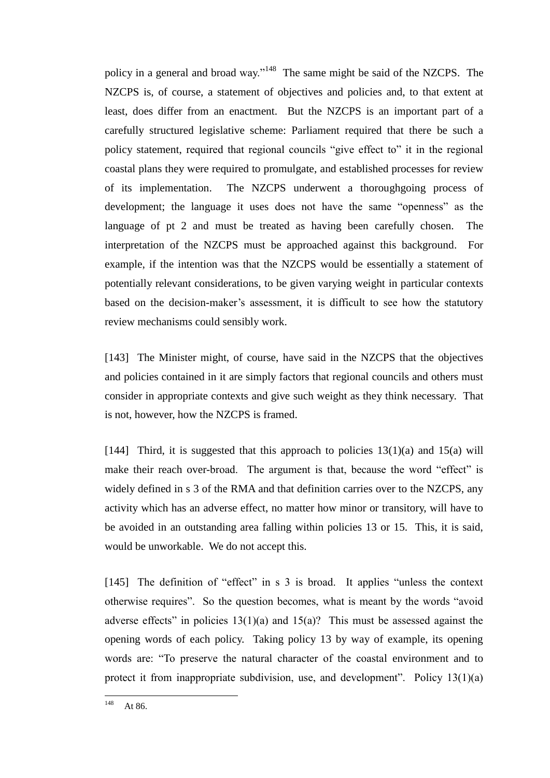policy in a general and broad way."<sup>148</sup> The same might be said of the NZCPS. The NZCPS is, of course, a statement of objectives and policies and, to that extent at least, does differ from an enactment. But the NZCPS is an important part of a carefully structured legislative scheme: Parliament required that there be such a policy statement, required that regional councils "give effect to" it in the regional coastal plans they were required to promulgate, and established processes for review of its implementation. The NZCPS underwent a thoroughgoing process of development; the language it uses does not have the same "openness" as the language of pt 2 and must be treated as having been carefully chosen. The interpretation of the NZCPS must be approached against this background. For example, if the intention was that the NZCPS would be essentially a statement of potentially relevant considerations, to be given varying weight in particular contexts based on the decision-maker's assessment, it is difficult to see how the statutory review mechanisms could sensibly work.

[143] The Minister might, of course, have said in the NZCPS that the objectives and policies contained in it are simply factors that regional councils and others must consider in appropriate contexts and give such weight as they think necessary. That is not, however, how the NZCPS is framed.

[144] Third, it is suggested that this approach to policies  $13(1)(a)$  and  $15(a)$  will make their reach over-broad. The argument is that, because the word "effect" is widely defined in s 3 of the RMA and that definition carries over to the NZCPS, any activity which has an adverse effect, no matter how minor or transitory, will have to be avoided in an outstanding area falling within policies 13 or 15. This, it is said, would be unworkable. We do not accept this.

[145] The definition of "effect" in s 3 is broad. It applies "unless the context" otherwise requires". So the question becomes, what is meant by the words "avoid adverse effects" in policies  $13(1)(a)$  and  $15(a)$ ? This must be assessed against the opening words of each policy. Taking policy 13 by way of example, its opening words are: "To preserve the natural character of the coastal environment and to protect it from inappropriate subdivision, use, and development". Policy 13(1)(a)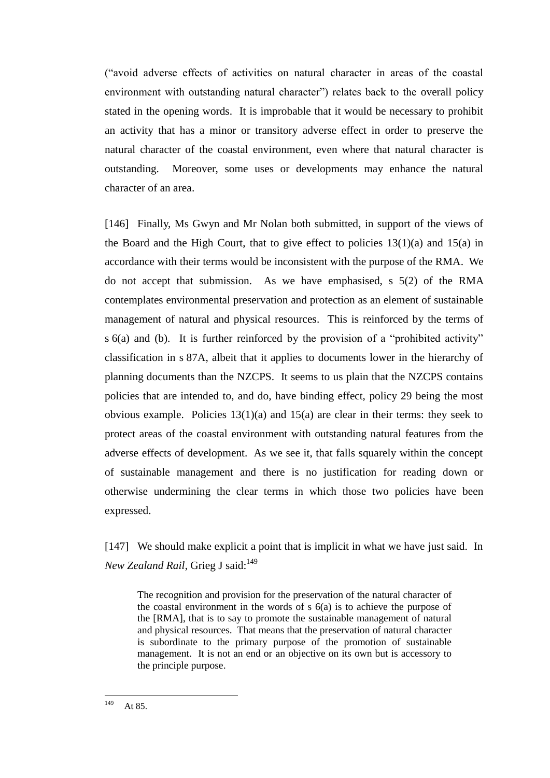("avoid adverse effects of activities on natural character in areas of the coastal environment with outstanding natural character") relates back to the overall policy stated in the opening words. It is improbable that it would be necessary to prohibit an activity that has a minor or transitory adverse effect in order to preserve the natural character of the coastal environment, even where that natural character is outstanding. Moreover, some uses or developments may enhance the natural character of an area.

[146] Finally, Ms Gwyn and Mr Nolan both submitted, in support of the views of the Board and the High Court, that to give effect to policies  $13(1)(a)$  and  $15(a)$  in accordance with their terms would be inconsistent with the purpose of the RMA. We do not accept that submission. As we have emphasised, s 5(2) of the RMA contemplates environmental preservation and protection as an element of sustainable management of natural and physical resources. This is reinforced by the terms of s 6(a) and (b). It is further reinforced by the provision of a "prohibited activity" classification in s 87A, albeit that it applies to documents lower in the hierarchy of planning documents than the NZCPS. It seems to us plain that the NZCPS contains policies that are intended to, and do, have binding effect, policy 29 being the most obvious example. Policies  $13(1)(a)$  and  $15(a)$  are clear in their terms: they seek to protect areas of the coastal environment with outstanding natural features from the adverse effects of development. As we see it, that falls squarely within the concept of sustainable management and there is no justification for reading down or otherwise undermining the clear terms in which those two policies have been expressed.

[147] We should make explicit a point that is implicit in what we have just said. In *New Zealand Rail*, Grieg J said:<sup>149</sup>

The recognition and provision for the preservation of the natural character of the coastal environment in the words of  $s$  6(a) is to achieve the purpose of the [RMA], that is to say to promote the sustainable management of natural and physical resources. That means that the preservation of natural character is subordinate to the primary purpose of the promotion of sustainable management. It is not an end or an objective on its own but is accessory to the principle purpose.

149 At 85.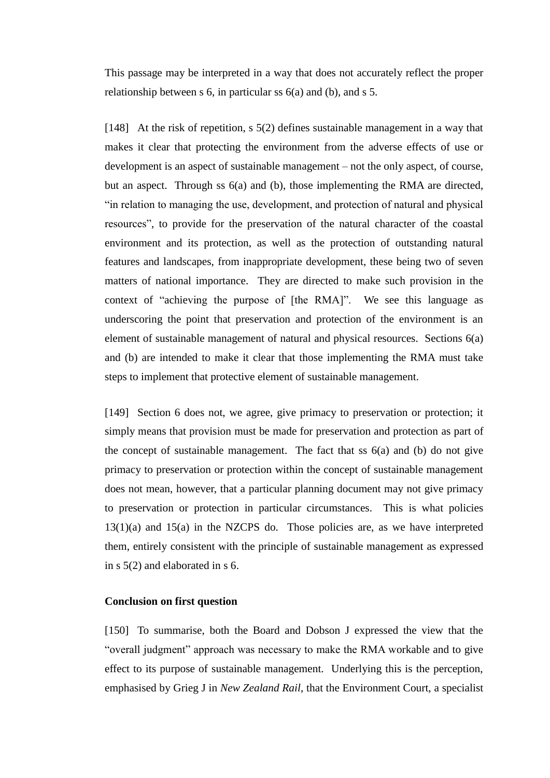This passage may be interpreted in a way that does not accurately reflect the proper relationship between s 6, in particular ss 6(a) and (b), and s 5.

<span id="page-66-0"></span>[148] At the risk of repetition, s 5(2) defines sustainable management in a way that makes it clear that protecting the environment from the adverse effects of use or development is an aspect of sustainable management – not the only aspect, of course, but an aspect. Through ss 6(a) and (b), those implementing the RMA are directed, "in relation to managing the use, development, and protection of natural and physical resources", to provide for the preservation of the natural character of the coastal environment and its protection, as well as the protection of outstanding natural features and landscapes, from inappropriate development, these being two of seven matters of national importance. They are directed to make such provision in the context of "achieving the purpose of [the RMA]". We see this language as underscoring the point that preservation and protection of the environment is an element of sustainable management of natural and physical resources. Sections 6(a) and (b) are intended to make it clear that those implementing the RMA must take steps to implement that protective element of sustainable management.

[149] Section 6 does not, we agree, give primacy to preservation or protection; it simply means that provision must be made for preservation and protection as part of the concept of sustainable management. The fact that ss 6(a) and (b) do not give primacy to preservation or protection within the concept of sustainable management does not mean, however, that a particular planning document may not give primacy to preservation or protection in particular circumstances. This is what policies 13(1)(a) and 15(a) in the NZCPS do. Those policies are, as we have interpreted them, entirely consistent with the principle of sustainable management as expressed in s 5(2) and elaborated in s 6.

### **Conclusion on first question**

[150] To summarise, both the Board and Dobson J expressed the view that the "overall judgment" approach was necessary to make the RMA workable and to give effect to its purpose of sustainable management. Underlying this is the perception, emphasised by Grieg J in *New Zealand Rail*, that the Environment Court, a specialist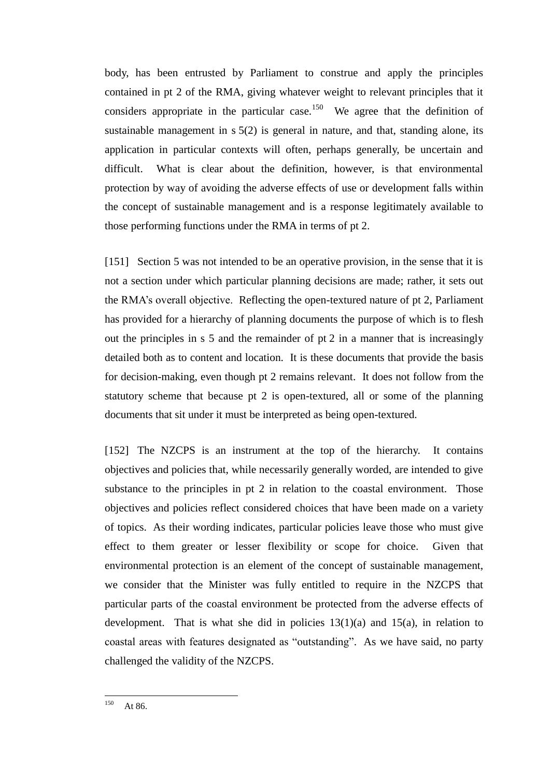body, has been entrusted by Parliament to construe and apply the principles contained in pt 2 of the RMA, giving whatever weight to relevant principles that it considers appropriate in the particular case.<sup>150</sup> We agree that the definition of sustainable management in s 5(2) is general in nature, and that, standing alone, its application in particular contexts will often, perhaps generally, be uncertain and difficult. What is clear about the definition, however, is that environmental protection by way of avoiding the adverse effects of use or development falls within the concept of sustainable management and is a response legitimately available to those performing functions under the RMA in terms of pt 2.

[151] Section 5 was not intended to be an operative provision, in the sense that it is not a section under which particular planning decisions are made; rather, it sets out the RMA's overall objective. Reflecting the open-textured nature of pt 2, Parliament has provided for a hierarchy of planning documents the purpose of which is to flesh out the principles in s 5 and the remainder of pt 2 in a manner that is increasingly detailed both as to content and location. It is these documents that provide the basis for decision-making, even though pt 2 remains relevant. It does not follow from the statutory scheme that because pt 2 is open-textured, all or some of the planning documents that sit under it must be interpreted as being open-textured.

[152] The NZCPS is an instrument at the top of the hierarchy. It contains objectives and policies that, while necessarily generally worded, are intended to give substance to the principles in pt 2 in relation to the coastal environment. Those objectives and policies reflect considered choices that have been made on a variety of topics. As their wording indicates, particular policies leave those who must give effect to them greater or lesser flexibility or scope for choice. Given that environmental protection is an element of the concept of sustainable management, we consider that the Minister was fully entitled to require in the NZCPS that particular parts of the coastal environment be protected from the adverse effects of development. That is what she did in policies  $13(1)(a)$  and  $15(a)$ , in relation to coastal areas with features designated as "outstanding". As we have said, no party challenged the validity of the NZCPS.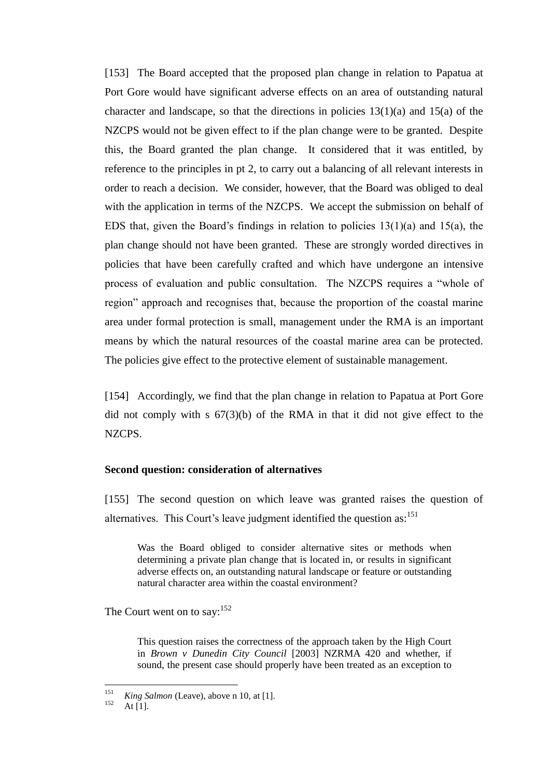[153] The Board accepted that the proposed plan change in relation to Papatua at Port Gore would have significant adverse effects on an area of outstanding natural character and landscape, so that the directions in policies  $13(1)(a)$  and  $15(a)$  of the NZCPS would not be given effect to if the plan change were to be granted. Despite this, the Board granted the plan change. It considered that it was entitled, by reference to the principles in pt 2, to carry out a balancing of all relevant interests in order to reach a decision. We consider, however, that the Board was obliged to deal with the application in terms of the NZCPS. We accept the submission on behalf of EDS that, given the Board's findings in relation to policies  $13(1)(a)$  and  $15(a)$ , the plan change should not have been granted. These are strongly worded directives in policies that have been carefully crafted and which have undergone an intensive process of evaluation and public consultation. The NZCPS requires a "whole of region" approach and recognises that, because the proportion of the coastal marine area under formal protection is small, management under the RMA is an important means by which the natural resources of the coastal marine area can be protected. The policies give effect to the protective element of sustainable management.

[154] Accordingly, we find that the plan change in relation to Papatua at Port Gore did not comply with s 67(3)(b) of the RMA in that it did not give effect to the NZCPS.

#### **Second question: consideration of alternatives**

[155] The second question on which leave was granted raises the question of alternatives. This Court's leave judgment identified the question as:<sup>151</sup>

Was the Board obliged to consider alternative sites or methods when determining a private plan change that is located in, or results in significant adverse effects on, an outstanding natural landscape or feature or outstanding natural character area within the coastal environment?

The Court went on to say:<sup>152</sup>

This question raises the correctness of the approach taken by the High Court in *Brown v Dunedin City Council* [2003] NZRMA 420 and whether, if sound, the present case should properly have been treated as an exception to

<sup>151</sup>  $\frac{151}{152}$  *King Salmon* (Leave), above n [10,](#page-3-1) at [1].

At  $[1]$ .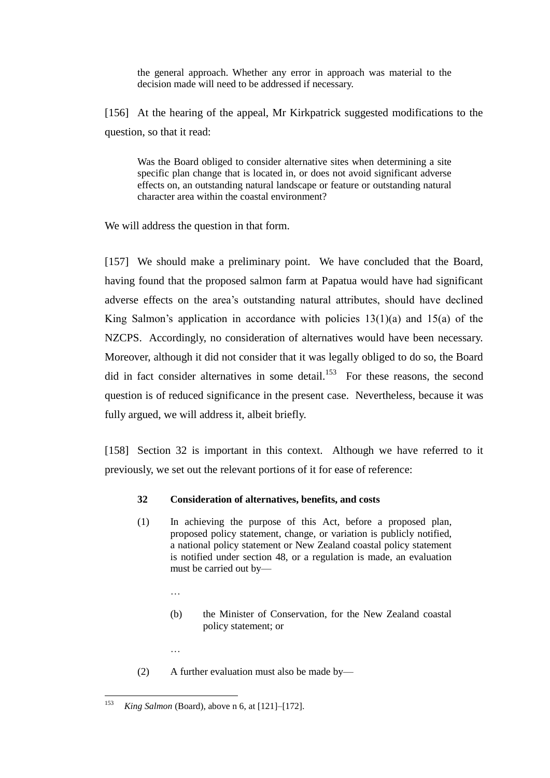the general approach. Whether any error in approach was material to the decision made will need to be addressed if necessary.

[156] At the hearing of the appeal, Mr Kirkpatrick suggested modifications to the question, so that it read:

Was the Board obliged to consider alternative sites when determining a site specific plan change that is located in, or does not avoid significant adverse effects on, an outstanding natural landscape or feature or outstanding natural character area within the coastal environment?

We will address the question in that form.

[157] We should make a preliminary point. We have concluded that the Board, having found that the proposed salmon farm at Papatua would have had significant adverse effects on the area's outstanding natural attributes, should have declined King Salmon's application in accordance with policies  $13(1)(a)$  and  $15(a)$  of the NZCPS. Accordingly, no consideration of alternatives would have been necessary. Moreover, although it did not consider that it was legally obliged to do so, the Board did in fact consider alternatives in some detail.<sup>153</sup> For these reasons, the second question is of reduced significance in the present case. Nevertheless, because it was fully argued, we will address it, albeit briefly.

[158] Section 32 is important in this context. Although we have referred to it previously, we set out the relevant portions of it for ease of reference:

#### **32 Consideration of alternatives, benefits, and costs**

- (1) In achieving the purpose of this Act, before a proposed plan, proposed policy statement, change, or variation is publicly notified, a national policy statement or New Zealand coastal policy statement is notified under section 48, or a regulation is made, an evaluation must be carried out by—
	- …

…

- (b) the Minister of Conservation, for the New Zealand coastal policy statement; or
- (2) A further evaluation must also be made by—

<sup>153</sup> <sup>153</sup> *King Salmon* (Board), above n [6,](#page-2-0) at [121]–[172].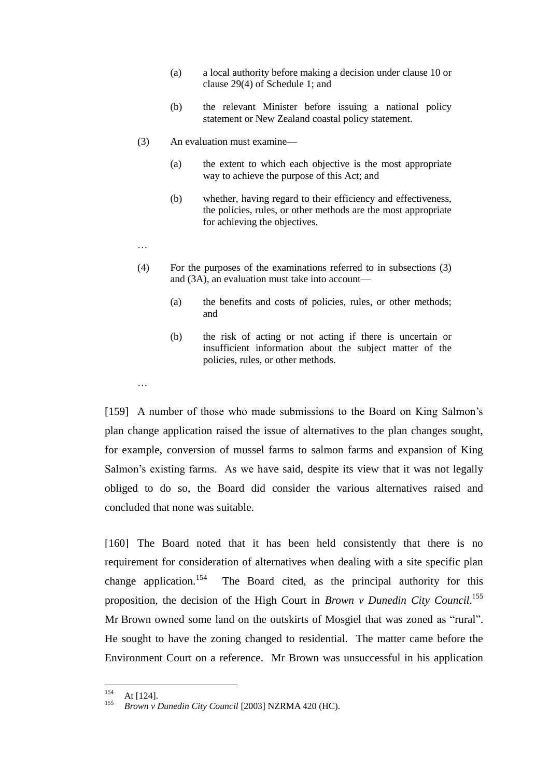- (a) a local authority before making a decision under clause 10 or clause 29(4) of Schedule 1; and
- (b) the relevant Minister before issuing a national policy statement or New Zealand coastal policy statement.
- (3) An evaluation must examine—
	- (a) the extent to which each objective is the most appropriate way to achieve the purpose of this Act; and
	- (b) whether, having regard to their efficiency and effectiveness, the policies, rules, or other methods are the most appropriate for achieving the objectives.
- …

…

- (4) For the purposes of the examinations referred to in subsections (3) and (3A), an evaluation must take into account—
	- (a) the benefits and costs of policies, rules, or other methods; and
	- (b) the risk of acting or not acting if there is uncertain or insufficient information about the subject matter of the policies, rules, or other methods.

[159] A number of those who made submissions to the Board on King Salmon's plan change application raised the issue of alternatives to the plan changes sought, for example, conversion of mussel farms to salmon farms and expansion of King Salmon's existing farms. As we have said, despite its view that it was not legally obliged to do so, the Board did consider the various alternatives raised and concluded that none was suitable.

[160] The Board noted that it has been held consistently that there is no requirement for consideration of alternatives when dealing with a site specific plan change application.<sup>154</sup> The Board cited, as the principal authority for this proposition, the decision of the High Court in *Brown v Dunedin City Council*. 155 Mr Brown owned some land on the outskirts of Mosgiel that was zoned as "rural". He sought to have the zoning changed to residential. The matter came before the Environment Court on a reference. Mr Brown was unsuccessful in his application

<sup>154</sup>  $\frac{154}{155}$  At [124].

<sup>155</sup> *Brown v Dunedin City Council* [2003] NZRMA 420 (HC).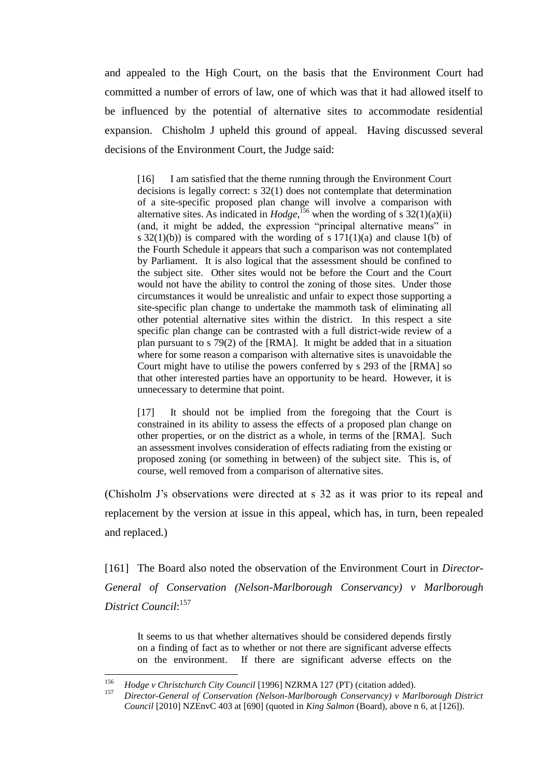and appealed to the High Court, on the basis that the Environment Court had committed a number of errors of law, one of which was that it had allowed itself to be influenced by the potential of alternative sites to accommodate residential expansion. Chisholm J upheld this ground of appeal. Having discussed several decisions of the Environment Court, the Judge said:

[16] I am satisfied that the theme running through the Environment Court decisions is legally correct: s 32(1) does not contemplate that determination of a site-specific proposed plan change will involve a comparison with alternative sites. As indicated in  $Hodge$ , <sup>156</sup> when the wording of s 32(1)(a)(ii) (and, it might be added, the expression "principal alternative means" in s  $32(1)(b)$ ) is compared with the wording of s  $171(1)(a)$  and clause  $1(b)$  of the Fourth Schedule it appears that such a comparison was not contemplated by Parliament. It is also logical that the assessment should be confined to the subject site. Other sites would not be before the Court and the Court would not have the ability to control the zoning of those sites. Under those circumstances it would be unrealistic and unfair to expect those supporting a site-specific plan change to undertake the mammoth task of eliminating all other potential alternative sites within the district. In this respect a site specific plan change can be contrasted with a full district-wide review of a plan pursuant to s 79(2) of the [RMA]. It might be added that in a situation where for some reason a comparison with alternative sites is unavoidable the Court might have to utilise the powers conferred by s 293 of the [RMA] so that other interested parties have an opportunity to be heard. However, it is unnecessary to determine that point.

[17] It should not be implied from the foregoing that the Court is constrained in its ability to assess the effects of a proposed plan change on other properties, or on the district as a whole, in terms of the [RMA]. Such an assessment involves consideration of effects radiating from the existing or proposed zoning (or something in between) of the subject site. This is, of course, well removed from a comparison of alternative sites.

(Chisholm J's observations were directed at s 32 as it was prior to its repeal and replacement by the version at issue in this appeal, which has, in turn, been repealed and replaced.)

[161] The Board also noted the observation of the Environment Court in *Director-General of Conservation (Nelson-Marlborough Conservancy) v Marlborough District Council*: 157

It seems to us that whether alternatives should be considered depends firstly on a finding of fact as to whether or not there are significant adverse effects on the environment. If there are significant adverse effects on the

<sup>156</sup> <sup>156</sup> *Hodge v Christchurch City Council* [1996] NZRMA 127 (PT) (citation added).

<sup>157</sup> *Director-General of Conservation (Nelson-Marlborough Conservancy) v Marlborough District Council* [2010] NZEnvC 403 at [690] (quoted in *King Salmon* (Board), above [n 6,](#page-2-0) at [126]).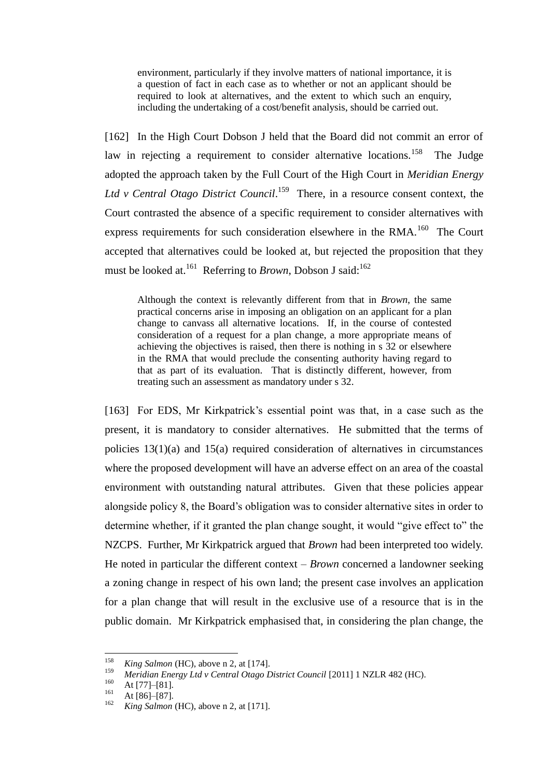environment, particularly if they involve matters of national importance, it is a question of fact in each case as to whether or not an applicant should be required to look at alternatives, and the extent to which such an enquiry, including the undertaking of a cost/benefit analysis, should be carried out.

[162] In the High Court Dobson J held that the Board did not commit an error of law in rejecting a requirement to consider alternative locations.<sup>158</sup> The Judge adopted the approach taken by the Full Court of the High Court in *Meridian Energy* Ltd *v* Central Otago District Council.<sup>159</sup> There, in a resource consent context, the Court contrasted the absence of a specific requirement to consider alternatives with express requirements for such consideration elsewhere in the RMA. $^{160}$  The Court accepted that alternatives could be looked at, but rejected the proposition that they must be looked at.<sup>161</sup> Referring to *Brown*, Dobson J said:<sup>162</sup>

Although the context is relevantly different from that in *Brown*, the same practical concerns arise in imposing an obligation on an applicant for a plan change to canvass all alternative locations. If, in the course of contested consideration of a request for a plan change, a more appropriate means of achieving the objectives is raised, then there is nothing in s 32 or elsewhere in the RMA that would preclude the consenting authority having regard to that as part of its evaluation. That is distinctly different, however, from treating such an assessment as mandatory under s 32.

[163] For EDS, Mr Kirkpatrick's essential point was that, in a case such as the present, it is mandatory to consider alternatives. He submitted that the terms of policies 13(1)(a) and 15(a) required consideration of alternatives in circumstances where the proposed development will have an adverse effect on an area of the coastal environment with outstanding natural attributes. Given that these policies appear alongside policy 8, the Board's obligation was to consider alternative sites in order to determine whether, if it granted the plan change sought, it would "give effect to" the NZCPS. Further, Mr Kirkpatrick argued that *Brown* had been interpreted too widely. He noted in particular the different context – *Brown* concerned a landowner seeking a zoning change in respect of his own land; the present case involves an application for a plan change that will result in the exclusive use of a resource that is in the public domain. Mr Kirkpatrick emphasised that, in considering the plan change, the

<sup>158</sup> <sup>158</sup> *King Salmon* (HC), above [n 2,](#page-2-0) at [174].

<sup>159</sup> *Meridian Energy Ltd v Central Otago District Council* [2011] 1 NZLR 482 (HC).

 $160$  At [77]–[81].

 $\frac{161}{162}$  At [86]–[87].

*King Salmon* (HC), above [n 2,](#page-2-0) at [171].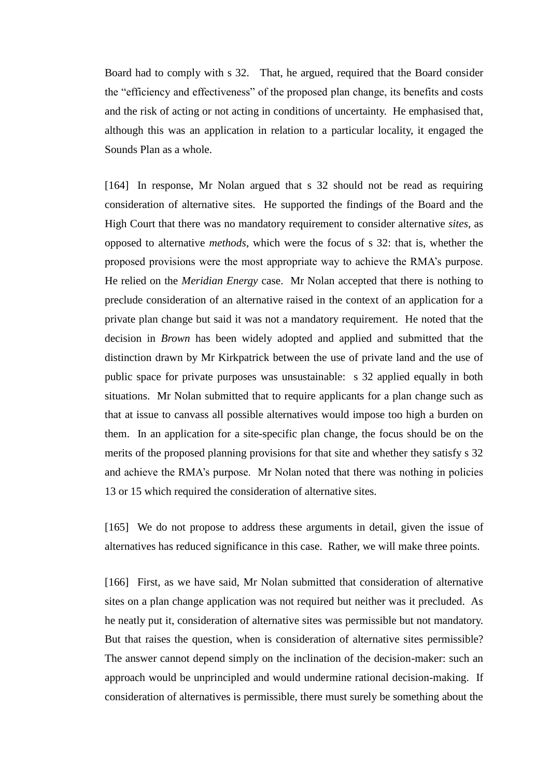Board had to comply with s 32. That, he argued, required that the Board consider the "efficiency and effectiveness" of the proposed plan change, its benefits and costs and the risk of acting or not acting in conditions of uncertainty. He emphasised that, although this was an application in relation to a particular locality, it engaged the Sounds Plan as a whole.

[164] In response, Mr Nolan argued that s 32 should not be read as requiring consideration of alternative sites. He supported the findings of the Board and the High Court that there was no mandatory requirement to consider alternative *sites*, as opposed to alternative *methods*, which were the focus of s 32: that is, whether the proposed provisions were the most appropriate way to achieve the RMA's purpose. He relied on the *Meridian Energy* case. Mr Nolan accepted that there is nothing to preclude consideration of an alternative raised in the context of an application for a private plan change but said it was not a mandatory requirement. He noted that the decision in *Brown* has been widely adopted and applied and submitted that the distinction drawn by Mr Kirkpatrick between the use of private land and the use of public space for private purposes was unsustainable: s 32 applied equally in both situations. Mr Nolan submitted that to require applicants for a plan change such as that at issue to canvass all possible alternatives would impose too high a burden on them. In an application for a site-specific plan change, the focus should be on the merits of the proposed planning provisions for that site and whether they satisfy s 32 and achieve the RMA's purpose. Mr Nolan noted that there was nothing in policies 13 or 15 which required the consideration of alternative sites.

[165] We do not propose to address these arguments in detail, given the issue of alternatives has reduced significance in this case. Rather, we will make three points.

[166] First, as we have said, Mr Nolan submitted that consideration of alternative sites on a plan change application was not required but neither was it precluded. As he neatly put it, consideration of alternative sites was permissible but not mandatory. But that raises the question, when is consideration of alternative sites permissible? The answer cannot depend simply on the inclination of the decision-maker: such an approach would be unprincipled and would undermine rational decision-making. If consideration of alternatives is permissible, there must surely be something about the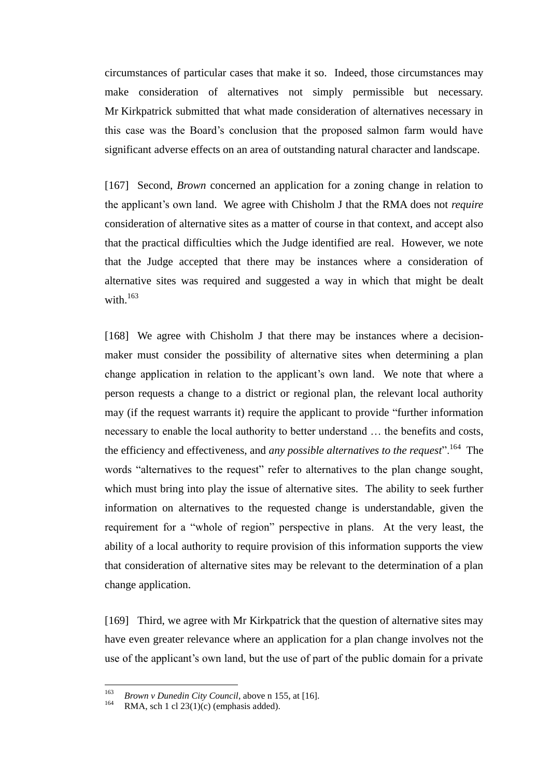circumstances of particular cases that make it so. Indeed, those circumstances may make consideration of alternatives not simply permissible but necessary. Mr Kirkpatrick submitted that what made consideration of alternatives necessary in this case was the Board's conclusion that the proposed salmon farm would have significant adverse effects on an area of outstanding natural character and landscape.

[167] Second, *Brown* concerned an application for a zoning change in relation to the applicant's own land. We agree with Chisholm J that the RMA does not *require* consideration of alternative sites as a matter of course in that context, and accept also that the practical difficulties which the Judge identified are real. However, we note that the Judge accepted that there may be instances where a consideration of alternative sites was required and suggested a way in which that might be dealt with. $163$ 

[168] We agree with Chisholm J that there may be instances where a decisionmaker must consider the possibility of alternative sites when determining a plan change application in relation to the applicant's own land. We note that where a person requests a change to a district or regional plan, the relevant local authority may (if the request warrants it) require the applicant to provide "further information necessary to enable the local authority to better understand … the benefits and costs, the efficiency and effectiveness, and *any possible alternatives to the request*".<sup>164</sup> The words "alternatives to the request" refer to alternatives to the plan change sought, which must bring into play the issue of alternative sites. The ability to seek further information on alternatives to the requested change is understandable, given the requirement for a "whole of region" perspective in plans. At the very least, the ability of a local authority to require provision of this information supports the view that consideration of alternative sites may be relevant to the determination of a plan change application.

[169] Third, we agree with Mr Kirkpatrick that the question of alternative sites may have even greater relevance where an application for a plan change involves not the use of the applicant's own land, but the use of part of the public domain for a private

<sup>163</sup> <sup>163</sup> *Brown v Dunedin City Council*, above n [155,](#page-70-0) at [16].

RMA, sch 1 cl  $23(1)(c)$  (emphasis added).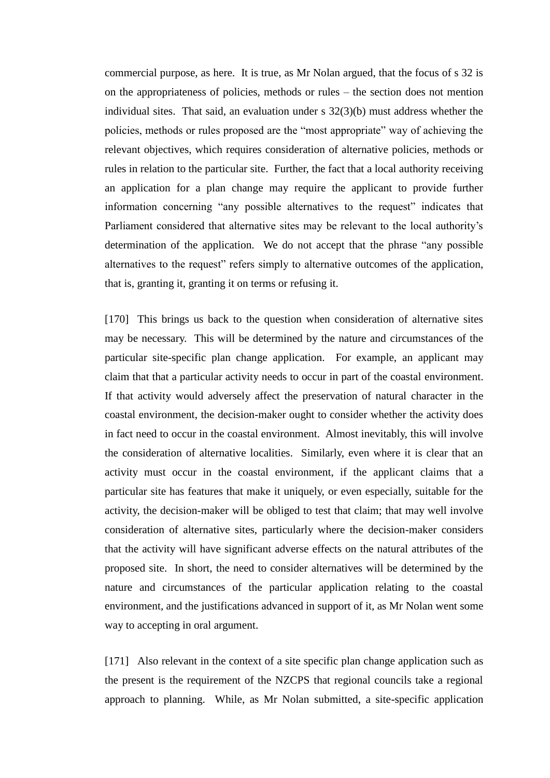commercial purpose, as here. It is true, as Mr Nolan argued, that the focus of s 32 is on the appropriateness of policies, methods or rules – the section does not mention individual sites. That said, an evaluation under  $s$  32(3)(b) must address whether the policies, methods or rules proposed are the "most appropriate" way of achieving the relevant objectives, which requires consideration of alternative policies, methods or rules in relation to the particular site. Further, the fact that a local authority receiving an application for a plan change may require the applicant to provide further information concerning "any possible alternatives to the request" indicates that Parliament considered that alternative sites may be relevant to the local authority's determination of the application. We do not accept that the phrase "any possible alternatives to the request" refers simply to alternative outcomes of the application, that is, granting it, granting it on terms or refusing it.

[170] This brings us back to the question when consideration of alternative sites may be necessary. This will be determined by the nature and circumstances of the particular site-specific plan change application. For example, an applicant may claim that that a particular activity needs to occur in part of the coastal environment. If that activity would adversely affect the preservation of natural character in the coastal environment, the decision-maker ought to consider whether the activity does in fact need to occur in the coastal environment. Almost inevitably, this will involve the consideration of alternative localities. Similarly, even where it is clear that an activity must occur in the coastal environment, if the applicant claims that a particular site has features that make it uniquely, or even especially, suitable for the activity, the decision-maker will be obliged to test that claim; that may well involve consideration of alternative sites, particularly where the decision-maker considers that the activity will have significant adverse effects on the natural attributes of the proposed site. In short, the need to consider alternatives will be determined by the nature and circumstances of the particular application relating to the coastal environment, and the justifications advanced in support of it, as Mr Nolan went some way to accepting in oral argument.

[171] Also relevant in the context of a site specific plan change application such as the present is the requirement of the NZCPS that regional councils take a regional approach to planning. While, as Mr Nolan submitted, a site-specific application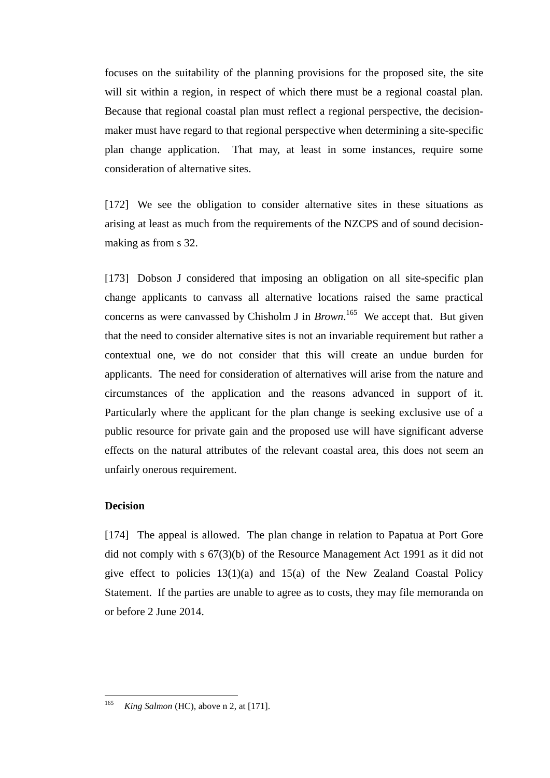focuses on the suitability of the planning provisions for the proposed site, the site will sit within a region, in respect of which there must be a regional coastal plan. Because that regional coastal plan must reflect a regional perspective, the decisionmaker must have regard to that regional perspective when determining a site-specific plan change application. That may, at least in some instances, require some consideration of alternative sites.

[172] We see the obligation to consider alternative sites in these situations as arising at least as much from the requirements of the NZCPS and of sound decisionmaking as from s 32.

<span id="page-76-0"></span>[173] Dobson J considered that imposing an obligation on all site-specific plan change applicants to canvass all alternative locations raised the same practical concerns as were canvassed by Chisholm J in *Brown*.<sup>165</sup> We accept that. But given that the need to consider alternative sites is not an invariable requirement but rather a contextual one, we do not consider that this will create an undue burden for applicants. The need for consideration of alternatives will arise from the nature and circumstances of the application and the reasons advanced in support of it. Particularly where the applicant for the plan change is seeking exclusive use of a public resource for private gain and the proposed use will have significant adverse effects on the natural attributes of the relevant coastal area, this does not seem an unfairly onerous requirement.

# **Decision**

[174] The appeal is allowed. The plan change in relation to Papatua at Port Gore did not comply with s 67(3)(b) of the Resource Management Act 1991 as it did not give effect to policies  $13(1)(a)$  and  $15(a)$  of the New Zealand Coastal Policy Statement. If the parties are unable to agree as to costs, they may file memoranda on or before 2 June 2014.

<sup>165</sup> *King Salmon* (HC), above [n 2,](#page-2-0) at [171].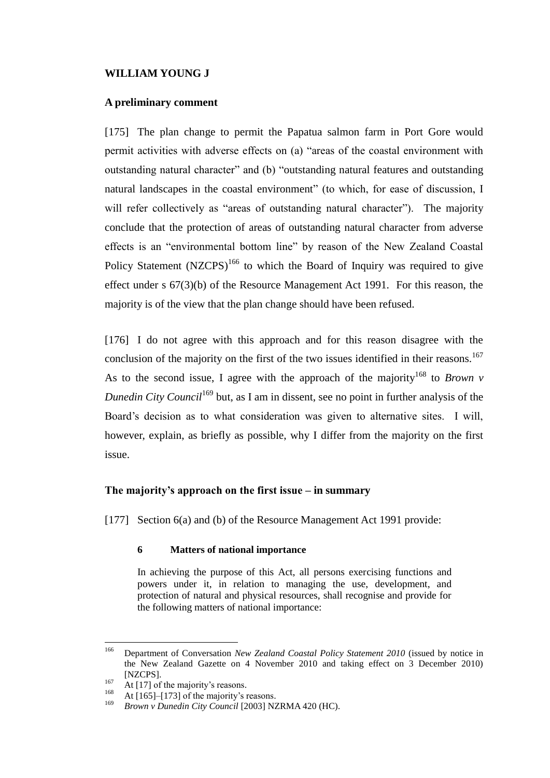# **WILLIAM YOUNG J**

# **A preliminary comment**

[175] The plan change to permit the Papatua salmon farm in Port Gore would permit activities with adverse effects on (a) "areas of the coastal environment with outstanding natural character" and (b) "outstanding natural features and outstanding natural landscapes in the coastal environment" (to which, for ease of discussion, I will refer collectively as "areas of outstanding natural character"). The majority conclude that the protection of areas of outstanding natural character from adverse effects is an "environmental bottom line" by reason of the New Zealand Coastal Policy Statement  $(NZCPS)^{166}$  to which the Board of Inquiry was required to give effect under s 67(3)(b) of the Resource Management Act 1991. For this reason, the majority is of the view that the plan change should have been refused.

<span id="page-77-0"></span>[176] I do not agree with this approach and for this reason disagree with the conclusion of the majority on the first of the two issues identified in their reasons.<sup>167</sup> As to the second issue, I agree with the approach of the majority<sup>168</sup> to *Brown v Dunedin City Council*<sup>169</sup> but, as I am in dissent, see no point in further analysis of the Board's decision as to what consideration was given to alternative sites. I will, however, explain, as briefly as possible, why I differ from the majority on the first issue.

## **The majority's approach on the first issue – in summary**

[177] Section 6(a) and (b) of the Resource Management Act 1991 provide:

### **6 Matters of national importance**

In achieving the purpose of this Act, all persons exercising functions and powers under it, in relation to managing the use, development, and protection of natural and physical resources, shall recognise and provide for the following matters of national importance:

<sup>166</sup> <sup>166</sup> Department of Conversation *New Zealand Coastal Policy Statement 2010* (issued by notice in the New Zealand Gazette on 4 November 2010 and taking effect on 3 December 2010) [NZCPS].

<sup>&</sup>lt;sup>167</sup> At [\[17\]](#page-8-0) of the majority's reasons.

<sup>&</sup>lt;sup>168</sup> At [165][–\[173\]](#page-76-0) of the majority's reasons.<br><sup>169</sup> Province Dungdin City Council [2002] N<sub>7</sub>

<sup>169</sup> *Brown v Dunedin City Council* [2003] NZRMA 420 (HC).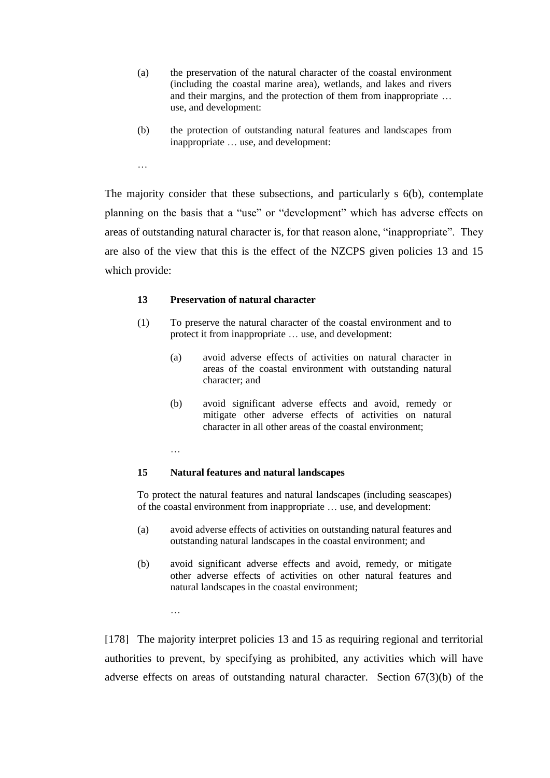- (a) the preservation of the natural character of the coastal environment (including the coastal marine area), wetlands, and lakes and rivers and their margins, and the protection of them from inappropriate … use, and development:
- (b) the protection of outstanding natural features and landscapes from inappropriate … use, and development:

The majority consider that these subsections, and particularly s 6(b), contemplate planning on the basis that a "use" or "development" which has adverse effects on areas of outstanding natural character is, for that reason alone, "inappropriate". They are also of the view that this is the effect of the NZCPS given policies 13 and 15 which provide:

### **13 Preservation of natural character**

- (1) To preserve the natural character of the coastal environment and to protect it from inappropriate … use, and development:
	- (a) avoid adverse effects of activities on natural character in areas of the coastal environment with outstanding natural character; and
	- (b) avoid significant adverse effects and avoid, remedy or mitigate other adverse effects of activities on natural character in all other areas of the coastal environment;

#### …

…

…

### **15 Natural features and natural landscapes**

To protect the natural features and natural landscapes (including seascapes) of the coastal environment from inappropriate … use, and development:

- (a) avoid adverse effects of activities on outstanding natural features and outstanding natural landscapes in the coastal environment; and
- (b) avoid significant adverse effects and avoid, remedy, or mitigate other adverse effects of activities on other natural features and natural landscapes in the coastal environment;

[178] The majority interpret policies 13 and 15 as requiring regional and territorial authorities to prevent, by specifying as prohibited, any activities which will have adverse effects on areas of outstanding natural character. Section 67(3)(b) of the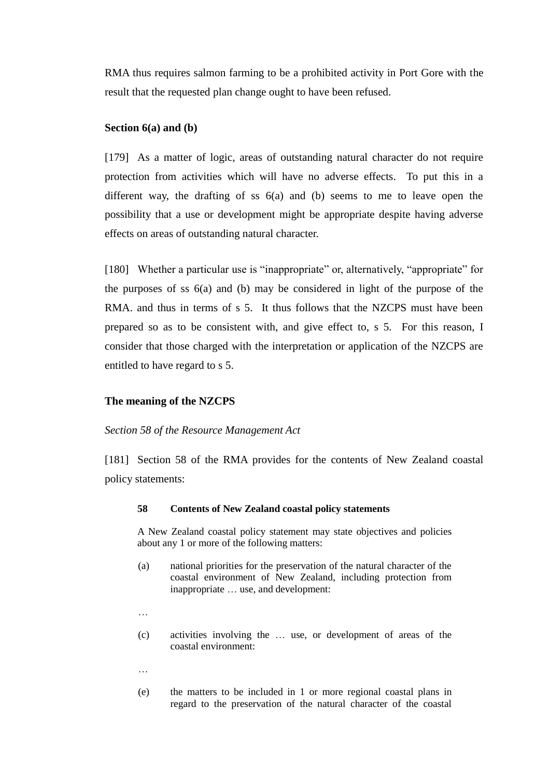RMA thus requires salmon farming to be a prohibited activity in Port Gore with the result that the requested plan change ought to have been refused.

## **Section 6(a) and (b)**

[179] As a matter of logic, areas of outstanding natural character do not require protection from activities which will have no adverse effects. To put this in a different way, the drafting of ss 6(a) and (b) seems to me to leave open the possibility that a use or development might be appropriate despite having adverse effects on areas of outstanding natural character.

[180] Whether a particular use is "inappropriate" or, alternatively, "appropriate" for the purposes of ss 6(a) and (b) may be considered in light of the purpose of the RMA. and thus in terms of s 5. It thus follows that the NZCPS must have been prepared so as to be consistent with, and give effect to, s 5. For this reason, I consider that those charged with the interpretation or application of the NZCPS are entitled to have regard to s 5.

#### **The meaning of the NZCPS**

### *Section 58 of the Resource Management Act*

[181] Section 58 of the RMA provides for the contents of New Zealand coastal policy statements:

#### **58 Contents of New Zealand coastal policy statements**

A [New Zealand coastal policy statement](http://www.lexisnexis.com/nz/legal/search/enhRunRemoteLink.do?ersKey=23_T19611851715&backKey=20_T19611851720&homeCsi=274497&A=0.6558307153405573&urlEnc=ISO-8859-1&&dpsi=0069&remotekey1=REFPTID&refpt=1991A69S2:NEW_ZEALAND_COASTAL_POLICY_STATEMENT&service=DOC-ID&origdpsi=0069) may state objectives and policies about any 1 or more of the following matters:

- (a) national priorities for the preservation of the natural character of the coastal [environment](http://www.lexisnexis.com/nz/legal/search/enhRunRemoteLink.do?ersKey=23_T19611851715&backKey=20_T19611851720&homeCsi=274497&A=0.6558307153405573&urlEnc=ISO-8859-1&&dpsi=0069&remotekey1=REFPTID&refpt=1991A69S2:ENVIRONMENT&service=DOC-ID&origdpsi=0069) of New Zealand, including protection from inappropriate … use, and development:
- …
- (c) activities involving the … use, or development of areas of the coastal [environment:](http://www.lexisnexis.com/nz/legal/search/enhRunRemoteLink.do?ersKey=23_T19611851715&backKey=20_T19611851720&homeCsi=274497&A=0.6558307153405573&urlEnc=ISO-8859-1&&dpsi=0069&remotekey1=REFPTID&refpt=1991A69S2:ENVIRONMENT&service=DOC-ID&origdpsi=0069)
- …
- (e) the matters to be included in 1 or more [regional coastal plans](http://www.lexisnexis.com/nz/legal/search/enhRunRemoteLink.do?ersKey=23_T19611851715&backKey=20_T19611851720&homeCsi=274497&A=0.6558307153405573&urlEnc=ISO-8859-1&&dpsi=0069&remotekey1=REFPTID&refpt=1991A69S2:REGIONAL_COASTAL_PLAN&service=DOC-ID&origdpsi=0069) in regard to the preservation of the natural character of the coastal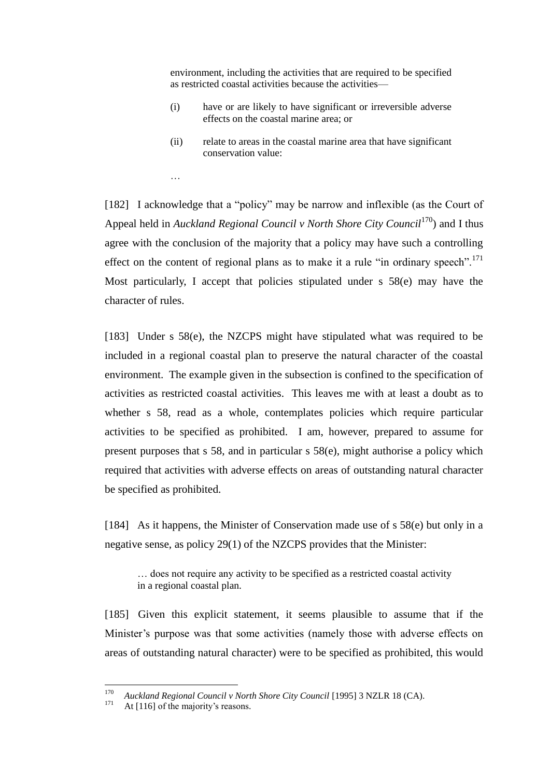[environment,](http://www.lexisnexis.com/nz/legal/search/enhRunRemoteLink.do?ersKey=23_T19611851715&backKey=20_T19611851720&homeCsi=274497&A=0.6558307153405573&urlEnc=ISO-8859-1&&dpsi=0069&remotekey1=REFPTID&refpt=1991A69S2:ENVIRONMENT&service=DOC-ID&origdpsi=0069) including the activities that are required to be specified as restricted coastal activities because the activities—

- (i) have or are likely to have significant or irreversible adverse effects on the coastal marine area; or
- (ii) relate to areas in the coastal marine area that have significant conservation value:

[182] I acknowledge that a "policy" may be narrow and inflexible (as the Court of Appeal held in *Auckland Regional Council v North Shore City Council*<sup>170</sup>) and I thus agree with the conclusion of the majority that a policy may have such a controlling effect on the content of regional plans as to make it a rule "in ordinary speech".<sup>171</sup> Most particularly, I accept that policies stipulated under s 58(e) may have the character of rules.

[183] Under s 58(e), the NZCPS might have stipulated what was required to be included in a regional coastal plan to preserve the natural character of the coastal environment. The example given in the subsection is confined to the specification of activities as restricted coastal activities. This leaves me with at least a doubt as to whether s 58, read as a whole, contemplates policies which require particular activities to be specified as prohibited. I am, however, prepared to assume for present purposes that s 58, and in particular s 58(e), might authorise a policy which required that activities with adverse effects on areas of outstanding natural character be specified as prohibited.

[184] As it happens, the Minister of Conservation made use of s 58(e) but only in a negative sense, as policy 29(1) of the NZCPS provides that the Minister:

… does not require any activity to be specified as a restricted coastal activity in a regional coastal plan.

[185] Given this explicit statement, it seems plausible to assume that if the Minister's purpose was that some activities (namely those with adverse effects on areas of outstanding natural character) were to be specified as prohibited, this would

…

<sup>170</sup> <sup>170</sup> *Auckland Regional Council v North Shore City Council* [1995] 3 NZLR 18 (CA).

At [\[116\]](#page-52-0) of the majority's reasons.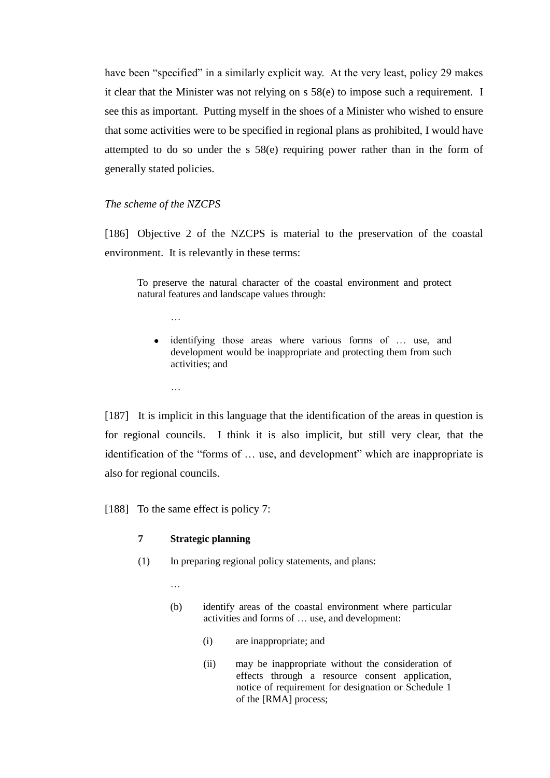have been "specified" in a similarly explicit way. At the very least, policy 29 makes it clear that the Minister was not relying on s 58(e) to impose such a requirement. I see this as important. Putting myself in the shoes of a Minister who wished to ensure that some activities were to be specified in regional plans as prohibited, I would have attempted to do so under the s 58(e) requiring power rather than in the form of generally stated policies.

### *The scheme of the NZCPS*

…

[186] Objective 2 of the NZCPS is material to the preservation of the coastal environment. It is relevantly in these terms:

To preserve the natural character of the coastal environment and protect natural features and landscape values through:

identifying those areas where various forms of … use, and development would be inappropriate and protecting them from such activities; and

[187] It is implicit in this language that the identification of the areas in question is for regional councils. I think it is also implicit, but still very clear, that the identification of the "forms of … use, and development" which are inappropriate is also for regional councils.

[188] To the same effect is policy 7:

# **7 Strategic planning**

- (1) In preparing regional policy statements, and plans:
	- …
	- (b) identify areas of the coastal environment where particular activities and forms of … use, and development:
		- (i) are inappropriate; and
		- (ii) may be inappropriate without the consideration of effects through a resource consent application, notice of requirement for designation or Schedule 1 of the [RMA] process;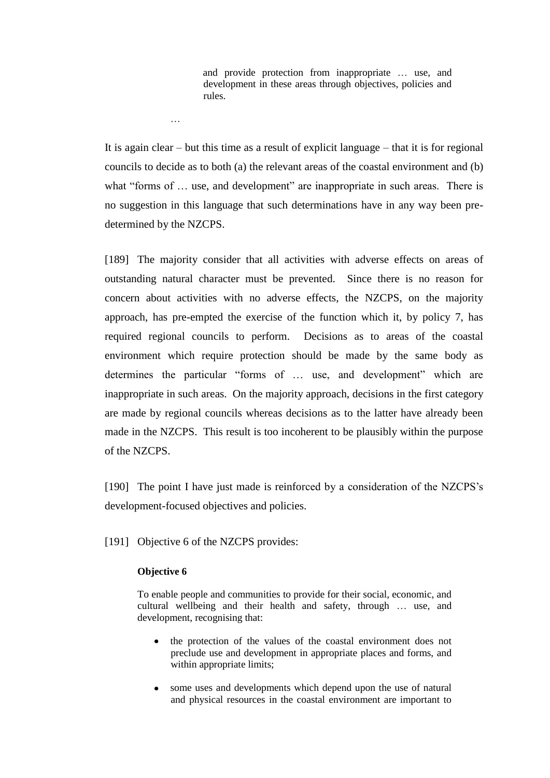and provide protection from inappropriate … use, and development in these areas through objectives, policies and rules.

It is again clear – but this time as a result of explicit language – that it is for regional councils to decide as to both (a) the relevant areas of the coastal environment and (b) what "forms of ... use, and development" are inappropriate in such areas. There is no suggestion in this language that such determinations have in any way been predetermined by the NZCPS.

[189] The majority consider that all activities with adverse effects on areas of outstanding natural character must be prevented. Since there is no reason for concern about activities with no adverse effects, the NZCPS, on the majority approach, has pre-empted the exercise of the function which it, by policy 7, has required regional councils to perform. Decisions as to areas of the coastal environment which require protection should be made by the same body as determines the particular "forms of … use, and development" which are inappropriate in such areas. On the majority approach, decisions in the first category are made by regional councils whereas decisions as to the latter have already been made in the NZCPS. This result is too incoherent to be plausibly within the purpose of the NZCPS.

[190] The point I have just made is reinforced by a consideration of the NZCPS's development-focused objectives and policies.

[191] Objective 6 of the NZCPS provides:

### **Objective 6**

…

To enable people and communities to provide for their social, economic, and cultural wellbeing and their health and safety, through … use, and development, recognising that:

- the protection of the values of the coastal environment does not  $\bullet$ preclude use and development in appropriate places and forms, and within appropriate limits;
- some uses and developments which depend upon the use of natural and physical resources in the coastal environment are important to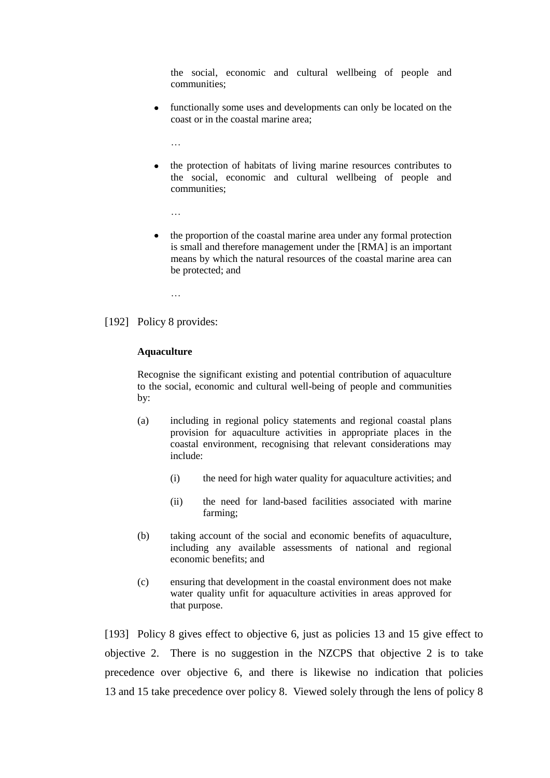the social, economic and cultural wellbeing of people and communities;

- functionally some uses and developments can only be located on the coast or in the coastal marine area;
	- …
- the protection of habitats of living marine resources contributes to the social, economic and cultural wellbeing of people and communities;
	- …
- the proportion of the coastal marine area under any formal protection is small and therefore management under the [RMA] is an important means by which the natural resources of the coastal marine area can be protected; and
	- …
- [192] Policy 8 provides:

#### **Aquaculture**

Recognise the significant existing and potential contribution of aquaculture to the social, economic and cultural well-being of people and communities by:

- (a) including in regional policy statements and regional coastal plans provision for aquaculture activities in appropriate places in the coastal environment, recognising that relevant considerations may include:
	- (i) the need for high water quality for aquaculture activities; and
	- (ii) the need for land-based facilities associated with marine farming;
- (b) taking account of the social and economic benefits of aquaculture, including any available assessments of national and regional economic benefits; and
- (c) ensuring that development in the coastal environment does not make water quality unfit for aquaculture activities in areas approved for that purpose.

[193] Policy 8 gives effect to objective 6, just as policies 13 and 15 give effect to objective 2. There is no suggestion in the NZCPS that objective 2 is to take precedence over objective 6, and there is likewise no indication that policies 13 and 15 take precedence over policy 8. Viewed solely through the lens of policy 8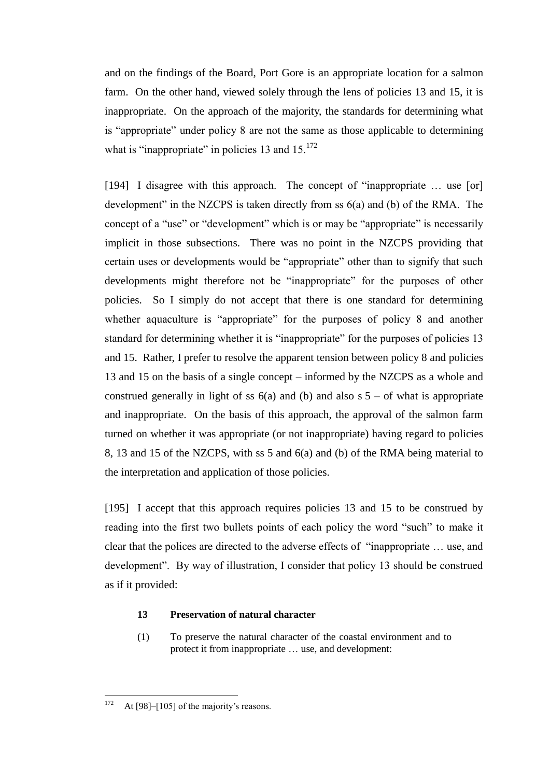and on the findings of the Board, Port Gore is an appropriate location for a salmon farm. On the other hand, viewed solely through the lens of policies 13 and 15, it is inappropriate. On the approach of the majority, the standards for determining what is "appropriate" under policy 8 are not the same as those applicable to determining what is "inappropriate" in policies 13 and  $15^{172}$ 

[194] I disagree with this approach. The concept of "inappropriate ... use [or] development" in the NZCPS is taken directly from ss 6(a) and (b) of the RMA. The concept of a "use" or "development" which is or may be "appropriate" is necessarily implicit in those subsections. There was no point in the NZCPS providing that certain uses or developments would be "appropriate" other than to signify that such developments might therefore not be "inappropriate" for the purposes of other policies. So I simply do not accept that there is one standard for determining whether aquaculture is "appropriate" for the purposes of policy 8 and another standard for determining whether it is "inappropriate" for the purposes of policies 13 and 15. Rather, I prefer to resolve the apparent tension between policy 8 and policies 13 and 15 on the basis of a single concept – informed by the NZCPS as a whole and construed generally in light of ss  $6(a)$  and (b) and also s  $5 - of$  what is appropriate and inappropriate. On the basis of this approach, the approval of the salmon farm turned on whether it was appropriate (or not inappropriate) having regard to policies 8, 13 and 15 of the NZCPS, with ss 5 and 6(a) and (b) of the RMA being material to the interpretation and application of those policies.

<span id="page-84-0"></span>[195] I accept that this approach requires policies 13 and 15 to be construed by reading into the first two bullets points of each policy the word "such" to make it clear that the polices are directed to the adverse effects of "inappropriate … use, and development". By way of illustration, I consider that policy 13 should be construed as if it provided:

# **13 Preservation of natural character**

(1) To preserve the natural character of the coastal environment and to protect it from inappropriate … use, and development:

<sup>172</sup> At  $[98]$ – $[105]$  of the majority's reasons.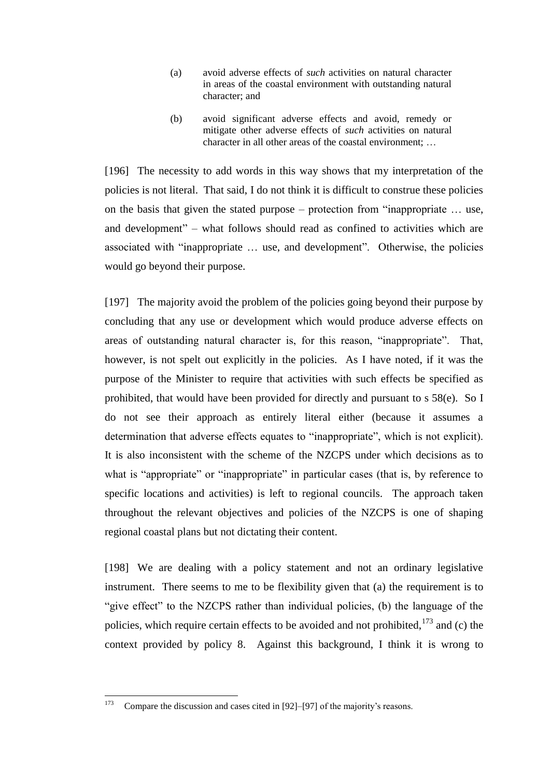- (a) avoid adverse effects of *such* activities on natural character in areas of the coastal environment with outstanding natural character; and
- (b) avoid significant adverse effects and avoid, remedy or mitigate other adverse effects of *such* activities on natural character in all other areas of the coastal environment; …

[196] The necessity to add words in this way shows that my interpretation of the policies is not literal. That said, I do not think it is difficult to construe these policies on the basis that given the stated purpose – protection from "inappropriate … use, and development" – what follows should read as confined to activities which are associated with "inappropriate … use, and development". Otherwise, the policies would go beyond their purpose.

[197] The majority avoid the problem of the policies going beyond their purpose by concluding that any use or development which would produce adverse effects on areas of outstanding natural character is, for this reason, "inappropriate". That, however, is not spelt out explicitly in the policies. As I have noted, if it was the purpose of the Minister to require that activities with such effects be specified as prohibited, that would have been provided for directly and pursuant to s 58(e). So I do not see their approach as entirely literal either (because it assumes a determination that adverse effects equates to "inappropriate", which is not explicit). It is also inconsistent with the scheme of the NZCPS under which decisions as to what is "appropriate" or "inappropriate" in particular cases (that is, by reference to specific locations and activities) is left to regional councils. The approach taken throughout the relevant objectives and policies of the NZCPS is one of shaping regional coastal plans but not dictating their content.

[198] We are dealing with a policy statement and not an ordinary legislative instrument. There seems to me to be flexibility given that (a) the requirement is to "give effect" to the NZCPS rather than individual policies, (b) the language of the policies, which require certain effects to be avoided and not prohibited,  $173$  and (c) the context provided by policy 8. Against this background, I think it is wrong to

<sup>173</sup> Compare the discussion and cases cited in [\[92\]](#page-42-0)[–\[97\]](#page-45-0) of the majority's reasons.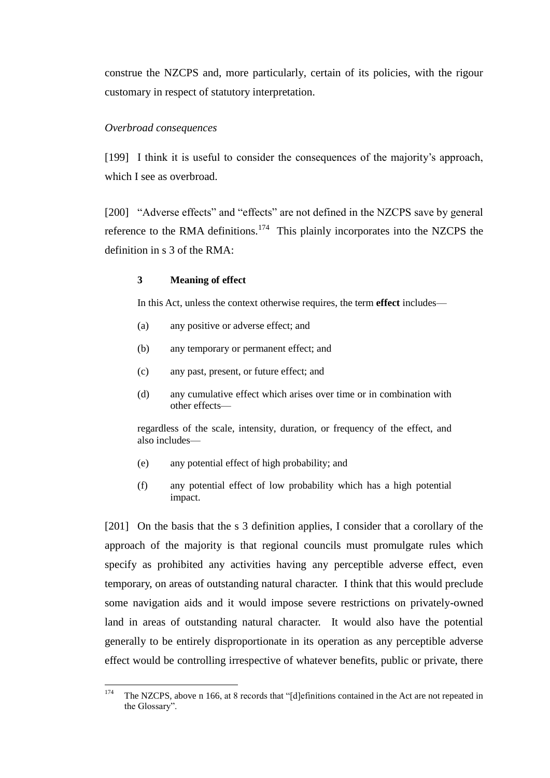construe the NZCPS and, more particularly, certain of its policies, with the rigour customary in respect of statutory interpretation.

## *Overbroad consequences*

[199] I think it is useful to consider the consequences of the majority's approach, which I see as overbroad.

[200] "Adverse effects" and "effects" are not defined in the NZCPS save by general reference to the RMA definitions.<sup>174</sup> This plainly incorporates into the NZCPS the definition in s 3 of the RMA:

# **3 Meaning of effect**

In this Act, unless the context otherwise requires, the term **effect** includes—

- (a) any positive or adverse effect; and
- (b) any temporary or permanent effect; and
- (c) any past, present, or future effect; and
- (d) any cumulative effect which arises over time or in combination with other effects—

regardless of the scale, intensity, duration, or frequency of the effect, and also includes—

- (e) any potential effect of high probability; and
- (f) any potential effect of low probability which has a high potential impact.

[201] On the basis that the s 3 definition applies, I consider that a corollary of the approach of the majority is that regional councils must promulgate rules which specify as prohibited any activities having any perceptible adverse effect, even temporary, on areas of outstanding natural character. I think that this would preclude some navigation aids and it would impose severe restrictions on privately-owned land in areas of outstanding natural character. It would also have the potential generally to be entirely disproportionate in its operation as any perceptible adverse effect would be controlling irrespective of whatever benefits, public or private, there

<sup>174</sup> The NZCPS, above n [166,](#page-77-0) at 8 records that "[d]efinitions contained in the Act are not repeated in the Glossary".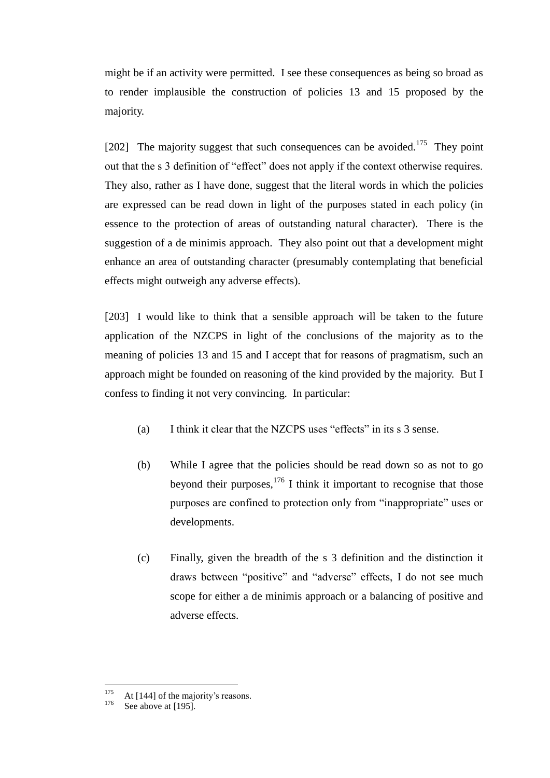might be if an activity were permitted. I see these consequences as being so broad as to render implausible the construction of policies 13 and 15 proposed by the majority.

[202] The majority suggest that such consequences can be avoided.<sup>175</sup> They point out that the s 3 definition of "effect" does not apply if the context otherwise requires. They also, rather as I have done, suggest that the literal words in which the policies are expressed can be read down in light of the purposes stated in each policy (in essence to the protection of areas of outstanding natural character). There is the suggestion of a de minimis approach. They also point out that a development might enhance an area of outstanding character (presumably contemplating that beneficial effects might outweigh any adverse effects).

[203] I would like to think that a sensible approach will be taken to the future application of the NZCPS in light of the conclusions of the majority as to the meaning of policies 13 and 15 and I accept that for reasons of pragmatism, such an approach might be founded on reasoning of the kind provided by the majority. But I confess to finding it not very convincing. In particular:

- (a) I think it clear that the NZCPS uses "effects" in its s 3 sense.
- (b) While I agree that the policies should be read down so as not to go beyond their purposes,  $176$  I think it important to recognise that those purposes are confined to protection only from "inappropriate" uses or developments.
- (c) Finally, given the breadth of the s 3 definition and the distinction it draws between "positive" and "adverse" effects, I do not see much scope for either a de minimis approach or a balancing of positive and adverse effects.

<sup>175</sup>  $175$  At [\[144\]](#page-64-0) of the majority's reasons.

See above at [\[195\].](#page-84-0)